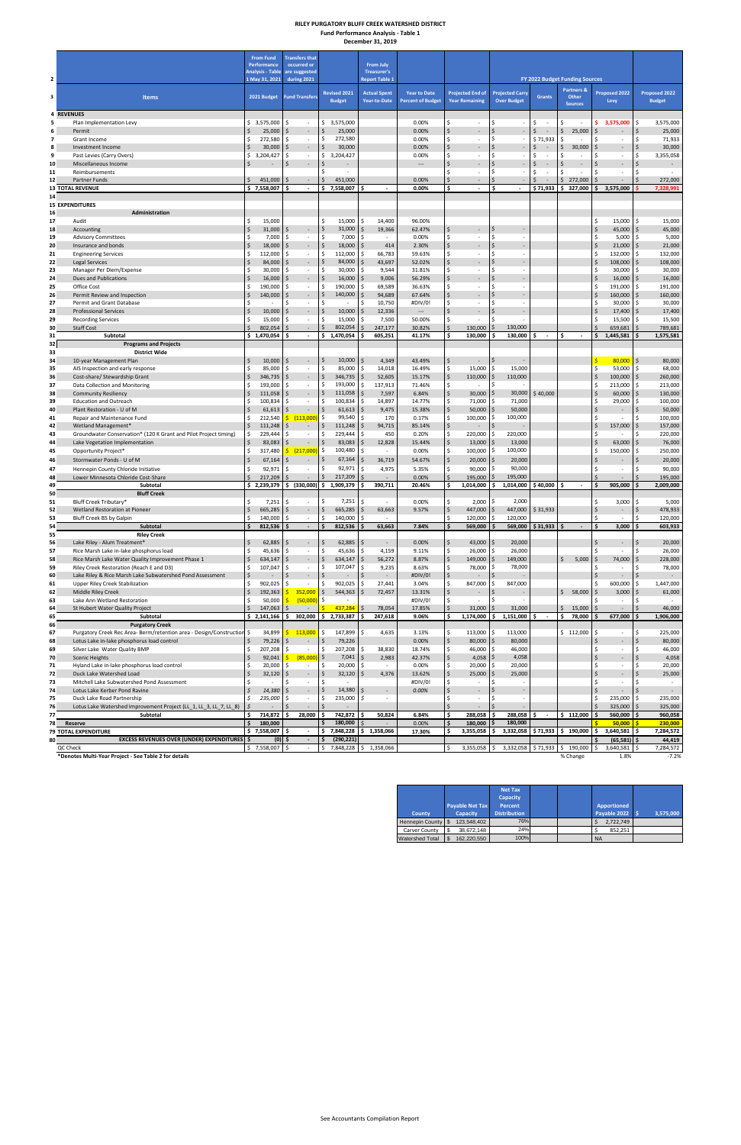### **RILEY PURGATORY BLUFF CREEK WATERSHED DISTRICT Fund Performance Analysis - Table 1 December 31, 2019**

**County Payable Net Tax Capacity Net Tax Capacity Percent Distribution Apportioned Payable 2022 \$ 3,575,000** Hennepin County | \$123,548,402 | 76% | \$2,722,749 Carver County | \$ 38,672,148 | 24% | \$ 852,251 Watershed Total | \$ 162,220,550 | 100% | NA

| Performance<br>occurred or<br><b>From July</b><br><b>Analysis - Table</b><br>are suggested<br>Treasurer's<br>$\mathbf{2}$<br>1 May 31, 2021<br>during 2021<br><b>Report Table 1</b><br>FY 2022 Budget Funding Sources<br><b>Partners &amp;</b><br><b>Revised 2021</b><br>Proposed 2022<br>Proposed 2022<br><b>Actual Spent</b><br><b>Year to Date</b><br><b>Projected End of</b><br><b>Projected Carry</b><br>3<br><b>Items</b><br>2021 Budget<br><b>Fund Transfers</b><br><b>Grants</b><br>Other<br><b>Budget</b><br>Year-to-Date<br><b>Percent of Budget</b><br><b>Year Remaining</b><br><b>Over Budget</b><br><b>Budget</b><br>Levy<br><b>Sources</b><br><b>4 REVENUES</b><br>3,575,000<br>0.00%<br>\$<br>5<br>\$3,575,000<br>\$<br>$\frac{1}{2}$<br>Ś.<br>Ŝ.<br>\$.<br>3,575,000<br>\$<br>Plan Implementation Levy<br>$\sim$<br>$\sim$<br>$\overline{\phantom{a}}$<br>$\sim$<br>\$<br>$\zeta$<br>$\ddot{\varsigma}$<br>25,000<br>\$<br>25,000<br>\$<br>25,000<br>0.00%<br>\$<br>Ś<br>$\zeta$<br>25,000<br>6<br>$\sim$<br>Permit<br>$\sim$<br>$\overline{\phantom{a}}$<br>Ś<br>272,580<br>Ŝ.<br>272,580<br>Ś<br>\$71,933<br>Ś.<br>71,933<br>7<br>Grant Income<br>Ŝ.<br>0.00%<br>Ŝ<br>Ŝ.<br>.s<br>$\sim$<br>÷.<br>$\sim$<br>$\zeta$<br>$\zeta$<br>Ś.<br>Ś<br>$\zeta$<br>$\zeta$<br>\$<br>30,000<br>$\ddot{\mathsf{S}}$<br>8<br>Investment Income<br>30,000<br>Ś<br>30,000<br>0.00%<br>$\sim$<br>$\sim$<br>$\overline{\phantom{a}}$<br>\$<br>3,204,427<br>Ś.<br>Ŝ.<br>Ś.<br>Ś.<br>Ŝ<br>3,204,427<br>\$<br><sup>\$</sup><br>9<br>Past Levies (Carry Overs)<br>Ś<br>0.00%<br>$\sim$<br>$\sim$<br>$\sim$<br>÷,<br>Ś<br>$\zeta$<br>Ś.<br>\$<br>$\ddot{\mathsf{S}}$<br>\$<br>Ś<br>\$<br>Miscellaneous Income<br>10<br>$\overline{\phantom{a}}$<br>$\sim$<br>$\sim$<br>$\overline{\phantom{a}}$<br>$\overline{\phantom{a}}$<br>$\overline{\phantom{a}}$<br>Ś<br>\$.<br>\$<br>Ŝ.<br>\$<br>Ŝ.<br>11<br>Reimbursements<br>\$<br>$\sim$<br>$\overline{\phantom{a}}$<br>$\overline{\phantom{a}}$<br>$\sim$<br>$\overline{\phantom{a}}$<br>$\overline{\phantom{a}}$<br>$\mathsf{\hat{S}}$<br>Ś<br>451,000<br>451,000<br>Ś<br>\$<br>272,000<br>Ŝ.<br>12<br>Partner Funds<br>0.00%<br>$\sim$<br>$\sim$<br>\$7,558,007<br>Ś.<br>\$<br>7,558,007<br>\$<br>Ś<br>\$71,933<br>\$327,000<br>\$<br>3,575,000<br><b>13 TOTAL REVENUE</b><br>$\blacksquare$<br>0.00%<br>$\sim$<br>$\sim$<br>14<br><b>15 EXPENDITURES</b><br>Administration<br>16<br>\$<br>15,000<br>\$<br>15,000<br>Audit<br>Ŝ.<br>15,000<br>14,400<br>96.00%<br>\$<br>S<br>\$<br>31,000<br>31,000<br>19,366<br>62.47%<br>\$<br>\$<br>\$<br>45,000<br>\$<br>-Ś<br>S.<br>Accounting<br>$\overline{\phantom{a}}$<br>\$<br>\$<br>7,000<br>7,000<br>0.00%<br>Ś<br>\$<br>5,000<br>5,000<br><b>Advisory Committees</b><br>Ś<br>Ś<br>\$<br>$\overline{\phantom{a}}$<br>\$.<br>$\sim$<br>$\boldsymbol{\dot{\varsigma}}$<br>\$<br>\$<br>Ś<br>$\ddot{\varsigma}$<br>18,000<br>\$<br>18,000<br>21,000<br>$\mathsf{\hat{S}}$<br>21,000<br>Insurance and bonds<br>$\omega$<br>Ŝ.<br>414<br>2.30%<br>\$<br>\$<br>\$<br>112,000<br>112,000<br>Ś<br>Ś<br>132,000<br><b>Engineering Services</b><br>Ŝ.<br>-Ś<br>66,783<br>59.63%<br>\$<br>$\overline{\phantom{a}}$<br>\$<br><sub>\$</sub><br>Ś.<br>$\zeta$<br>43,697<br>108,000<br>$\mathsf{\hat{S}}$<br><b>Legal Services</b><br>84,000<br>Ś<br>84,000<br>52.02%<br>-S<br>$\qquad \qquad \blacksquare$<br>\$<br>30,000<br>\$<br>\$<br>30,000<br>Ŝ.<br>9,544<br>Ś<br>30,000<br>30,000<br>31.81%<br>Ś<br>\$<br>Manager Per Diem/Expense<br>Ś<br>$\overline{\phantom{a}}$<br>$\zeta$<br>\$<br>Dues and Publications<br>Ś<br>16,000<br>9,006<br>Ś<br>16,000<br>\$<br>16,000<br>56.29%<br>$\overline{\phantom{a}}$<br>$\overline{\phantom{a}}$<br>190,000<br>\$<br>190,000<br>69,589<br>\$<br>191,000<br>\$<br>Office Cost<br>\$<br>36.63%<br>Ś<br>Ś<br>Ś<br>-S<br>$\sim$<br>$\overline{\phantom{a}}$<br>\$<br>\$<br>140,000<br>94,689<br>160,000<br>\$<br>Permit Review and Inspection<br>140,000<br>67.64%<br>$\overline{\phantom{a}}$<br>Ś<br>\$<br>10,750<br>30,000<br>30,000<br>Permit and Grant Database<br>Ś<br>#DIV/0!<br>Ś<br>-\$<br>$\sim$<br>Ŝ<br>$\zeta$<br>\$<br>$\zeta$<br>\$<br>17,400<br><b>Professional Services</b><br>10,000<br>Ś<br>10,000<br>12,336<br>$\hspace{0.05cm} \ldots$<br>17,400<br>$\blacksquare$<br>15,000<br>\$<br>Ś<br>Ś<br>7,500<br>Ś<br>15,500<br><b>Recording Services</b><br>15,000<br>50.00%<br>-\$<br>Ŝ<br>$\overline{\phantom{a}}$<br>$\dot{\mathsf{S}}$<br>\$<br>802,054<br>\$<br>802,054<br>247,177<br>Ś<br>130,000<br>130,000<br>659,681<br><b>Staff Cost</b><br>Ś<br>30.82%<br>-Ś<br><sup>\$</sup><br>$\overline{\phantom{a}}$<br>$\varsigma$<br>1,575,581<br>\$1,470,054<br>\$<br>1,470,054<br>605,251<br>\$<br>130,000<br>130,000<br>\$<br>\$<br>1,445,581<br>Subtotal<br>\$<br>41.17%<br>\$<br>$\sim$<br>$\blacksquare$<br><b>Programs and Projects</b><br><b>District Wide</b><br>\$<br>$\overline{\mathsf{s}}$<br>$\frac{1}{2}$<br>\$<br>10,000<br>15<br>10,000<br>\$<br>80,000<br>$\vert$ \$<br>10-year Management Plan<br>l \$<br>4,349<br>43.49%<br>$\blacksquare$<br>$\sim$<br>Ś<br>85,000<br>15,000<br>\$<br>Ŝ.<br>85,000<br>\$<br>14,018<br>16.49%<br>\$<br>15,000<br>l \$<br>53,000<br>\$<br>68,000<br>AIS Inspection and early response<br>-Ś<br>$\blacksquare$<br>\$<br>\$<br>$\ddot{\mathsf{S}}$<br>\$<br>346,735<br>\$<br>346,735<br>52,605<br>15.17%<br>110,000<br>l\$<br>110,000<br>100,000<br>$\overline{\mathsf{s}}$<br>260,000<br>Cost-share/ Stewardship Grant<br>l\$<br>$\sim$<br>\$<br>193,000<br>Ŝ.<br>193,000<br>137,913<br>71.46%<br>\$<br>Ŝ<br>\$<br>213,000<br>S.<br>Data Collection and Monitoring<br>Ś<br>S<br>$\sim$<br>$\overline{\phantom{a}}$<br>$\zeta$<br>\$<br>\$<br>\$<br>$\zeta$<br>111,058<br>7,597<br>60,000<br>$\ddot{\mathsf{S}}$<br><b>Community Resiliency</b><br>111,058<br>-Ś<br>6.84%<br>30,000<br>l \$<br>30,000<br>\$40,000<br>$\overline{\phantom{a}}$<br>\$<br>100,834<br>\$<br><b>Education and Outreach</b><br>Ŝ.<br>100,834<br>14,897<br>14.77%<br>\$<br>71,000<br>l \$<br>71,000<br>29,000<br>-\$<br>Ś<br>Ŝ<br>$\sim$<br>$\zeta$<br>\$<br>50,000<br>\$<br>$\zeta$<br>\$<br>61,613<br>9,475<br>50,000<br>l\$<br>\$<br>50,000<br>Plant Restoration - U of M<br>61,613<br>15.38%<br>-S<br>$\overline{\phantom{a}}$<br>$\overline{\phantom{a}}$<br>\$<br>\$<br>\$.<br>\$<br>100,000<br>Repair and Maintenance Fund<br>Ŝ.<br>212,540<br>\$.<br>(113,000)<br>99,540<br>170<br>0.17%<br>100,000<br>Ś<br>100,000<br>S<br>$\overline{\phantom{a}}$<br>$\zeta$<br>111,248<br>\$<br>\$<br>$\zeta$<br>94,715<br>157,000<br>Wetland Management*<br>111,248<br>-Ś<br>85.14%<br>\$<br>229,444<br>220,000<br>\$<br>450<br>\$.<br>220,000<br>\$<br>Groundwater Conservation* (120 K Grant and Pilot Project timing)<br>Ŝ.<br>229,444<br>Ś<br>Ś<br>0.20%<br>-\$<br>Ś<br>$\overline{\phantom{a}}$<br>$\sim$<br>\$<br>Ś<br>83,083<br>12,828<br>13,000<br>\$<br>63,000<br>76,000<br>Lake Vegetation Implementation<br>83,083<br>Ś<br>15.44%<br>13,000<br>S.<br>\$.<br>\$<br>100,480<br>100,000<br>\$<br>\$<br>317,480<br>\$<br>100,000<br>150,000<br>250,000<br>Opportunity Project*<br>$\frac{217,000}{2}$<br>-Ś<br>0.00%<br>-S<br>-\$<br>$\sim$<br>Ś<br>$\mathsf{\dot{S}}$<br>67,164<br>20,000<br>$\dot{\mathsf{S}}$<br>Ś<br>36,719<br>Ś<br>$20,000$ \$<br>$\ddot{\mathsf{s}}$<br>Stormwater Ponds - U of M<br>67,164<br>-Ś<br>54.67%<br>4,975<br>90,000 \$<br>90,000<br>Hennepin County Chloride Initiative<br>\$<br>$92,971$ \$<br>\$<br>$92,971$ \$<br>5.35%<br>\$<br>\$<br>\$<br>$\overline{\phantom{a}}$<br>$\overline{\phantom{a}}$<br>$\mathsf{S}$<br>$\zeta$<br>\$<br>Ś.<br>$\mathsf{S}$<br>217,209<br>195,000 \$<br>195,000<br>\$<br>Lower Minnesota Chloride Cost-Share<br>217,209<br>0.00%<br>$\blacksquare$<br>\$<br>\$2,239,379<br>\$ (330,000)<br>\$1,909,379<br>\$<br>905,000<br>\$<br>Subtotal<br>390,711<br>20.46%<br>1,014,000<br>- Ś<br>1,014,000<br>\$40,000<br>Ŝ.<br>2,009,000<br>. Ś<br>÷.<br><b>Bluff Creek</b><br>7,251<br>2,000<br>7,251<br>\$<br>\$<br>2,000<br>l\$<br>\$<br>3,000<br>Bluff Creek Tributary*<br>\$<br>\$<br>0.00%<br>\$<br>-S<br>$\sim$<br>÷,<br>\$<br>665,285<br>\$<br>447,000<br>\$31,933<br>\$<br>Wetland Restoration at Pioneer<br>\$<br>665,285<br>\$<br>63,663<br>9.57%<br>447,000<br>۱\$<br>\$<br>$\sim$<br><b>S</b><br>$\overline{\phantom{a}}$<br>\$<br>140,000<br>\$<br>140,000<br>\$<br>120,000<br>120,000<br>\$<br>\$<br>120,000<br>Bluff Creek B5 by Galpin<br>Ś<br>$\sim$<br>-Ś<br>I\$<br>$\sim$<br>$\sim$<br>\$<br>Ś<br>\$<br>Subtotal<br>812,536<br>$\mathcal{L}_{\mathcal{A}}$<br>Ś<br>812,536<br>\$<br>63,663<br>7.84%<br>\$<br>569,000<br>569,000<br>\$31,933<br>3,000<br>Ś<br>603,933<br>. Ś<br>$\sim$<br><b>Riley Creek</b><br>\$<br>$\zeta$<br>\$<br>\$<br>Lake Riley - Alum Treatment*<br>62,885<br>\$<br>62,885<br>$43,000$   \$<br>20,000<br>\$<br>0.00%<br>$\overline{\phantom{a}}$<br>-\$<br>$\sim$<br>$\sim$<br>$\frac{1}{2}$<br>45,636<br>26,000<br>\$<br>Rice Marsh Lake in-lake phosphorus load<br>\$<br>45,636<br>l \$<br>4,159<br>\$<br>$26,000$ \$<br>26,000<br>Ŝ.<br>9.11%<br>Ś.<br>$\blacksquare$<br>$\sim$<br>\$<br>\$<br>$\zeta$<br>634,147<br>Ś.<br>149,000 \$<br>149,000<br>\$<br>$\ddot{\mathsf{S}}$<br>Rice Marsh Lake Water Quality Improvement Phase 1<br>634,147<br>\$<br>56,272<br>8.87%<br>5,000<br>74,000<br>\$<br>228,000<br>$\sim$<br>Riley Creek Restoration (Reach E and D3)<br>\$<br>107,047<br>\$<br>107,047<br>9,235<br>78,000 \$<br>78,000<br>\$<br>Ś<br>\$.<br>8.63%<br>\$<br>\$<br>$\overline{\phantom{a}}$<br>$\overline{\phantom{a}}$<br>\$<br>\$<br>$\zeta$<br>Lake Riley & Rice Marsh Lake Subwatershed Pond Assessment<br>#DIV/0!<br>-\$<br>Ŝ.<br>$\sim$<br>$\overline{\phantom{a}}$<br>$\sim$<br>$\overline{\phantom{a}}$<br>\$<br>Upper Riley Creek Stabilization<br>\$<br>902,025<br>Ś<br>\$<br>902,025<br>600,000<br>27,441<br>3.04%<br>\$<br>847,000<br>l \$<br>847,000<br>∣\$<br>1,447,000<br>$\sim$<br>-S<br>$\zeta$<br>352,000<br>\$<br>544,363<br>\$<br>$\ddot{\varsigma}$<br>Middle Riley Creek<br>192,363<br>72,457<br>S,<br>\$<br>58,000<br>3,000<br>61,000<br>Ś.<br>Ŝ.<br>13.31%<br>S.<br>$\overline{\phantom{a}}$<br>(50,000)<br>\$<br>Ś<br>50,000<br>#DIV/0!<br>\$.<br>Ś.<br>Lake Ann Wetland Restoration<br>Ś<br>$\zeta$<br>$15,000$ \$<br>\$<br>St Hubert Water Quality Project<br>147,063<br>Ś<br>\$.<br>437,284<br>78,054<br>17.85%<br>Ś.<br>31,000<br>$\overline{\mathsf{S}}$<br>31,000<br>$\mathsf{S}$<br><b>S</b><br>$\blacksquare$<br>$\bar{\phantom{a}}$<br>\$2,141,166<br>302,000<br>2,733,387<br>247,618<br>1,174,000<br>1,151,000<br>677,000<br>1,906,000<br>\$<br>\$<br>9.06%<br>\$<br>\$.<br>\$<br>78,000<br>\$<br>Subtotal<br>\$<br>\$<br>$\overline{\phantom{a}}$<br><b>Purgatory Creek</b><br>34,899<br>147,899<br>\$<br>\$112,000<br>\$<br>Purgatory Creek Rec Area-Berm/retention area - Design/Construction \$<br>113,000<br>\$<br>\$<br>4,635<br>3.13%<br>113,000<br>113,000<br>\$<br>Ś.<br>l \$<br>$\overline{\phantom{a}}$<br>\$<br>79,226<br>\$<br>$80,000$ \$<br>80,000<br>\$<br>$\zeta$<br>Lotus Lake in-lake phosphorus load control<br>\$<br>79,226<br>\$<br>0.00%<br>$\blacksquare$<br>$\overline{\phantom{a}}$<br>207,208<br>\$<br>Silver Lake Water Quality BMP<br>\$<br>207,208<br>\$<br>Ś<br>\$<br>46,000<br>l \$<br>46,000<br>Ś<br>\$<br>38,830<br>18.74%<br>$\overline{\phantom{a}}$<br>$\overline{\phantom{a}}$<br>$\zeta$<br>\$<br>(85,000)<br>$\ddot{\mathsf{S}}$<br>7,041<br>\$<br>$4,058$ \$<br>4,058<br>$\zeta$<br>92,041<br>Ŝ.<br>2,983<br>42.37%<br>4,058<br><b>Scenic Heights</b><br>\$.<br>$\bar{\phantom{a}}$<br>\$<br>20,000<br>20,000<br>Hyland Lake in-lake phosphorus load control<br>Ŝ.<br>20,000<br>0.00%<br>\$.<br>20,000<br>۱\$<br>\$<br>\$<br>Ś<br>\$<br>$\sim$<br>$\sim$<br>$\overline{\phantom{a}}$<br>$\zeta$<br>$\ddot{\varsigma}$<br>\$<br>\$<br>Duck Lake Watershed Load<br>32,120<br>\$<br>32,120<br>4,376<br>$25,000$ \$<br>25,000<br>$\zeta$<br>Ŝ.<br>13.62%<br>$\overline{\phantom{a}}$<br>$\overline{\phantom{a}}$<br>\$<br>\$<br>Ŝ.<br>#DIV/0!<br>\$.<br>Ŝ<br>Mitchell Lake Subwatershed Pond Assessment<br>Ś<br>Ś<br>$\sim$<br>$\sim$<br>$\blacksquare$<br>$\sim$<br>$\sim$<br>\$<br>\$<br>\$<br>14,380<br>14,380<br>0.00%<br><sup>\$</sup><br>Lotus Lake Kerber Pond Ravine<br>$\overline{\phantom{a}}$<br>\$<br>\$<br>235,000<br>Ś<br>\$<br>235,000<br>\$<br>235,000<br>\$<br>Duck Lake Road Partnership<br>-S<br>$\overline{\phantom{a}}$<br>$\overline{\phantom{a}}$<br>Ś.<br>$\mathsf{\hat{S}}$<br>Lotus Lake Watershed Improvement Project (LL_1, LL_3, LL_7, LL_8)<br>$\mathcal{S}$<br>325,000<br>$\mathsf{\hat{S}}$<br>$\centerdot$<br>714,872<br>28,000<br>742,872<br>50,824<br>288,058<br>560,000<br>Subtotal<br>\$<br>Ś.<br>\$.<br>6.84%<br>Ś.<br>288,058<br>l \$<br>\$<br>\$112,000<br>\$<br>Ŝ.<br>\$<br>$\blacksquare$<br>180,000<br>180,000<br>\$<br>0.00%<br>\$<br>180,000<br>180,000<br>50,000<br>-\$<br>230,000<br>Reserve<br>Ś.<br>\$7,558,007<br>\$<br>7,848,228 \$ 1,358,066<br>\$<br>3,355,058<br>3,332,058<br>$$71,933$ $$190,000$ $$$<br>3,640,581<br>-\$<br>17.30%<br>I\$<br>\$ ا<br>$\sim$<br>(290, 221)<br>EXCESS REVENUES OVER (UNDER) EXPENDITURES \$<br>$(0)$ \$<br>$\blacksquare$<br>$(65,581)$ \$<br>\$.<br>\$7,558,007<br>3,332,058<br>\$190,000<br>QC Check<br>7,848,228<br>\$1,358,066<br>3,355,058<br>\$71,933<br>\$<br>3,640,581<br>.s<br>$\sim$<br>Ś<br>Ŝ.<br>\$<br>*Denotes Multi-Year Project - See Table 2 for details<br>% Change<br>1.8% |    | <b>From Fund</b> | <b>Transfers that</b> |  |  |  |  |                      |
|----------------------------------------------------------------------------------------------------------------------------------------------------------------------------------------------------------------------------------------------------------------------------------------------------------------------------------------------------------------------------------------------------------------------------------------------------------------------------------------------------------------------------------------------------------------------------------------------------------------------------------------------------------------------------------------------------------------------------------------------------------------------------------------------------------------------------------------------------------------------------------------------------------------------------------------------------------------------------------------------------------------------------------------------------------------------------------------------------------------------------------------------------------------------------------------------------------------------------------------------------------------------------------------------------------------------------------------------------------------------------------------------------------------------------------------------------------------------------------------------------------------------------------------------------------------------------------------------------------------------------------------------------------------------------------------------------------------------------------------------------------------------------------------------------------------------------------------------------------------------------------------------------------------------------------------------------------------------------------------------------------------------------------------------------------------------------------------------------------------------------------------------------------------------------------------------------------------------------------------------------------------------------------------------------------------------------------------------------------------------------------------------------------------------------------------------------------------------------------------------------------------------------------------------------------------------------------------------------------------------------------------------------------------------------------------------------------------------------------------------------------------------------------------------------------------------------------------------------------------------------------------------------------------------------------------------------------------------------------------------------------------------------------------------------------------------------------------------------------------------------------------------------------------------------------------------------------------------------------------------------------------------------------------------------------------------------------------------------------------------------------------------------------------------------------------------------------------------------------------------------------------------------------------------------------------------------------------------------------------------------------------------------------------------------------------------------------------------------------------------------------------------------------------------------------------------------------------------------------------------------------------------------------------------------------------------------------------------------------------------------------------------------------------------------------------------------------------------------------------------------------------------------------------------------------------------------------------------------------------------------------------------------------------------------------------------------------------------------------------------------------------------------------------------------------------------------------------------------------------------------------------------------------------------------------------------------------------------------------------------------------------------------------------------------------------------------------------------------------------------------------------------------------------------------------------------------------------------------------------------------------------------------------------------------------------------------------------------------------------------------------------------------------------------------------------------------------------------------------------------------------------------------------------------------------------------------------------------------------------------------------------------------------------------------------------------------------------------------------------------------------------------------------------------------------------------------------------------------------------------------------------------------------------------------------------------------------------------------------------------------------------------------------------------------------------------------------------------------------------------------------------------------------------------------------------------------------------------------------------------------------------------------------------------------------------------------------------------------------------------------------------------------------------------------------------------------------------------------------------------------------------------------------------------------------------------------------------------------------------------------------------------------------------------------------------------------------------------------------------------------------------------------------------------------------------------------------------------------------------------------------------------------------------------------------------------------------------------------------------------------------------------------------------------------------------------------------------------------------------------------------------------------------------------------------------------------------------------------------------------------------------------------------------------------------------------------------------------------------------------------------------------------------------------------------------------------------------------------------------------------------------------------------------------------------------------------------------------------------------------------------------------------------------------------------------------------------------------------------------------------------------------------------------------------------------------------------------------------------------------------------------------------------------------------------------------------------------------------------------------------------------------------------------------------------------------------------------------------------------------------------------------------------------------------------------------------------------------------------------------------------------------------------------------------------------------------------------------------------------------------------------------------------------------------------------------------------------------------------------------------------------------------------------------------------------------------------------------------------------------------------------------------------------------------------------------------------------------------------------------------------------------------------------------------------------------------------------------------------------------------------------------------------------------------------------------------------------------------------------------------------------------------------------------------------------------------------------------------------------------------------------------------------------------------------------------------------------------------------------------------------------------------------------------------------------------------------------------------------------------------------------------------------------------------------------------------------------------------------------------------------------------------------------------------------------------------------------------------------------------------------------------------------------------------------------------------------------------------------------------------------------------------------------------------------------------------------------------------------------------------------------------------------------------------------------------------------------------------------------------------------------------------------------------------------------------------------------------------------------------------------------------------------------------------------------------------------------------------------------------------------------------------------------------------------------------------------------------------------------------------------------------------------------------------------------------------------------------------------------------------------------------------------------------------------------------------------------------------------------------------------------------------------------------------------------------------------------------------------------------------------------------------------------------------------------------------------------------------------------------------------------------------------------------------------------------------------------------------------------------------------------------------------------------------------------------------------------------------------------------------------------------------------------------------------------------------------------------------------------------------------------------------------------------------------------------------------------------------------------------------------------------------------------------------------------------------------------------------------------------------------------------------------------------------------------------------------------------------------------------------------------------------------------------------------------------------------------------------------------------------------------------------------------------------------------------------------------------------------------------------------------------------------------------------------------------------------------------------------------------------------------------------------------------------------------------------------------------------------------------------------------------------------------------------------------------------------------------------------------------------------------------------------------------------------------------------------------------------------------------------------------------------------------------------------------------------------------------------------------------------------------------------------------------------------------------------------------------------------------------------------------------------------------------------------------------------------------------------------------------------------------------------------------------------------------------------------------------------------------------------------------------------------------------------------------------------------------------------------------------------------------------------------------------------------------------------------------------------------------------------------------------------------------------------------------------------------------------------------------------------------------------------------------------------------------------------------------------------------------------------------------------------------------------------------------------------------------------------------------------------------------------------------------------------------------------------------------------------------------------------------------------------------------------------------------------------------------------------------------------------------------------------------------------------------------------------------------------------------------------------------------------------------------|----|------------------|-----------------------|--|--|--|--|----------------------|
|                                                                                                                                                                                                                                                                                                                                                                                                                                                                                                                                                                                                                                                                                                                                                                                                                                                                                                                                                                                                                                                                                                                                                                                                                                                                                                                                                                                                                                                                                                                                                                                                                                                                                                                                                                                                                                                                                                                                                                                                                                                                                                                                                                                                                                                                                                                                                                                                                                                                                                                                                                                                                                                                                                                                                                                                                                                                                                                                                                                                                                                                                                                                                                                                                                                                                                                                                                                                                                                                                                                                                                                                                                                                                                                                                                                                                                                                                                                                                                                                                                                                                                                                                                                                                                                                                                                                                                                                                                                                                                                                                                                                                                                                                                                                                                                                                                                                                                                                                                                                                                                                                                                                                                                                                                                                                                                                                                                                                                                                                                                                                                                                                                                                                                                                                                                                                                                                                                                                                                                                                                                                                                                                                                                                                                                                                                                                                                                                                                                                                                                                                                                                                                                                                                                                                                                                                                                                                                                                                                                                                                                                                                                                                                                                                                                                                                                                                                                                                                                                                                                                                                                                                                                                                                                                                                                                                                                                                                                                                                                                                                                                                                                                                                                                                                                                                                                                                                                                                                                                                                                                                                                                                                                                                                                                                                                                                                                                                                                                                                                                                                                                                                                                                                                                                                                                                                                                                                                                                                                                                                                                                                                                                                                                                                                                                                                                                                                                                                                                                                                                                                                                                                                                                                                                                                                                                                                                                                                                                                                                                                                                                                                                                                                                                                                                                                                                                                                                                                                                                                                                                                                                                                                                                                                                                                                                                                                                                                                                                                                                                                                                                                                                                                                                                                                                                                                                                                                                                                                                                                                                                                                                                                                                                                                                                                                                                                                                                                                                                                                                                                                                                                                                                                                                                                                                                                                                                                                                                                                                                                                                                                                                                                                                                                                                                                                                                                                                                                                                                                                                                                                                        |    |                  |                       |  |  |  |  |                      |
|                                                                                                                                                                                                                                                                                                                                                                                                                                                                                                                                                                                                                                                                                                                                                                                                                                                                                                                                                                                                                                                                                                                                                                                                                                                                                                                                                                                                                                                                                                                                                                                                                                                                                                                                                                                                                                                                                                                                                                                                                                                                                                                                                                                                                                                                                                                                                                                                                                                                                                                                                                                                                                                                                                                                                                                                                                                                                                                                                                                                                                                                                                                                                                                                                                                                                                                                                                                                                                                                                                                                                                                                                                                                                                                                                                                                                                                                                                                                                                                                                                                                                                                                                                                                                                                                                                                                                                                                                                                                                                                                                                                                                                                                                                                                                                                                                                                                                                                                                                                                                                                                                                                                                                                                                                                                                                                                                                                                                                                                                                                                                                                                                                                                                                                                                                                                                                                                                                                                                                                                                                                                                                                                                                                                                                                                                                                                                                                                                                                                                                                                                                                                                                                                                                                                                                                                                                                                                                                                                                                                                                                                                                                                                                                                                                                                                                                                                                                                                                                                                                                                                                                                                                                                                                                                                                                                                                                                                                                                                                                                                                                                                                                                                                                                                                                                                                                                                                                                                                                                                                                                                                                                                                                                                                                                                                                                                                                                                                                                                                                                                                                                                                                                                                                                                                                                                                                                                                                                                                                                                                                                                                                                                                                                                                                                                                                                                                                                                                                                                                                                                                                                                                                                                                                                                                                                                                                                                                                                                                                                                                                                                                                                                                                                                                                                                                                                                                                                                                                                                                                                                                                                                                                                                                                                                                                                                                                                                                                                                                                                                                                                                                                                                                                                                                                                                                                                                                                                                                                                                                                                                                                                                                                                                                                                                                                                                                                                                                                                                                                                                                                                                                                                                                                                                                                                                                                                                                                                                                                                                                                                                                                                                                                                                                                                                                                                                                                                                                                                                                                                                                                                        |    |                  |                       |  |  |  |  |                      |
|                                                                                                                                                                                                                                                                                                                                                                                                                                                                                                                                                                                                                                                                                                                                                                                                                                                                                                                                                                                                                                                                                                                                                                                                                                                                                                                                                                                                                                                                                                                                                                                                                                                                                                                                                                                                                                                                                                                                                                                                                                                                                                                                                                                                                                                                                                                                                                                                                                                                                                                                                                                                                                                                                                                                                                                                                                                                                                                                                                                                                                                                                                                                                                                                                                                                                                                                                                                                                                                                                                                                                                                                                                                                                                                                                                                                                                                                                                                                                                                                                                                                                                                                                                                                                                                                                                                                                                                                                                                                                                                                                                                                                                                                                                                                                                                                                                                                                                                                                                                                                                                                                                                                                                                                                                                                                                                                                                                                                                                                                                                                                                                                                                                                                                                                                                                                                                                                                                                                                                                                                                                                                                                                                                                                                                                                                                                                                                                                                                                                                                                                                                                                                                                                                                                                                                                                                                                                                                                                                                                                                                                                                                                                                                                                                                                                                                                                                                                                                                                                                                                                                                                                                                                                                                                                                                                                                                                                                                                                                                                                                                                                                                                                                                                                                                                                                                                                                                                                                                                                                                                                                                                                                                                                                                                                                                                                                                                                                                                                                                                                                                                                                                                                                                                                                                                                                                                                                                                                                                                                                                                                                                                                                                                                                                                                                                                                                                                                                                                                                                                                                                                                                                                                                                                                                                                                                                                                                                                                                                                                                                                                                                                                                                                                                                                                                                                                                                                                                                                                                                                                                                                                                                                                                                                                                                                                                                                                                                                                                                                                                                                                                                                                                                                                                                                                                                                                                                                                                                                                                                                                                                                                                                                                                                                                                                                                                                                                                                                                                                                                                                                                                                                                                                                                                                                                                                                                                                                                                                                                                                                                                                                                                                                                                                                                                                                                                                                                                                                                                                                                                                                                        |    |                  |                       |  |  |  |  |                      |
|                                                                                                                                                                                                                                                                                                                                                                                                                                                                                                                                                                                                                                                                                                                                                                                                                                                                                                                                                                                                                                                                                                                                                                                                                                                                                                                                                                                                                                                                                                                                                                                                                                                                                                                                                                                                                                                                                                                                                                                                                                                                                                                                                                                                                                                                                                                                                                                                                                                                                                                                                                                                                                                                                                                                                                                                                                                                                                                                                                                                                                                                                                                                                                                                                                                                                                                                                                                                                                                                                                                                                                                                                                                                                                                                                                                                                                                                                                                                                                                                                                                                                                                                                                                                                                                                                                                                                                                                                                                                                                                                                                                                                                                                                                                                                                                                                                                                                                                                                                                                                                                                                                                                                                                                                                                                                                                                                                                                                                                                                                                                                                                                                                                                                                                                                                                                                                                                                                                                                                                                                                                                                                                                                                                                                                                                                                                                                                                                                                                                                                                                                                                                                                                                                                                                                                                                                                                                                                                                                                                                                                                                                                                                                                                                                                                                                                                                                                                                                                                                                                                                                                                                                                                                                                                                                                                                                                                                                                                                                                                                                                                                                                                                                                                                                                                                                                                                                                                                                                                                                                                                                                                                                                                                                                                                                                                                                                                                                                                                                                                                                                                                                                                                                                                                                                                                                                                                                                                                                                                                                                                                                                                                                                                                                                                                                                                                                                                                                                                                                                                                                                                                                                                                                                                                                                                                                                                                                                                                                                                                                                                                                                                                                                                                                                                                                                                                                                                                                                                                                                                                                                                                                                                                                                                                                                                                                                                                                                                                                                                                                                                                                                                                                                                                                                                                                                                                                                                                                                                                                                                                                                                                                                                                                                                                                                                                                                                                                                                                                                                                                                                                                                                                                                                                                                                                                                                                                                                                                                                                                                                                                                                                                                                                                                                                                                                                                                                                                                                                                                                                                                                                        |    |                  |                       |  |  |  |  |                      |
|                                                                                                                                                                                                                                                                                                                                                                                                                                                                                                                                                                                                                                                                                                                                                                                                                                                                                                                                                                                                                                                                                                                                                                                                                                                                                                                                                                                                                                                                                                                                                                                                                                                                                                                                                                                                                                                                                                                                                                                                                                                                                                                                                                                                                                                                                                                                                                                                                                                                                                                                                                                                                                                                                                                                                                                                                                                                                                                                                                                                                                                                                                                                                                                                                                                                                                                                                                                                                                                                                                                                                                                                                                                                                                                                                                                                                                                                                                                                                                                                                                                                                                                                                                                                                                                                                                                                                                                                                                                                                                                                                                                                                                                                                                                                                                                                                                                                                                                                                                                                                                                                                                                                                                                                                                                                                                                                                                                                                                                                                                                                                                                                                                                                                                                                                                                                                                                                                                                                                                                                                                                                                                                                                                                                                                                                                                                                                                                                                                                                                                                                                                                                                                                                                                                                                                                                                                                                                                                                                                                                                                                                                                                                                                                                                                                                                                                                                                                                                                                                                                                                                                                                                                                                                                                                                                                                                                                                                                                                                                                                                                                                                                                                                                                                                                                                                                                                                                                                                                                                                                                                                                                                                                                                                                                                                                                                                                                                                                                                                                                                                                                                                                                                                                                                                                                                                                                                                                                                                                                                                                                                                                                                                                                                                                                                                                                                                                                                                                                                                                                                                                                                                                                                                                                                                                                                                                                                                                                                                                                                                                                                                                                                                                                                                                                                                                                                                                                                                                                                                                                                                                                                                                                                                                                                                                                                                                                                                                                                                                                                                                                                                                                                                                                                                                                                                                                                                                                                                                                                                                                                                                                                                                                                                                                                                                                                                                                                                                                                                                                                                                                                                                                                                                                                                                                                                                                                                                                                                                                                                                                                                                                                                                                                                                                                                                                                                                                                                                                                                                                                                                                                        |    |                  |                       |  |  |  |  |                      |
|                                                                                                                                                                                                                                                                                                                                                                                                                                                                                                                                                                                                                                                                                                                                                                                                                                                                                                                                                                                                                                                                                                                                                                                                                                                                                                                                                                                                                                                                                                                                                                                                                                                                                                                                                                                                                                                                                                                                                                                                                                                                                                                                                                                                                                                                                                                                                                                                                                                                                                                                                                                                                                                                                                                                                                                                                                                                                                                                                                                                                                                                                                                                                                                                                                                                                                                                                                                                                                                                                                                                                                                                                                                                                                                                                                                                                                                                                                                                                                                                                                                                                                                                                                                                                                                                                                                                                                                                                                                                                                                                                                                                                                                                                                                                                                                                                                                                                                                                                                                                                                                                                                                                                                                                                                                                                                                                                                                                                                                                                                                                                                                                                                                                                                                                                                                                                                                                                                                                                                                                                                                                                                                                                                                                                                                                                                                                                                                                                                                                                                                                                                                                                                                                                                                                                                                                                                                                                                                                                                                                                                                                                                                                                                                                                                                                                                                                                                                                                                                                                                                                                                                                                                                                                                                                                                                                                                                                                                                                                                                                                                                                                                                                                                                                                                                                                                                                                                                                                                                                                                                                                                                                                                                                                                                                                                                                                                                                                                                                                                                                                                                                                                                                                                                                                                                                                                                                                                                                                                                                                                                                                                                                                                                                                                                                                                                                                                                                                                                                                                                                                                                                                                                                                                                                                                                                                                                                                                                                                                                                                                                                                                                                                                                                                                                                                                                                                                                                                                                                                                                                                                                                                                                                                                                                                                                                                                                                                                                                                                                                                                                                                                                                                                                                                                                                                                                                                                                                                                                                                                                                                                                                                                                                                                                                                                                                                                                                                                                                                                                                                                                                                                                                                                                                                                                                                                                                                                                                                                                                                                                                                                                                                                                                                                                                                                                                                                                                                                                                                                                                                                                                        |    |                  |                       |  |  |  |  | 3,575,000            |
|                                                                                                                                                                                                                                                                                                                                                                                                                                                                                                                                                                                                                                                                                                                                                                                                                                                                                                                                                                                                                                                                                                                                                                                                                                                                                                                                                                                                                                                                                                                                                                                                                                                                                                                                                                                                                                                                                                                                                                                                                                                                                                                                                                                                                                                                                                                                                                                                                                                                                                                                                                                                                                                                                                                                                                                                                                                                                                                                                                                                                                                                                                                                                                                                                                                                                                                                                                                                                                                                                                                                                                                                                                                                                                                                                                                                                                                                                                                                                                                                                                                                                                                                                                                                                                                                                                                                                                                                                                                                                                                                                                                                                                                                                                                                                                                                                                                                                                                                                                                                                                                                                                                                                                                                                                                                                                                                                                                                                                                                                                                                                                                                                                                                                                                                                                                                                                                                                                                                                                                                                                                                                                                                                                                                                                                                                                                                                                                                                                                                                                                                                                                                                                                                                                                                                                                                                                                                                                                                                                                                                                                                                                                                                                                                                                                                                                                                                                                                                                                                                                                                                                                                                                                                                                                                                                                                                                                                                                                                                                                                                                                                                                                                                                                                                                                                                                                                                                                                                                                                                                                                                                                                                                                                                                                                                                                                                                                                                                                                                                                                                                                                                                                                                                                                                                                                                                                                                                                                                                                                                                                                                                                                                                                                                                                                                                                                                                                                                                                                                                                                                                                                                                                                                                                                                                                                                                                                                                                                                                                                                                                                                                                                                                                                                                                                                                                                                                                                                                                                                                                                                                                                                                                                                                                                                                                                                                                                                                                                                                                                                                                                                                                                                                                                                                                                                                                                                                                                                                                                                                                                                                                                                                                                                                                                                                                                                                                                                                                                                                                                                                                                                                                                                                                                                                                                                                                                                                                                                                                                                                                                                                                                                                                                                                                                                                                                                                                                                                                                                                                                                                                                        |    |                  |                       |  |  |  |  |                      |
|                                                                                                                                                                                                                                                                                                                                                                                                                                                                                                                                                                                                                                                                                                                                                                                                                                                                                                                                                                                                                                                                                                                                                                                                                                                                                                                                                                                                                                                                                                                                                                                                                                                                                                                                                                                                                                                                                                                                                                                                                                                                                                                                                                                                                                                                                                                                                                                                                                                                                                                                                                                                                                                                                                                                                                                                                                                                                                                                                                                                                                                                                                                                                                                                                                                                                                                                                                                                                                                                                                                                                                                                                                                                                                                                                                                                                                                                                                                                                                                                                                                                                                                                                                                                                                                                                                                                                                                                                                                                                                                                                                                                                                                                                                                                                                                                                                                                                                                                                                                                                                                                                                                                                                                                                                                                                                                                                                                                                                                                                                                                                                                                                                                                                                                                                                                                                                                                                                                                                                                                                                                                                                                                                                                                                                                                                                                                                                                                                                                                                                                                                                                                                                                                                                                                                                                                                                                                                                                                                                                                                                                                                                                                                                                                                                                                                                                                                                                                                                                                                                                                                                                                                                                                                                                                                                                                                                                                                                                                                                                                                                                                                                                                                                                                                                                                                                                                                                                                                                                                                                                                                                                                                                                                                                                                                                                                                                                                                                                                                                                                                                                                                                                                                                                                                                                                                                                                                                                                                                                                                                                                                                                                                                                                                                                                                                                                                                                                                                                                                                                                                                                                                                                                                                                                                                                                                                                                                                                                                                                                                                                                                                                                                                                                                                                                                                                                                                                                                                                                                                                                                                                                                                                                                                                                                                                                                                                                                                                                                                                                                                                                                                                                                                                                                                                                                                                                                                                                                                                                                                                                                                                                                                                                                                                                                                                                                                                                                                                                                                                                                                                                                                                                                                                                                                                                                                                                                                                                                                                                                                                                                                                                                                                                                                                                                                                                                                                                                                                                                                                                                                                                        |    |                  |                       |  |  |  |  | 30,000               |
|                                                                                                                                                                                                                                                                                                                                                                                                                                                                                                                                                                                                                                                                                                                                                                                                                                                                                                                                                                                                                                                                                                                                                                                                                                                                                                                                                                                                                                                                                                                                                                                                                                                                                                                                                                                                                                                                                                                                                                                                                                                                                                                                                                                                                                                                                                                                                                                                                                                                                                                                                                                                                                                                                                                                                                                                                                                                                                                                                                                                                                                                                                                                                                                                                                                                                                                                                                                                                                                                                                                                                                                                                                                                                                                                                                                                                                                                                                                                                                                                                                                                                                                                                                                                                                                                                                                                                                                                                                                                                                                                                                                                                                                                                                                                                                                                                                                                                                                                                                                                                                                                                                                                                                                                                                                                                                                                                                                                                                                                                                                                                                                                                                                                                                                                                                                                                                                                                                                                                                                                                                                                                                                                                                                                                                                                                                                                                                                                                                                                                                                                                                                                                                                                                                                                                                                                                                                                                                                                                                                                                                                                                                                                                                                                                                                                                                                                                                                                                                                                                                                                                                                                                                                                                                                                                                                                                                                                                                                                                                                                                                                                                                                                                                                                                                                                                                                                                                                                                                                                                                                                                                                                                                                                                                                                                                                                                                                                                                                                                                                                                                                                                                                                                                                                                                                                                                                                                                                                                                                                                                                                                                                                                                                                                                                                                                                                                                                                                                                                                                                                                                                                                                                                                                                                                                                                                                                                                                                                                                                                                                                                                                                                                                                                                                                                                                                                                                                                                                                                                                                                                                                                                                                                                                                                                                                                                                                                                                                                                                                                                                                                                                                                                                                                                                                                                                                                                                                                                                                                                                                                                                                                                                                                                                                                                                                                                                                                                                                                                                                                                                                                                                                                                                                                                                                                                                                                                                                                                                                                                                                                                                                                                                                                                                                                                                                                                                                                                                                                                                                                                                                                        |    |                  |                       |  |  |  |  | 3,355,058            |
|                                                                                                                                                                                                                                                                                                                                                                                                                                                                                                                                                                                                                                                                                                                                                                                                                                                                                                                                                                                                                                                                                                                                                                                                                                                                                                                                                                                                                                                                                                                                                                                                                                                                                                                                                                                                                                                                                                                                                                                                                                                                                                                                                                                                                                                                                                                                                                                                                                                                                                                                                                                                                                                                                                                                                                                                                                                                                                                                                                                                                                                                                                                                                                                                                                                                                                                                                                                                                                                                                                                                                                                                                                                                                                                                                                                                                                                                                                                                                                                                                                                                                                                                                                                                                                                                                                                                                                                                                                                                                                                                                                                                                                                                                                                                                                                                                                                                                                                                                                                                                                                                                                                                                                                                                                                                                                                                                                                                                                                                                                                                                                                                                                                                                                                                                                                                                                                                                                                                                                                                                                                                                                                                                                                                                                                                                                                                                                                                                                                                                                                                                                                                                                                                                                                                                                                                                                                                                                                                                                                                                                                                                                                                                                                                                                                                                                                                                                                                                                                                                                                                                                                                                                                                                                                                                                                                                                                                                                                                                                                                                                                                                                                                                                                                                                                                                                                                                                                                                                                                                                                                                                                                                                                                                                                                                                                                                                                                                                                                                                                                                                                                                                                                                                                                                                                                                                                                                                                                                                                                                                                                                                                                                                                                                                                                                                                                                                                                                                                                                                                                                                                                                                                                                                                                                                                                                                                                                                                                                                                                                                                                                                                                                                                                                                                                                                                                                                                                                                                                                                                                                                                                                                                                                                                                                                                                                                                                                                                                                                                                                                                                                                                                                                                                                                                                                                                                                                                                                                                                                                                                                                                                                                                                                                                                                                                                                                                                                                                                                                                                                                                                                                                                                                                                                                                                                                                                                                                                                                                                                                                                                                                                                                                                                                                                                                                                                                                                                                                                                                                                                                                                        |    |                  |                       |  |  |  |  |                      |
|                                                                                                                                                                                                                                                                                                                                                                                                                                                                                                                                                                                                                                                                                                                                                                                                                                                                                                                                                                                                                                                                                                                                                                                                                                                                                                                                                                                                                                                                                                                                                                                                                                                                                                                                                                                                                                                                                                                                                                                                                                                                                                                                                                                                                                                                                                                                                                                                                                                                                                                                                                                                                                                                                                                                                                                                                                                                                                                                                                                                                                                                                                                                                                                                                                                                                                                                                                                                                                                                                                                                                                                                                                                                                                                                                                                                                                                                                                                                                                                                                                                                                                                                                                                                                                                                                                                                                                                                                                                                                                                                                                                                                                                                                                                                                                                                                                                                                                                                                                                                                                                                                                                                                                                                                                                                                                                                                                                                                                                                                                                                                                                                                                                                                                                                                                                                                                                                                                                                                                                                                                                                                                                                                                                                                                                                                                                                                                                                                                                                                                                                                                                                                                                                                                                                                                                                                                                                                                                                                                                                                                                                                                                                                                                                                                                                                                                                                                                                                                                                                                                                                                                                                                                                                                                                                                                                                                                                                                                                                                                                                                                                                                                                                                                                                                                                                                                                                                                                                                                                                                                                                                                                                                                                                                                                                                                                                                                                                                                                                                                                                                                                                                                                                                                                                                                                                                                                                                                                                                                                                                                                                                                                                                                                                                                                                                                                                                                                                                                                                                                                                                                                                                                                                                                                                                                                                                                                                                                                                                                                                                                                                                                                                                                                                                                                                                                                                                                                                                                                                                                                                                                                                                                                                                                                                                                                                                                                                                                                                                                                                                                                                                                                                                                                                                                                                                                                                                                                                                                                                                                                                                                                                                                                                                                                                                                                                                                                                                                                                                                                                                                                                                                                                                                                                                                                                                                                                                                                                                                                                                                                                                                                                                                                                                                                                                                                                                                                                                                                                                                                                                                                        |    |                  |                       |  |  |  |  | 272,000              |
|                                                                                                                                                                                                                                                                                                                                                                                                                                                                                                                                                                                                                                                                                                                                                                                                                                                                                                                                                                                                                                                                                                                                                                                                                                                                                                                                                                                                                                                                                                                                                                                                                                                                                                                                                                                                                                                                                                                                                                                                                                                                                                                                                                                                                                                                                                                                                                                                                                                                                                                                                                                                                                                                                                                                                                                                                                                                                                                                                                                                                                                                                                                                                                                                                                                                                                                                                                                                                                                                                                                                                                                                                                                                                                                                                                                                                                                                                                                                                                                                                                                                                                                                                                                                                                                                                                                                                                                                                                                                                                                                                                                                                                                                                                                                                                                                                                                                                                                                                                                                                                                                                                                                                                                                                                                                                                                                                                                                                                                                                                                                                                                                                                                                                                                                                                                                                                                                                                                                                                                                                                                                                                                                                                                                                                                                                                                                                                                                                                                                                                                                                                                                                                                                                                                                                                                                                                                                                                                                                                                                                                                                                                                                                                                                                                                                                                                                                                                                                                                                                                                                                                                                                                                                                                                                                                                                                                                                                                                                                                                                                                                                                                                                                                                                                                                                                                                                                                                                                                                                                                                                                                                                                                                                                                                                                                                                                                                                                                                                                                                                                                                                                                                                                                                                                                                                                                                                                                                                                                                                                                                                                                                                                                                                                                                                                                                                                                                                                                                                                                                                                                                                                                                                                                                                                                                                                                                                                                                                                                                                                                                                                                                                                                                                                                                                                                                                                                                                                                                                                                                                                                                                                                                                                                                                                                                                                                                                                                                                                                                                                                                                                                                                                                                                                                                                                                                                                                                                                                                                                                                                                                                                                                                                                                                                                                                                                                                                                                                                                                                                                                                                                                                                                                                                                                                                                                                                                                                                                                                                                                                                                                                                                                                                                                                                                                                                                                                                                                                                                                                                                                                                        |    |                  |                       |  |  |  |  | 7,328,991            |
|                                                                                                                                                                                                                                                                                                                                                                                                                                                                                                                                                                                                                                                                                                                                                                                                                                                                                                                                                                                                                                                                                                                                                                                                                                                                                                                                                                                                                                                                                                                                                                                                                                                                                                                                                                                                                                                                                                                                                                                                                                                                                                                                                                                                                                                                                                                                                                                                                                                                                                                                                                                                                                                                                                                                                                                                                                                                                                                                                                                                                                                                                                                                                                                                                                                                                                                                                                                                                                                                                                                                                                                                                                                                                                                                                                                                                                                                                                                                                                                                                                                                                                                                                                                                                                                                                                                                                                                                                                                                                                                                                                                                                                                                                                                                                                                                                                                                                                                                                                                                                                                                                                                                                                                                                                                                                                                                                                                                                                                                                                                                                                                                                                                                                                                                                                                                                                                                                                                                                                                                                                                                                                                                                                                                                                                                                                                                                                                                                                                                                                                                                                                                                                                                                                                                                                                                                                                                                                                                                                                                                                                                                                                                                                                                                                                                                                                                                                                                                                                                                                                                                                                                                                                                                                                                                                                                                                                                                                                                                                                                                                                                                                                                                                                                                                                                                                                                                                                                                                                                                                                                                                                                                                                                                                                                                                                                                                                                                                                                                                                                                                                                                                                                                                                                                                                                                                                                                                                                                                                                                                                                                                                                                                                                                                                                                                                                                                                                                                                                                                                                                                                                                                                                                                                                                                                                                                                                                                                                                                                                                                                                                                                                                                                                                                                                                                                                                                                                                                                                                                                                                                                                                                                                                                                                                                                                                                                                                                                                                                                                                                                                                                                                                                                                                                                                                                                                                                                                                                                                                                                                                                                                                                                                                                                                                                                                                                                                                                                                                                                                                                                                                                                                                                                                                                                                                                                                                                                                                                                                                                                                                                                                                                                                                                                                                                                                                                                                                                                                                                                                                                                                        |    |                  |                       |  |  |  |  |                      |
|                                                                                                                                                                                                                                                                                                                                                                                                                                                                                                                                                                                                                                                                                                                                                                                                                                                                                                                                                                                                                                                                                                                                                                                                                                                                                                                                                                                                                                                                                                                                                                                                                                                                                                                                                                                                                                                                                                                                                                                                                                                                                                                                                                                                                                                                                                                                                                                                                                                                                                                                                                                                                                                                                                                                                                                                                                                                                                                                                                                                                                                                                                                                                                                                                                                                                                                                                                                                                                                                                                                                                                                                                                                                                                                                                                                                                                                                                                                                                                                                                                                                                                                                                                                                                                                                                                                                                                                                                                                                                                                                                                                                                                                                                                                                                                                                                                                                                                                                                                                                                                                                                                                                                                                                                                                                                                                                                                                                                                                                                                                                                                                                                                                                                                                                                                                                                                                                                                                                                                                                                                                                                                                                                                                                                                                                                                                                                                                                                                                                                                                                                                                                                                                                                                                                                                                                                                                                                                                                                                                                                                                                                                                                                                                                                                                                                                                                                                                                                                                                                                                                                                                                                                                                                                                                                                                                                                                                                                                                                                                                                                                                                                                                                                                                                                                                                                                                                                                                                                                                                                                                                                                                                                                                                                                                                                                                                                                                                                                                                                                                                                                                                                                                                                                                                                                                                                                                                                                                                                                                                                                                                                                                                                                                                                                                                                                                                                                                                                                                                                                                                                                                                                                                                                                                                                                                                                                                                                                                                                                                                                                                                                                                                                                                                                                                                                                                                                                                                                                                                                                                                                                                                                                                                                                                                                                                                                                                                                                                                                                                                                                                                                                                                                                                                                                                                                                                                                                                                                                                                                                                                                                                                                                                                                                                                                                                                                                                                                                                                                                                                                                                                                                                                                                                                                                                                                                                                                                                                                                                                                                                                                                                                                                                                                                                                                                                                                                                                                                                                                                                                                                                        |    |                  |                       |  |  |  |  |                      |
| 18<br>19<br>20<br>21<br>22<br>23<br>24<br>25<br>26<br>27<br>28<br>29<br>30<br>31<br>32 <br>33<br>34<br>35<br>36<br>37<br>38<br>39<br>40<br>41<br>42<br>44                                                                                                                                                                                                                                                                                                                                                                                                                                                                                                                                                                                                                                                                                                                                                                                                                                                                                                                                                                                                                                                                                                                                                                                                                                                                                                                                                                                                                                                                                                                                                                                                                                                                                                                                                                                                                                                                                                                                                                                                                                                                                                                                                                                                                                                                                                                                                                                                                                                                                                                                                                                                                                                                                                                                                                                                                                                                                                                                                                                                                                                                                                                                                                                                                                                                                                                                                                                                                                                                                                                                                                                                                                                                                                                                                                                                                                                                                                                                                                                                                                                                                                                                                                                                                                                                                                                                                                                                                                                                                                                                                                                                                                                                                                                                                                                                                                                                                                                                                                                                                                                                                                                                                                                                                                                                                                                                                                                                                                                                                                                                                                                                                                                                                                                                                                                                                                                                                                                                                                                                                                                                                                                                                                                                                                                                                                                                                                                                                                                                                                                                                                                                                                                                                                                                                                                                                                                                                                                                                                                                                                                                                                                                                                                                                                                                                                                                                                                                                                                                                                                                                                                                                                                                                                                                                                                                                                                                                                                                                                                                                                                                                                                                                                                                                                                                                                                                                                                                                                                                                                                                                                                                                                                                                                                                                                                                                                                                                                                                                                                                                                                                                                                                                                                                                                                                                                                                                                                                                                                                                                                                                                                                                                                                                                                                                                                                                                                                                                                                                                                                                                                                                                                                                                                                                                                                                                                                                                                                                                                                                                                                                                                                                                                                                                                                                                                                                                                                                                                                                                                                                                                                                                                                                                                                                                                                                                                                                                                                                                                                                                                                                                                                                                                                                                                                                                                                                                                                                                                                                                                                                                                                                                                                                                                                                                                                                                                                                                                                                                                                                                                                                                                                                                                                                                                                                                                                                                                                                                                                                                                                                                                                                                                                                                                                                                                                                                                                                                              | 17 |                  |                       |  |  |  |  | 15,000               |
|                                                                                                                                                                                                                                                                                                                                                                                                                                                                                                                                                                                                                                                                                                                                                                                                                                                                                                                                                                                                                                                                                                                                                                                                                                                                                                                                                                                                                                                                                                                                                                                                                                                                                                                                                                                                                                                                                                                                                                                                                                                                                                                                                                                                                                                                                                                                                                                                                                                                                                                                                                                                                                                                                                                                                                                                                                                                                                                                                                                                                                                                                                                                                                                                                                                                                                                                                                                                                                                                                                                                                                                                                                                                                                                                                                                                                                                                                                                                                                                                                                                                                                                                                                                                                                                                                                                                                                                                                                                                                                                                                                                                                                                                                                                                                                                                                                                                                                                                                                                                                                                                                                                                                                                                                                                                                                                                                                                                                                                                                                                                                                                                                                                                                                                                                                                                                                                                                                                                                                                                                                                                                                                                                                                                                                                                                                                                                                                                                                                                                                                                                                                                                                                                                                                                                                                                                                                                                                                                                                                                                                                                                                                                                                                                                                                                                                                                                                                                                                                                                                                                                                                                                                                                                                                                                                                                                                                                                                                                                                                                                                                                                                                                                                                                                                                                                                                                                                                                                                                                                                                                                                                                                                                                                                                                                                                                                                                                                                                                                                                                                                                                                                                                                                                                                                                                                                                                                                                                                                                                                                                                                                                                                                                                                                                                                                                                                                                                                                                                                                                                                                                                                                                                                                                                                                                                                                                                                                                                                                                                                                                                                                                                                                                                                                                                                                                                                                                                                                                                                                                                                                                                                                                                                                                                                                                                                                                                                                                                                                                                                                                                                                                                                                                                                                                                                                                                                                                                                                                                                                                                                                                                                                                                                                                                                                                                                                                                                                                                                                                                                                                                                                                                                                                                                                                                                                                                                                                                                                                                                                                                                                                                                                                                                                                                                                                                                                                                                                                                                                                                                                                                        |    |                  |                       |  |  |  |  | 45,000               |
|                                                                                                                                                                                                                                                                                                                                                                                                                                                                                                                                                                                                                                                                                                                                                                                                                                                                                                                                                                                                                                                                                                                                                                                                                                                                                                                                                                                                                                                                                                                                                                                                                                                                                                                                                                                                                                                                                                                                                                                                                                                                                                                                                                                                                                                                                                                                                                                                                                                                                                                                                                                                                                                                                                                                                                                                                                                                                                                                                                                                                                                                                                                                                                                                                                                                                                                                                                                                                                                                                                                                                                                                                                                                                                                                                                                                                                                                                                                                                                                                                                                                                                                                                                                                                                                                                                                                                                                                                                                                                                                                                                                                                                                                                                                                                                                                                                                                                                                                                                                                                                                                                                                                                                                                                                                                                                                                                                                                                                                                                                                                                                                                                                                                                                                                                                                                                                                                                                                                                                                                                                                                                                                                                                                                                                                                                                                                                                                                                                                                                                                                                                                                                                                                                                                                                                                                                                                                                                                                                                                                                                                                                                                                                                                                                                                                                                                                                                                                                                                                                                                                                                                                                                                                                                                                                                                                                                                                                                                                                                                                                                                                                                                                                                                                                                                                                                                                                                                                                                                                                                                                                                                                                                                                                                                                                                                                                                                                                                                                                                                                                                                                                                                                                                                                                                                                                                                                                                                                                                                                                                                                                                                                                                                                                                                                                                                                                                                                                                                                                                                                                                                                                                                                                                                                                                                                                                                                                                                                                                                                                                                                                                                                                                                                                                                                                                                                                                                                                                                                                                                                                                                                                                                                                                                                                                                                                                                                                                                                                                                                                                                                                                                                                                                                                                                                                                                                                                                                                                                                                                                                                                                                                                                                                                                                                                                                                                                                                                                                                                                                                                                                                                                                                                                                                                                                                                                                                                                                                                                                                                                                                                                                                                                                                                                                                                                                                                                                                                                                                                                                                                                                        |    |                  |                       |  |  |  |  |                      |
|                                                                                                                                                                                                                                                                                                                                                                                                                                                                                                                                                                                                                                                                                                                                                                                                                                                                                                                                                                                                                                                                                                                                                                                                                                                                                                                                                                                                                                                                                                                                                                                                                                                                                                                                                                                                                                                                                                                                                                                                                                                                                                                                                                                                                                                                                                                                                                                                                                                                                                                                                                                                                                                                                                                                                                                                                                                                                                                                                                                                                                                                                                                                                                                                                                                                                                                                                                                                                                                                                                                                                                                                                                                                                                                                                                                                                                                                                                                                                                                                                                                                                                                                                                                                                                                                                                                                                                                                                                                                                                                                                                                                                                                                                                                                                                                                                                                                                                                                                                                                                                                                                                                                                                                                                                                                                                                                                                                                                                                                                                                                                                                                                                                                                                                                                                                                                                                                                                                                                                                                                                                                                                                                                                                                                                                                                                                                                                                                                                                                                                                                                                                                                                                                                                                                                                                                                                                                                                                                                                                                                                                                                                                                                                                                                                                                                                                                                                                                                                                                                                                                                                                                                                                                                                                                                                                                                                                                                                                                                                                                                                                                                                                                                                                                                                                                                                                                                                                                                                                                                                                                                                                                                                                                                                                                                                                                                                                                                                                                                                                                                                                                                                                                                                                                                                                                                                                                                                                                                                                                                                                                                                                                                                                                                                                                                                                                                                                                                                                                                                                                                                                                                                                                                                                                                                                                                                                                                                                                                                                                                                                                                                                                                                                                                                                                                                                                                                                                                                                                                                                                                                                                                                                                                                                                                                                                                                                                                                                                                                                                                                                                                                                                                                                                                                                                                                                                                                                                                                                                                                                                                                                                                                                                                                                                                                                                                                                                                                                                                                                                                                                                                                                                                                                                                                                                                                                                                                                                                                                                                                                                                                                                                                                                                                                                                                                                                                                                                                                                                                                                                                                                        |    |                  |                       |  |  |  |  | 132,000              |
|                                                                                                                                                                                                                                                                                                                                                                                                                                                                                                                                                                                                                                                                                                                                                                                                                                                                                                                                                                                                                                                                                                                                                                                                                                                                                                                                                                                                                                                                                                                                                                                                                                                                                                                                                                                                                                                                                                                                                                                                                                                                                                                                                                                                                                                                                                                                                                                                                                                                                                                                                                                                                                                                                                                                                                                                                                                                                                                                                                                                                                                                                                                                                                                                                                                                                                                                                                                                                                                                                                                                                                                                                                                                                                                                                                                                                                                                                                                                                                                                                                                                                                                                                                                                                                                                                                                                                                                                                                                                                                                                                                                                                                                                                                                                                                                                                                                                                                                                                                                                                                                                                                                                                                                                                                                                                                                                                                                                                                                                                                                                                                                                                                                                                                                                                                                                                                                                                                                                                                                                                                                                                                                                                                                                                                                                                                                                                                                                                                                                                                                                                                                                                                                                                                                                                                                                                                                                                                                                                                                                                                                                                                                                                                                                                                                                                                                                                                                                                                                                                                                                                                                                                                                                                                                                                                                                                                                                                                                                                                                                                                                                                                                                                                                                                                                                                                                                                                                                                                                                                                                                                                                                                                                                                                                                                                                                                                                                                                                                                                                                                                                                                                                                                                                                                                                                                                                                                                                                                                                                                                                                                                                                                                                                                                                                                                                                                                                                                                                                                                                                                                                                                                                                                                                                                                                                                                                                                                                                                                                                                                                                                                                                                                                                                                                                                                                                                                                                                                                                                                                                                                                                                                                                                                                                                                                                                                                                                                                                                                                                                                                                                                                                                                                                                                                                                                                                                                                                                                                                                                                                                                                                                                                                                                                                                                                                                                                                                                                                                                                                                                                                                                                                                                                                                                                                                                                                                                                                                                                                                                                                                                                                                                                                                                                                                                                                                                                                                                                                                                                                                                                                        |    |                  |                       |  |  |  |  | 108,000              |
|                                                                                                                                                                                                                                                                                                                                                                                                                                                                                                                                                                                                                                                                                                                                                                                                                                                                                                                                                                                                                                                                                                                                                                                                                                                                                                                                                                                                                                                                                                                                                                                                                                                                                                                                                                                                                                                                                                                                                                                                                                                                                                                                                                                                                                                                                                                                                                                                                                                                                                                                                                                                                                                                                                                                                                                                                                                                                                                                                                                                                                                                                                                                                                                                                                                                                                                                                                                                                                                                                                                                                                                                                                                                                                                                                                                                                                                                                                                                                                                                                                                                                                                                                                                                                                                                                                                                                                                                                                                                                                                                                                                                                                                                                                                                                                                                                                                                                                                                                                                                                                                                                                                                                                                                                                                                                                                                                                                                                                                                                                                                                                                                                                                                                                                                                                                                                                                                                                                                                                                                                                                                                                                                                                                                                                                                                                                                                                                                                                                                                                                                                                                                                                                                                                                                                                                                                                                                                                                                                                                                                                                                                                                                                                                                                                                                                                                                                                                                                                                                                                                                                                                                                                                                                                                                                                                                                                                                                                                                                                                                                                                                                                                                                                                                                                                                                                                                                                                                                                                                                                                                                                                                                                                                                                                                                                                                                                                                                                                                                                                                                                                                                                                                                                                                                                                                                                                                                                                                                                                                                                                                                                                                                                                                                                                                                                                                                                                                                                                                                                                                                                                                                                                                                                                                                                                                                                                                                                                                                                                                                                                                                                                                                                                                                                                                                                                                                                                                                                                                                                                                                                                                                                                                                                                                                                                                                                                                                                                                                                                                                                                                                                                                                                                                                                                                                                                                                                                                                                                                                                                                                                                                                                                                                                                                                                                                                                                                                                                                                                                                                                                                                                                                                                                                                                                                                                                                                                                                                                                                                                                                                                                                                                                                                                                                                                                                                                                                                                                                                                                                                                                                        |    |                  |                       |  |  |  |  | 16,000               |
|                                                                                                                                                                                                                                                                                                                                                                                                                                                                                                                                                                                                                                                                                                                                                                                                                                                                                                                                                                                                                                                                                                                                                                                                                                                                                                                                                                                                                                                                                                                                                                                                                                                                                                                                                                                                                                                                                                                                                                                                                                                                                                                                                                                                                                                                                                                                                                                                                                                                                                                                                                                                                                                                                                                                                                                                                                                                                                                                                                                                                                                                                                                                                                                                                                                                                                                                                                                                                                                                                                                                                                                                                                                                                                                                                                                                                                                                                                                                                                                                                                                                                                                                                                                                                                                                                                                                                                                                                                                                                                                                                                                                                                                                                                                                                                                                                                                                                                                                                                                                                                                                                                                                                                                                                                                                                                                                                                                                                                                                                                                                                                                                                                                                                                                                                                                                                                                                                                                                                                                                                                                                                                                                                                                                                                                                                                                                                                                                                                                                                                                                                                                                                                                                                                                                                                                                                                                                                                                                                                                                                                                                                                                                                                                                                                                                                                                                                                                                                                                                                                                                                                                                                                                                                                                                                                                                                                                                                                                                                                                                                                                                                                                                                                                                                                                                                                                                                                                                                                                                                                                                                                                                                                                                                                                                                                                                                                                                                                                                                                                                                                                                                                                                                                                                                                                                                                                                                                                                                                                                                                                                                                                                                                                                                                                                                                                                                                                                                                                                                                                                                                                                                                                                                                                                                                                                                                                                                                                                                                                                                                                                                                                                                                                                                                                                                                                                                                                                                                                                                                                                                                                                                                                                                                                                                                                                                                                                                                                                                                                                                                                                                                                                                                                                                                                                                                                                                                                                                                                                                                                                                                                                                                                                                                                                                                                                                                                                                                                                                                                                                                                                                                                                                                                                                                                                                                                                                                                                                                                                                                                                                                                                                                                                                                                                                                                                                                                                                                                                                                                                                                                                        |    |                  |                       |  |  |  |  | 191,000              |
|                                                                                                                                                                                                                                                                                                                                                                                                                                                                                                                                                                                                                                                                                                                                                                                                                                                                                                                                                                                                                                                                                                                                                                                                                                                                                                                                                                                                                                                                                                                                                                                                                                                                                                                                                                                                                                                                                                                                                                                                                                                                                                                                                                                                                                                                                                                                                                                                                                                                                                                                                                                                                                                                                                                                                                                                                                                                                                                                                                                                                                                                                                                                                                                                                                                                                                                                                                                                                                                                                                                                                                                                                                                                                                                                                                                                                                                                                                                                                                                                                                                                                                                                                                                                                                                                                                                                                                                                                                                                                                                                                                                                                                                                                                                                                                                                                                                                                                                                                                                                                                                                                                                                                                                                                                                                                                                                                                                                                                                                                                                                                                                                                                                                                                                                                                                                                                                                                                                                                                                                                                                                                                                                                                                                                                                                                                                                                                                                                                                                                                                                                                                                                                                                                                                                                                                                                                                                                                                                                                                                                                                                                                                                                                                                                                                                                                                                                                                                                                                                                                                                                                                                                                                                                                                                                                                                                                                                                                                                                                                                                                                                                                                                                                                                                                                                                                                                                                                                                                                                                                                                                                                                                                                                                                                                                                                                                                                                                                                                                                                                                                                                                                                                                                                                                                                                                                                                                                                                                                                                                                                                                                                                                                                                                                                                                                                                                                                                                                                                                                                                                                                                                                                                                                                                                                                                                                                                                                                                                                                                                                                                                                                                                                                                                                                                                                                                                                                                                                                                                                                                                                                                                                                                                                                                                                                                                                                                                                                                                                                                                                                                                                                                                                                                                                                                                                                                                                                                                                                                                                                                                                                                                                                                                                                                                                                                                                                                                                                                                                                                                                                                                                                                                                                                                                                                                                                                                                                                                                                                                                                                                                                                                                                                                                                                                                                                                                                                                                                                                                                                                                                                        |    |                  |                       |  |  |  |  | 160,000              |
|                                                                                                                                                                                                                                                                                                                                                                                                                                                                                                                                                                                                                                                                                                                                                                                                                                                                                                                                                                                                                                                                                                                                                                                                                                                                                                                                                                                                                                                                                                                                                                                                                                                                                                                                                                                                                                                                                                                                                                                                                                                                                                                                                                                                                                                                                                                                                                                                                                                                                                                                                                                                                                                                                                                                                                                                                                                                                                                                                                                                                                                                                                                                                                                                                                                                                                                                                                                                                                                                                                                                                                                                                                                                                                                                                                                                                                                                                                                                                                                                                                                                                                                                                                                                                                                                                                                                                                                                                                                                                                                                                                                                                                                                                                                                                                                                                                                                                                                                                                                                                                                                                                                                                                                                                                                                                                                                                                                                                                                                                                                                                                                                                                                                                                                                                                                                                                                                                                                                                                                                                                                                                                                                                                                                                                                                                                                                                                                                                                                                                                                                                                                                                                                                                                                                                                                                                                                                                                                                                                                                                                                                                                                                                                                                                                                                                                                                                                                                                                                                                                                                                                                                                                                                                                                                                                                                                                                                                                                                                                                                                                                                                                                                                                                                                                                                                                                                                                                                                                                                                                                                                                                                                                                                                                                                                                                                                                                                                                                                                                                                                                                                                                                                                                                                                                                                                                                                                                                                                                                                                                                                                                                                                                                                                                                                                                                                                                                                                                                                                                                                                                                                                                                                                                                                                                                                                                                                                                                                                                                                                                                                                                                                                                                                                                                                                                                                                                                                                                                                                                                                                                                                                                                                                                                                                                                                                                                                                                                                                                                                                                                                                                                                                                                                                                                                                                                                                                                                                                                                                                                                                                                                                                                                                                                                                                                                                                                                                                                                                                                                                                                                                                                                                                                                                                                                                                                                                                                                                                                                                                                                                                                                                                                                                                                                                                                                                                                                                                                                                                                                                                                                        |    |                  |                       |  |  |  |  |                      |
|                                                                                                                                                                                                                                                                                                                                                                                                                                                                                                                                                                                                                                                                                                                                                                                                                                                                                                                                                                                                                                                                                                                                                                                                                                                                                                                                                                                                                                                                                                                                                                                                                                                                                                                                                                                                                                                                                                                                                                                                                                                                                                                                                                                                                                                                                                                                                                                                                                                                                                                                                                                                                                                                                                                                                                                                                                                                                                                                                                                                                                                                                                                                                                                                                                                                                                                                                                                                                                                                                                                                                                                                                                                                                                                                                                                                                                                                                                                                                                                                                                                                                                                                                                                                                                                                                                                                                                                                                                                                                                                                                                                                                                                                                                                                                                                                                                                                                                                                                                                                                                                                                                                                                                                                                                                                                                                                                                                                                                                                                                                                                                                                                                                                                                                                                                                                                                                                                                                                                                                                                                                                                                                                                                                                                                                                                                                                                                                                                                                                                                                                                                                                                                                                                                                                                                                                                                                                                                                                                                                                                                                                                                                                                                                                                                                                                                                                                                                                                                                                                                                                                                                                                                                                                                                                                                                                                                                                                                                                                                                                                                                                                                                                                                                                                                                                                                                                                                                                                                                                                                                                                                                                                                                                                                                                                                                                                                                                                                                                                                                                                                                                                                                                                                                                                                                                                                                                                                                                                                                                                                                                                                                                                                                                                                                                                                                                                                                                                                                                                                                                                                                                                                                                                                                                                                                                                                                                                                                                                                                                                                                                                                                                                                                                                                                                                                                                                                                                                                                                                                                                                                                                                                                                                                                                                                                                                                                                                                                                                                                                                                                                                                                                                                                                                                                                                                                                                                                                                                                                                                                                                                                                                                                                                                                                                                                                                                                                                                                                                                                                                                                                                                                                                                                                                                                                                                                                                                                                                                                                                                                                                                                                                                                                                                                                                                                                                                                                                                                                                                                                                                                                        |    |                  |                       |  |  |  |  | 15,500               |
|                                                                                                                                                                                                                                                                                                                                                                                                                                                                                                                                                                                                                                                                                                                                                                                                                                                                                                                                                                                                                                                                                                                                                                                                                                                                                                                                                                                                                                                                                                                                                                                                                                                                                                                                                                                                                                                                                                                                                                                                                                                                                                                                                                                                                                                                                                                                                                                                                                                                                                                                                                                                                                                                                                                                                                                                                                                                                                                                                                                                                                                                                                                                                                                                                                                                                                                                                                                                                                                                                                                                                                                                                                                                                                                                                                                                                                                                                                                                                                                                                                                                                                                                                                                                                                                                                                                                                                                                                                                                                                                                                                                                                                                                                                                                                                                                                                                                                                                                                                                                                                                                                                                                                                                                                                                                                                                                                                                                                                                                                                                                                                                                                                                                                                                                                                                                                                                                                                                                                                                                                                                                                                                                                                                                                                                                                                                                                                                                                                                                                                                                                                                                                                                                                                                                                                                                                                                                                                                                                                                                                                                                                                                                                                                                                                                                                                                                                                                                                                                                                                                                                                                                                                                                                                                                                                                                                                                                                                                                                                                                                                                                                                                                                                                                                                                                                                                                                                                                                                                                                                                                                                                                                                                                                                                                                                                                                                                                                                                                                                                                                                                                                                                                                                                                                                                                                                                                                                                                                                                                                                                                                                                                                                                                                                                                                                                                                                                                                                                                                                                                                                                                                                                                                                                                                                                                                                                                                                                                                                                                                                                                                                                                                                                                                                                                                                                                                                                                                                                                                                                                                                                                                                                                                                                                                                                                                                                                                                                                                                                                                                                                                                                                                                                                                                                                                                                                                                                                                                                                                                                                                                                                                                                                                                                                                                                                                                                                                                                                                                                                                                                                                                                                                                                                                                                                                                                                                                                                                                                                                                                                                                                                                                                                                                                                                                                                                                                                                                                                                                                                                                                                        |    |                  |                       |  |  |  |  | 789,681              |
|                                                                                                                                                                                                                                                                                                                                                                                                                                                                                                                                                                                                                                                                                                                                                                                                                                                                                                                                                                                                                                                                                                                                                                                                                                                                                                                                                                                                                                                                                                                                                                                                                                                                                                                                                                                                                                                                                                                                                                                                                                                                                                                                                                                                                                                                                                                                                                                                                                                                                                                                                                                                                                                                                                                                                                                                                                                                                                                                                                                                                                                                                                                                                                                                                                                                                                                                                                                                                                                                                                                                                                                                                                                                                                                                                                                                                                                                                                                                                                                                                                                                                                                                                                                                                                                                                                                                                                                                                                                                                                                                                                                                                                                                                                                                                                                                                                                                                                                                                                                                                                                                                                                                                                                                                                                                                                                                                                                                                                                                                                                                                                                                                                                                                                                                                                                                                                                                                                                                                                                                                                                                                                                                                                                                                                                                                                                                                                                                                                                                                                                                                                                                                                                                                                                                                                                                                                                                                                                                                                                                                                                                                                                                                                                                                                                                                                                                                                                                                                                                                                                                                                                                                                                                                                                                                                                                                                                                                                                                                                                                                                                                                                                                                                                                                                                                                                                                                                                                                                                                                                                                                                                                                                                                                                                                                                                                                                                                                                                                                                                                                                                                                                                                                                                                                                                                                                                                                                                                                                                                                                                                                                                                                                                                                                                                                                                                                                                                                                                                                                                                                                                                                                                                                                                                                                                                                                                                                                                                                                                                                                                                                                                                                                                                                                                                                                                                                                                                                                                                                                                                                                                                                                                                                                                                                                                                                                                                                                                                                                                                                                                                                                                                                                                                                                                                                                                                                                                                                                                                                                                                                                                                                                                                                                                                                                                                                                                                                                                                                                                                                                                                                                                                                                                                                                                                                                                                                                                                                                                                                                                                                                                                                                                                                                                                                                                                                                                                                                                                                                                                                                                                        |    |                  |                       |  |  |  |  |                      |
|                                                                                                                                                                                                                                                                                                                                                                                                                                                                                                                                                                                                                                                                                                                                                                                                                                                                                                                                                                                                                                                                                                                                                                                                                                                                                                                                                                                                                                                                                                                                                                                                                                                                                                                                                                                                                                                                                                                                                                                                                                                                                                                                                                                                                                                                                                                                                                                                                                                                                                                                                                                                                                                                                                                                                                                                                                                                                                                                                                                                                                                                                                                                                                                                                                                                                                                                                                                                                                                                                                                                                                                                                                                                                                                                                                                                                                                                                                                                                                                                                                                                                                                                                                                                                                                                                                                                                                                                                                                                                                                                                                                                                                                                                                                                                                                                                                                                                                                                                                                                                                                                                                                                                                                                                                                                                                                                                                                                                                                                                                                                                                                                                                                                                                                                                                                                                                                                                                                                                                                                                                                                                                                                                                                                                                                                                                                                                                                                                                                                                                                                                                                                                                                                                                                                                                                                                                                                                                                                                                                                                                                                                                                                                                                                                                                                                                                                                                                                                                                                                                                                                                                                                                                                                                                                                                                                                                                                                                                                                                                                                                                                                                                                                                                                                                                                                                                                                                                                                                                                                                                                                                                                                                                                                                                                                                                                                                                                                                                                                                                                                                                                                                                                                                                                                                                                                                                                                                                                                                                                                                                                                                                                                                                                                                                                                                                                                                                                                                                                                                                                                                                                                                                                                                                                                                                                                                                                                                                                                                                                                                                                                                                                                                                                                                                                                                                                                                                                                                                                                                                                                                                                                                                                                                                                                                                                                                                                                                                                                                                                                                                                                                                                                                                                                                                                                                                                                                                                                                                                                                                                                                                                                                                                                                                                                                                                                                                                                                                                                                                                                                                                                                                                                                                                                                                                                                                                                                                                                                                                                                                                                                                                                                                                                                                                                                                                                                                                                                                                                                                                                                                                        |    |                  |                       |  |  |  |  |                      |
|                                                                                                                                                                                                                                                                                                                                                                                                                                                                                                                                                                                                                                                                                                                                                                                                                                                                                                                                                                                                                                                                                                                                                                                                                                                                                                                                                                                                                                                                                                                                                                                                                                                                                                                                                                                                                                                                                                                                                                                                                                                                                                                                                                                                                                                                                                                                                                                                                                                                                                                                                                                                                                                                                                                                                                                                                                                                                                                                                                                                                                                                                                                                                                                                                                                                                                                                                                                                                                                                                                                                                                                                                                                                                                                                                                                                                                                                                                                                                                                                                                                                                                                                                                                                                                                                                                                                                                                                                                                                                                                                                                                                                                                                                                                                                                                                                                                                                                                                                                                                                                                                                                                                                                                                                                                                                                                                                                                                                                                                                                                                                                                                                                                                                                                                                                                                                                                                                                                                                                                                                                                                                                                                                                                                                                                                                                                                                                                                                                                                                                                                                                                                                                                                                                                                                                                                                                                                                                                                                                                                                                                                                                                                                                                                                                                                                                                                                                                                                                                                                                                                                                                                                                                                                                                                                                                                                                                                                                                                                                                                                                                                                                                                                                                                                                                                                                                                                                                                                                                                                                                                                                                                                                                                                                                                                                                                                                                                                                                                                                                                                                                                                                                                                                                                                                                                                                                                                                                                                                                                                                                                                                                                                                                                                                                                                                                                                                                                                                                                                                                                                                                                                                                                                                                                                                                                                                                                                                                                                                                                                                                                                                                                                                                                                                                                                                                                                                                                                                                                                                                                                                                                                                                                                                                                                                                                                                                                                                                                                                                                                                                                                                                                                                                                                                                                                                                                                                                                                                                                                                                                                                                                                                                                                                                                                                                                                                                                                                                                                                                                                                                                                                                                                                                                                                                                                                                                                                                                                                                                                                                                                                                                                                                                                                                                                                                                                                                                                                                                                                                                                                                                        |    |                  |                       |  |  |  |  | 80,000               |
|                                                                                                                                                                                                                                                                                                                                                                                                                                                                                                                                                                                                                                                                                                                                                                                                                                                                                                                                                                                                                                                                                                                                                                                                                                                                                                                                                                                                                                                                                                                                                                                                                                                                                                                                                                                                                                                                                                                                                                                                                                                                                                                                                                                                                                                                                                                                                                                                                                                                                                                                                                                                                                                                                                                                                                                                                                                                                                                                                                                                                                                                                                                                                                                                                                                                                                                                                                                                                                                                                                                                                                                                                                                                                                                                                                                                                                                                                                                                                                                                                                                                                                                                                                                                                                                                                                                                                                                                                                                                                                                                                                                                                                                                                                                                                                                                                                                                                                                                                                                                                                                                                                                                                                                                                                                                                                                                                                                                                                                                                                                                                                                                                                                                                                                                                                                                                                                                                                                                                                                                                                                                                                                                                                                                                                                                                                                                                                                                                                                                                                                                                                                                                                                                                                                                                                                                                                                                                                                                                                                                                                                                                                                                                                                                                                                                                                                                                                                                                                                                                                                                                                                                                                                                                                                                                                                                                                                                                                                                                                                                                                                                                                                                                                                                                                                                                                                                                                                                                                                                                                                                                                                                                                                                                                                                                                                                                                                                                                                                                                                                                                                                                                                                                                                                                                                                                                                                                                                                                                                                                                                                                                                                                                                                                                                                                                                                                                                                                                                                                                                                                                                                                                                                                                                                                                                                                                                                                                                                                                                                                                                                                                                                                                                                                                                                                                                                                                                                                                                                                                                                                                                                                                                                                                                                                                                                                                                                                                                                                                                                                                                                                                                                                                                                                                                                                                                                                                                                                                                                                                                                                                                                                                                                                                                                                                                                                                                                                                                                                                                                                                                                                                                                                                                                                                                                                                                                                                                                                                                                                                                                                                                                                                                                                                                                                                                                                                                                                                                                                                                                                                                                        |    |                  |                       |  |  |  |  |                      |
|                                                                                                                                                                                                                                                                                                                                                                                                                                                                                                                                                                                                                                                                                                                                                                                                                                                                                                                                                                                                                                                                                                                                                                                                                                                                                                                                                                                                                                                                                                                                                                                                                                                                                                                                                                                                                                                                                                                                                                                                                                                                                                                                                                                                                                                                                                                                                                                                                                                                                                                                                                                                                                                                                                                                                                                                                                                                                                                                                                                                                                                                                                                                                                                                                                                                                                                                                                                                                                                                                                                                                                                                                                                                                                                                                                                                                                                                                                                                                                                                                                                                                                                                                                                                                                                                                                                                                                                                                                                                                                                                                                                                                                                                                                                                                                                                                                                                                                                                                                                                                                                                                                                                                                                                                                                                                                                                                                                                                                                                                                                                                                                                                                                                                                                                                                                                                                                                                                                                                                                                                                                                                                                                                                                                                                                                                                                                                                                                                                                                                                                                                                                                                                                                                                                                                                                                                                                                                                                                                                                                                                                                                                                                                                                                                                                                                                                                                                                                                                                                                                                                                                                                                                                                                                                                                                                                                                                                                                                                                                                                                                                                                                                                                                                                                                                                                                                                                                                                                                                                                                                                                                                                                                                                                                                                                                                                                                                                                                                                                                                                                                                                                                                                                                                                                                                                                                                                                                                                                                                                                                                                                                                                                                                                                                                                                                                                                                                                                                                                                                                                                                                                                                                                                                                                                                                                                                                                                                                                                                                                                                                                                                                                                                                                                                                                                                                                                                                                                                                                                                                                                                                                                                                                                                                                                                                                                                                                                                                                                                                                                                                                                                                                                                                                                                                                                                                                                                                                                                                                                                                                                                                                                                                                                                                                                                                                                                                                                                                                                                                                                                                                                                                                                                                                                                                                                                                                                                                                                                                                                                                                                                                                                                                                                                                                                                                                                                                                                                                                                                                                                                                                        |    |                  |                       |  |  |  |  | 213,000              |
|                                                                                                                                                                                                                                                                                                                                                                                                                                                                                                                                                                                                                                                                                                                                                                                                                                                                                                                                                                                                                                                                                                                                                                                                                                                                                                                                                                                                                                                                                                                                                                                                                                                                                                                                                                                                                                                                                                                                                                                                                                                                                                                                                                                                                                                                                                                                                                                                                                                                                                                                                                                                                                                                                                                                                                                                                                                                                                                                                                                                                                                                                                                                                                                                                                                                                                                                                                                                                                                                                                                                                                                                                                                                                                                                                                                                                                                                                                                                                                                                                                                                                                                                                                                                                                                                                                                                                                                                                                                                                                                                                                                                                                                                                                                                                                                                                                                                                                                                                                                                                                                                                                                                                                                                                                                                                                                                                                                                                                                                                                                                                                                                                                                                                                                                                                                                                                                                                                                                                                                                                                                                                                                                                                                                                                                                                                                                                                                                                                                                                                                                                                                                                                                                                                                                                                                                                                                                                                                                                                                                                                                                                                                                                                                                                                                                                                                                                                                                                                                                                                                                                                                                                                                                                                                                                                                                                                                                                                                                                                                                                                                                                                                                                                                                                                                                                                                                                                                                                                                                                                                                                                                                                                                                                                                                                                                                                                                                                                                                                                                                                                                                                                                                                                                                                                                                                                                                                                                                                                                                                                                                                                                                                                                                                                                                                                                                                                                                                                                                                                                                                                                                                                                                                                                                                                                                                                                                                                                                                                                                                                                                                                                                                                                                                                                                                                                                                                                                                                                                                                                                                                                                                                                                                                                                                                                                                                                                                                                                                                                                                                                                                                                                                                                                                                                                                                                                                                                                                                                                                                                                                                                                                                                                                                                                                                                                                                                                                                                                                                                                                                                                                                                                                                                                                                                                                                                                                                                                                                                                                                                                                                                                                                                                                                                                                                                                                                                                                                                                                                                                                                                                        |    |                  |                       |  |  |  |  | 130,000              |
|                                                                                                                                                                                                                                                                                                                                                                                                                                                                                                                                                                                                                                                                                                                                                                                                                                                                                                                                                                                                                                                                                                                                                                                                                                                                                                                                                                                                                                                                                                                                                                                                                                                                                                                                                                                                                                                                                                                                                                                                                                                                                                                                                                                                                                                                                                                                                                                                                                                                                                                                                                                                                                                                                                                                                                                                                                                                                                                                                                                                                                                                                                                                                                                                                                                                                                                                                                                                                                                                                                                                                                                                                                                                                                                                                                                                                                                                                                                                                                                                                                                                                                                                                                                                                                                                                                                                                                                                                                                                                                                                                                                                                                                                                                                                                                                                                                                                                                                                                                                                                                                                                                                                                                                                                                                                                                                                                                                                                                                                                                                                                                                                                                                                                                                                                                                                                                                                                                                                                                                                                                                                                                                                                                                                                                                                                                                                                                                                                                                                                                                                                                                                                                                                                                                                                                                                                                                                                                                                                                                                                                                                                                                                                                                                                                                                                                                                                                                                                                                                                                                                                                                                                                                                                                                                                                                                                                                                                                                                                                                                                                                                                                                                                                                                                                                                                                                                                                                                                                                                                                                                                                                                                                                                                                                                                                                                                                                                                                                                                                                                                                                                                                                                                                                                                                                                                                                                                                                                                                                                                                                                                                                                                                                                                                                                                                                                                                                                                                                                                                                                                                                                                                                                                                                                                                                                                                                                                                                                                                                                                                                                                                                                                                                                                                                                                                                                                                                                                                                                                                                                                                                                                                                                                                                                                                                                                                                                                                                                                                                                                                                                                                                                                                                                                                                                                                                                                                                                                                                                                                                                                                                                                                                                                                                                                                                                                                                                                                                                                                                                                                                                                                                                                                                                                                                                                                                                                                                                                                                                                                                                                                                                                                                                                                                                                                                                                                                                                                                                                                                                                                                                        |    |                  |                       |  |  |  |  | 100,000              |
|                                                                                                                                                                                                                                                                                                                                                                                                                                                                                                                                                                                                                                                                                                                                                                                                                                                                                                                                                                                                                                                                                                                                                                                                                                                                                                                                                                                                                                                                                                                                                                                                                                                                                                                                                                                                                                                                                                                                                                                                                                                                                                                                                                                                                                                                                                                                                                                                                                                                                                                                                                                                                                                                                                                                                                                                                                                                                                                                                                                                                                                                                                                                                                                                                                                                                                                                                                                                                                                                                                                                                                                                                                                                                                                                                                                                                                                                                                                                                                                                                                                                                                                                                                                                                                                                                                                                                                                                                                                                                                                                                                                                                                                                                                                                                                                                                                                                                                                                                                                                                                                                                                                                                                                                                                                                                                                                                                                                                                                                                                                                                                                                                                                                                                                                                                                                                                                                                                                                                                                                                                                                                                                                                                                                                                                                                                                                                                                                                                                                                                                                                                                                                                                                                                                                                                                                                                                                                                                                                                                                                                                                                                                                                                                                                                                                                                                                                                                                                                                                                                                                                                                                                                                                                                                                                                                                                                                                                                                                                                                                                                                                                                                                                                                                                                                                                                                                                                                                                                                                                                                                                                                                                                                                                                                                                                                                                                                                                                                                                                                                                                                                                                                                                                                                                                                                                                                                                                                                                                                                                                                                                                                                                                                                                                                                                                                                                                                                                                                                                                                                                                                                                                                                                                                                                                                                                                                                                                                                                                                                                                                                                                                                                                                                                                                                                                                                                                                                                                                                                                                                                                                                                                                                                                                                                                                                                                                                                                                                                                                                                                                                                                                                                                                                                                                                                                                                                                                                                                                                                                                                                                                                                                                                                                                                                                                                                                                                                                                                                                                                                                                                                                                                                                                                                                                                                                                                                                                                                                                                                                                                                                                                                                                                                                                                                                                                                                                                                                                                                                                                                                                                        |    |                  |                       |  |  |  |  |                      |
|                                                                                                                                                                                                                                                                                                                                                                                                                                                                                                                                                                                                                                                                                                                                                                                                                                                                                                                                                                                                                                                                                                                                                                                                                                                                                                                                                                                                                                                                                                                                                                                                                                                                                                                                                                                                                                                                                                                                                                                                                                                                                                                                                                                                                                                                                                                                                                                                                                                                                                                                                                                                                                                                                                                                                                                                                                                                                                                                                                                                                                                                                                                                                                                                                                                                                                                                                                                                                                                                                                                                                                                                                                                                                                                                                                                                                                                                                                                                                                                                                                                                                                                                                                                                                                                                                                                                                                                                                                                                                                                                                                                                                                                                                                                                                                                                                                                                                                                                                                                                                                                                                                                                                                                                                                                                                                                                                                                                                                                                                                                                                                                                                                                                                                                                                                                                                                                                                                                                                                                                                                                                                                                                                                                                                                                                                                                                                                                                                                                                                                                                                                                                                                                                                                                                                                                                                                                                                                                                                                                                                                                                                                                                                                                                                                                                                                                                                                                                                                                                                                                                                                                                                                                                                                                                                                                                                                                                                                                                                                                                                                                                                                                                                                                                                                                                                                                                                                                                                                                                                                                                                                                                                                                                                                                                                                                                                                                                                                                                                                                                                                                                                                                                                                                                                                                                                                                                                                                                                                                                                                                                                                                                                                                                                                                                                                                                                                                                                                                                                                                                                                                                                                                                                                                                                                                                                                                                                                                                                                                                                                                                                                                                                                                                                                                                                                                                                                                                                                                                                                                                                                                                                                                                                                                                                                                                                                                                                                                                                                                                                                                                                                                                                                                                                                                                                                                                                                                                                                                                                                                                                                                                                                                                                                                                                                                                                                                                                                                                                                                                                                                                                                                                                                                                                                                                                                                                                                                                                                                                                                                                                                                                                                                                                                                                                                                                                                                                                                                                                                                                                                                                        |    |                  |                       |  |  |  |  | 157,000              |
| 45<br>46<br>47<br>48<br>49<br>50<br>51<br>52<br>53<br>54<br>55<br>56<br>57<br>58<br>59<br>60<br>61<br>62<br>63<br>64<br>65<br>66<br>67<br>68<br>69<br>70<br>71<br>72<br>73<br>74<br>75<br>76<br>77<br>78<br><b>79 TOTAL EXPENDITURE</b><br>80                                                                                                                                                                                                                                                                                                                                                                                                                                                                                                                                                                                                                                                                                                                                                                                                                                                                                                                                                                                                                                                                                                                                                                                                                                                                                                                                                                                                                                                                                                                                                                                                                                                                                                                                                                                                                                                                                                                                                                                                                                                                                                                                                                                                                                                                                                                                                                                                                                                                                                                                                                                                                                                                                                                                                                                                                                                                                                                                                                                                                                                                                                                                                                                                                                                                                                                                                                                                                                                                                                                                                                                                                                                                                                                                                                                                                                                                                                                                                                                                                                                                                                                                                                                                                                                                                                                                                                                                                                                                                                                                                                                                                                                                                                                                                                                                                                                                                                                                                                                                                                                                                                                                                                                                                                                                                                                                                                                                                                                                                                                                                                                                                                                                                                                                                                                                                                                                                                                                                                                                                                                                                                                                                                                                                                                                                                                                                                                                                                                                                                                                                                                                                                                                                                                                                                                                                                                                                                                                                                                                                                                                                                                                                                                                                                                                                                                                                                                                                                                                                                                                                                                                                                                                                                                                                                                                                                                                                                                                                                                                                                                                                                                                                                                                                                                                                                                                                                                                                                                                                                                                                                                                                                                                                                                                                                                                                                                                                                                                                                                                                                                                                                                                                                                                                                                                                                                                                                                                                                                                                                                                                                                                                                                                                                                                                                                                                                                                                                                                                                                                                                                                                                                                                                                                                                                                                                                                                                                                                                                                                                                                                                                                                                                                                                                                                                                                                                                                                                                                                                                                                                                                                                                                                                                                                                                                                                                                                                                                                                                                                                                                                                                                                                                                                                                                                                                                                                                                                                                                                                                                                                                                                                                                                                                                                                                                                                                                                                                                                                                                                                                                                                                                                                                                                                                                                                                                                                                                                                                                                                                                                                                                                                                                                                                                                                                                                          | 43 |                  |                       |  |  |  |  | 220,000              |
|                                                                                                                                                                                                                                                                                                                                                                                                                                                                                                                                                                                                                                                                                                                                                                                                                                                                                                                                                                                                                                                                                                                                                                                                                                                                                                                                                                                                                                                                                                                                                                                                                                                                                                                                                                                                                                                                                                                                                                                                                                                                                                                                                                                                                                                                                                                                                                                                                                                                                                                                                                                                                                                                                                                                                                                                                                                                                                                                                                                                                                                                                                                                                                                                                                                                                                                                                                                                                                                                                                                                                                                                                                                                                                                                                                                                                                                                                                                                                                                                                                                                                                                                                                                                                                                                                                                                                                                                                                                                                                                                                                                                                                                                                                                                                                                                                                                                                                                                                                                                                                                                                                                                                                                                                                                                                                                                                                                                                                                                                                                                                                                                                                                                                                                                                                                                                                                                                                                                                                                                                                                                                                                                                                                                                                                                                                                                                                                                                                                                                                                                                                                                                                                                                                                                                                                                                                                                                                                                                                                                                                                                                                                                                                                                                                                                                                                                                                                                                                                                                                                                                                                                                                                                                                                                                                                                                                                                                                                                                                                                                                                                                                                                                                                                                                                                                                                                                                                                                                                                                                                                                                                                                                                                                                                                                                                                                                                                                                                                                                                                                                                                                                                                                                                                                                                                                                                                                                                                                                                                                                                                                                                                                                                                                                                                                                                                                                                                                                                                                                                                                                                                                                                                                                                                                                                                                                                                                                                                                                                                                                                                                                                                                                                                                                                                                                                                                                                                                                                                                                                                                                                                                                                                                                                                                                                                                                                                                                                                                                                                                                                                                                                                                                                                                                                                                                                                                                                                                                                                                                                                                                                                                                                                                                                                                                                                                                                                                                                                                                                                                                                                                                                                                                                                                                                                                                                                                                                                                                                                                                                                                                                                                                                                                                                                                                                                                                                                                                                                                                                                                                                                        |    |                  |                       |  |  |  |  |                      |
|                                                                                                                                                                                                                                                                                                                                                                                                                                                                                                                                                                                                                                                                                                                                                                                                                                                                                                                                                                                                                                                                                                                                                                                                                                                                                                                                                                                                                                                                                                                                                                                                                                                                                                                                                                                                                                                                                                                                                                                                                                                                                                                                                                                                                                                                                                                                                                                                                                                                                                                                                                                                                                                                                                                                                                                                                                                                                                                                                                                                                                                                                                                                                                                                                                                                                                                                                                                                                                                                                                                                                                                                                                                                                                                                                                                                                                                                                                                                                                                                                                                                                                                                                                                                                                                                                                                                                                                                                                                                                                                                                                                                                                                                                                                                                                                                                                                                                                                                                                                                                                                                                                                                                                                                                                                                                                                                                                                                                                                                                                                                                                                                                                                                                                                                                                                                                                                                                                                                                                                                                                                                                                                                                                                                                                                                                                                                                                                                                                                                                                                                                                                                                                                                                                                                                                                                                                                                                                                                                                                                                                                                                                                                                                                                                                                                                                                                                                                                                                                                                                                                                                                                                                                                                                                                                                                                                                                                                                                                                                                                                                                                                                                                                                                                                                                                                                                                                                                                                                                                                                                                                                                                                                                                                                                                                                                                                                                                                                                                                                                                                                                                                                                                                                                                                                                                                                                                                                                                                                                                                                                                                                                                                                                                                                                                                                                                                                                                                                                                                                                                                                                                                                                                                                                                                                                                                                                                                                                                                                                                                                                                                                                                                                                                                                                                                                                                                                                                                                                                                                                                                                                                                                                                                                                                                                                                                                                                                                                                                                                                                                                                                                                                                                                                                                                                                                                                                                                                                                                                                                                                                                                                                                                                                                                                                                                                                                                                                                                                                                                                                                                                                                                                                                                                                                                                                                                                                                                                                                                                                                                                                                                                                                                                                                                                                                                                                                                                                                                                                                                                                                                                        |    |                  |                       |  |  |  |  | 20,000               |
|                                                                                                                                                                                                                                                                                                                                                                                                                                                                                                                                                                                                                                                                                                                                                                                                                                                                                                                                                                                                                                                                                                                                                                                                                                                                                                                                                                                                                                                                                                                                                                                                                                                                                                                                                                                                                                                                                                                                                                                                                                                                                                                                                                                                                                                                                                                                                                                                                                                                                                                                                                                                                                                                                                                                                                                                                                                                                                                                                                                                                                                                                                                                                                                                                                                                                                                                                                                                                                                                                                                                                                                                                                                                                                                                                                                                                                                                                                                                                                                                                                                                                                                                                                                                                                                                                                                                                                                                                                                                                                                                                                                                                                                                                                                                                                                                                                                                                                                                                                                                                                                                                                                                                                                                                                                                                                                                                                                                                                                                                                                                                                                                                                                                                                                                                                                                                                                                                                                                                                                                                                                                                                                                                                                                                                                                                                                                                                                                                                                                                                                                                                                                                                                                                                                                                                                                                                                                                                                                                                                                                                                                                                                                                                                                                                                                                                                                                                                                                                                                                                                                                                                                                                                                                                                                                                                                                                                                                                                                                                                                                                                                                                                                                                                                                                                                                                                                                                                                                                                                                                                                                                                                                                                                                                                                                                                                                                                                                                                                                                                                                                                                                                                                                                                                                                                                                                                                                                                                                                                                                                                                                                                                                                                                                                                                                                                                                                                                                                                                                                                                                                                                                                                                                                                                                                                                                                                                                                                                                                                                                                                                                                                                                                                                                                                                                                                                                                                                                                                                                                                                                                                                                                                                                                                                                                                                                                                                                                                                                                                                                                                                                                                                                                                                                                                                                                                                                                                                                                                                                                                                                                                                                                                                                                                                                                                                                                                                                                                                                                                                                                                                                                                                                                                                                                                                                                                                                                                                                                                                                                                                                                                                                                                                                                                                                                                                                                                                                                                                                                                                                                                                        |    |                  |                       |  |  |  |  | 90,000               |
|                                                                                                                                                                                                                                                                                                                                                                                                                                                                                                                                                                                                                                                                                                                                                                                                                                                                                                                                                                                                                                                                                                                                                                                                                                                                                                                                                                                                                                                                                                                                                                                                                                                                                                                                                                                                                                                                                                                                                                                                                                                                                                                                                                                                                                                                                                                                                                                                                                                                                                                                                                                                                                                                                                                                                                                                                                                                                                                                                                                                                                                                                                                                                                                                                                                                                                                                                                                                                                                                                                                                                                                                                                                                                                                                                                                                                                                                                                                                                                                                                                                                                                                                                                                                                                                                                                                                                                                                                                                                                                                                                                                                                                                                                                                                                                                                                                                                                                                                                                                                                                                                                                                                                                                                                                                                                                                                                                                                                                                                                                                                                                                                                                                                                                                                                                                                                                                                                                                                                                                                                                                                                                                                                                                                                                                                                                                                                                                                                                                                                                                                                                                                                                                                                                                                                                                                                                                                                                                                                                                                                                                                                                                                                                                                                                                                                                                                                                                                                                                                                                                                                                                                                                                                                                                                                                                                                                                                                                                                                                                                                                                                                                                                                                                                                                                                                                                                                                                                                                                                                                                                                                                                                                                                                                                                                                                                                                                                                                                                                                                                                                                                                                                                                                                                                                                                                                                                                                                                                                                                                                                                                                                                                                                                                                                                                                                                                                                                                                                                                                                                                                                                                                                                                                                                                                                                                                                                                                                                                                                                                                                                                                                                                                                                                                                                                                                                                                                                                                                                                                                                                                                                                                                                                                                                                                                                                                                                                                                                                                                                                                                                                                                                                                                                                                                                                                                                                                                                                                                                                                                                                                                                                                                                                                                                                                                                                                                                                                                                                                                                                                                                                                                                                                                                                                                                                                                                                                                                                                                                                                                                                                                                                                                                                                                                                                                                                                                                                                                                                                                                                                                                        |    |                  |                       |  |  |  |  | 195,000              |
|                                                                                                                                                                                                                                                                                                                                                                                                                                                                                                                                                                                                                                                                                                                                                                                                                                                                                                                                                                                                                                                                                                                                                                                                                                                                                                                                                                                                                                                                                                                                                                                                                                                                                                                                                                                                                                                                                                                                                                                                                                                                                                                                                                                                                                                                                                                                                                                                                                                                                                                                                                                                                                                                                                                                                                                                                                                                                                                                                                                                                                                                                                                                                                                                                                                                                                                                                                                                                                                                                                                                                                                                                                                                                                                                                                                                                                                                                                                                                                                                                                                                                                                                                                                                                                                                                                                                                                                                                                                                                                                                                                                                                                                                                                                                                                                                                                                                                                                                                                                                                                                                                                                                                                                                                                                                                                                                                                                                                                                                                                                                                                                                                                                                                                                                                                                                                                                                                                                                                                                                                                                                                                                                                                                                                                                                                                                                                                                                                                                                                                                                                                                                                                                                                                                                                                                                                                                                                                                                                                                                                                                                                                                                                                                                                                                                                                                                                                                                                                                                                                                                                                                                                                                                                                                                                                                                                                                                                                                                                                                                                                                                                                                                                                                                                                                                                                                                                                                                                                                                                                                                                                                                                                                                                                                                                                                                                                                                                                                                                                                                                                                                                                                                                                                                                                                                                                                                                                                                                                                                                                                                                                                                                                                                                                                                                                                                                                                                                                                                                                                                                                                                                                                                                                                                                                                                                                                                                                                                                                                                                                                                                                                                                                                                                                                                                                                                                                                                                                                                                                                                                                                                                                                                                                                                                                                                                                                                                                                                                                                                                                                                                                                                                                                                                                                                                                                                                                                                                                                                                                                                                                                                                                                                                                                                                                                                                                                                                                                                                                                                                                                                                                                                                                                                                                                                                                                                                                                                                                                                                                                                                                                                                                                                                                                                                                                                                                                                                                                                                                                                                                                                        |    |                  |                       |  |  |  |  |                      |
|                                                                                                                                                                                                                                                                                                                                                                                                                                                                                                                                                                                                                                                                                                                                                                                                                                                                                                                                                                                                                                                                                                                                                                                                                                                                                                                                                                                                                                                                                                                                                                                                                                                                                                                                                                                                                                                                                                                                                                                                                                                                                                                                                                                                                                                                                                                                                                                                                                                                                                                                                                                                                                                                                                                                                                                                                                                                                                                                                                                                                                                                                                                                                                                                                                                                                                                                                                                                                                                                                                                                                                                                                                                                                                                                                                                                                                                                                                                                                                                                                                                                                                                                                                                                                                                                                                                                                                                                                                                                                                                                                                                                                                                                                                                                                                                                                                                                                                                                                                                                                                                                                                                                                                                                                                                                                                                                                                                                                                                                                                                                                                                                                                                                                                                                                                                                                                                                                                                                                                                                                                                                                                                                                                                                                                                                                                                                                                                                                                                                                                                                                                                                                                                                                                                                                                                                                                                                                                                                                                                                                                                                                                                                                                                                                                                                                                                                                                                                                                                                                                                                                                                                                                                                                                                                                                                                                                                                                                                                                                                                                                                                                                                                                                                                                                                                                                                                                                                                                                                                                                                                                                                                                                                                                                                                                                                                                                                                                                                                                                                                                                                                                                                                                                                                                                                                                                                                                                                                                                                                                                                                                                                                                                                                                                                                                                                                                                                                                                                                                                                                                                                                                                                                                                                                                                                                                                                                                                                                                                                                                                                                                                                                                                                                                                                                                                                                                                                                                                                                                                                                                                                                                                                                                                                                                                                                                                                                                                                                                                                                                                                                                                                                                                                                                                                                                                                                                                                                                                                                                                                                                                                                                                                                                                                                                                                                                                                                                                                                                                                                                                                                                                                                                                                                                                                                                                                                                                                                                                                                                                                                                                                                                                                                                                                                                                                                                                                                                                                                                                                                                                                                        |    |                  |                       |  |  |  |  | 5,000                |
|                                                                                                                                                                                                                                                                                                                                                                                                                                                                                                                                                                                                                                                                                                                                                                                                                                                                                                                                                                                                                                                                                                                                                                                                                                                                                                                                                                                                                                                                                                                                                                                                                                                                                                                                                                                                                                                                                                                                                                                                                                                                                                                                                                                                                                                                                                                                                                                                                                                                                                                                                                                                                                                                                                                                                                                                                                                                                                                                                                                                                                                                                                                                                                                                                                                                                                                                                                                                                                                                                                                                                                                                                                                                                                                                                                                                                                                                                                                                                                                                                                                                                                                                                                                                                                                                                                                                                                                                                                                                                                                                                                                                                                                                                                                                                                                                                                                                                                                                                                                                                                                                                                                                                                                                                                                                                                                                                                                                                                                                                                                                                                                                                                                                                                                                                                                                                                                                                                                                                                                                                                                                                                                                                                                                                                                                                                                                                                                                                                                                                                                                                                                                                                                                                                                                                                                                                                                                                                                                                                                                                                                                                                                                                                                                                                                                                                                                                                                                                                                                                                                                                                                                                                                                                                                                                                                                                                                                                                                                                                                                                                                                                                                                                                                                                                                                                                                                                                                                                                                                                                                                                                                                                                                                                                                                                                                                                                                                                                                                                                                                                                                                                                                                                                                                                                                                                                                                                                                                                                                                                                                                                                                                                                                                                                                                                                                                                                                                                                                                                                                                                                                                                                                                                                                                                                                                                                                                                                                                                                                                                                                                                                                                                                                                                                                                                                                                                                                                                                                                                                                                                                                                                                                                                                                                                                                                                                                                                                                                                                                                                                                                                                                                                                                                                                                                                                                                                                                                                                                                                                                                                                                                                                                                                                                                                                                                                                                                                                                                                                                                                                                                                                                                                                                                                                                                                                                                                                                                                                                                                                                                                                                                                                                                                                                                                                                                                                                                                                                                                                                                                                                                        |    |                  |                       |  |  |  |  | 478,933              |
|                                                                                                                                                                                                                                                                                                                                                                                                                                                                                                                                                                                                                                                                                                                                                                                                                                                                                                                                                                                                                                                                                                                                                                                                                                                                                                                                                                                                                                                                                                                                                                                                                                                                                                                                                                                                                                                                                                                                                                                                                                                                                                                                                                                                                                                                                                                                                                                                                                                                                                                                                                                                                                                                                                                                                                                                                                                                                                                                                                                                                                                                                                                                                                                                                                                                                                                                                                                                                                                                                                                                                                                                                                                                                                                                                                                                                                                                                                                                                                                                                                                                                                                                                                                                                                                                                                                                                                                                                                                                                                                                                                                                                                                                                                                                                                                                                                                                                                                                                                                                                                                                                                                                                                                                                                                                                                                                                                                                                                                                                                                                                                                                                                                                                                                                                                                                                                                                                                                                                                                                                                                                                                                                                                                                                                                                                                                                                                                                                                                                                                                                                                                                                                                                                                                                                                                                                                                                                                                                                                                                                                                                                                                                                                                                                                                                                                                                                                                                                                                                                                                                                                                                                                                                                                                                                                                                                                                                                                                                                                                                                                                                                                                                                                                                                                                                                                                                                                                                                                                                                                                                                                                                                                                                                                                                                                                                                                                                                                                                                                                                                                                                                                                                                                                                                                                                                                                                                                                                                                                                                                                                                                                                                                                                                                                                                                                                                                                                                                                                                                                                                                                                                                                                                                                                                                                                                                                                                                                                                                                                                                                                                                                                                                                                                                                                                                                                                                                                                                                                                                                                                                                                                                                                                                                                                                                                                                                                                                                                                                                                                                                                                                                                                                                                                                                                                                                                                                                                                                                                                                                                                                                                                                                                                                                                                                                                                                                                                                                                                                                                                                                                                                                                                                                                                                                                                                                                                                                                                                                                                                                                                                                                                                                                                                                                                                                                                                                                                                                                                                                                                                                                        |    |                  |                       |  |  |  |  |                      |
|                                                                                                                                                                                                                                                                                                                                                                                                                                                                                                                                                                                                                                                                                                                                                                                                                                                                                                                                                                                                                                                                                                                                                                                                                                                                                                                                                                                                                                                                                                                                                                                                                                                                                                                                                                                                                                                                                                                                                                                                                                                                                                                                                                                                                                                                                                                                                                                                                                                                                                                                                                                                                                                                                                                                                                                                                                                                                                                                                                                                                                                                                                                                                                                                                                                                                                                                                                                                                                                                                                                                                                                                                                                                                                                                                                                                                                                                                                                                                                                                                                                                                                                                                                                                                                                                                                                                                                                                                                                                                                                                                                                                                                                                                                                                                                                                                                                                                                                                                                                                                                                                                                                                                                                                                                                                                                                                                                                                                                                                                                                                                                                                                                                                                                                                                                                                                                                                                                                                                                                                                                                                                                                                                                                                                                                                                                                                                                                                                                                                                                                                                                                                                                                                                                                                                                                                                                                                                                                                                                                                                                                                                                                                                                                                                                                                                                                                                                                                                                                                                                                                                                                                                                                                                                                                                                                                                                                                                                                                                                                                                                                                                                                                                                                                                                                                                                                                                                                                                                                                                                                                                                                                                                                                                                                                                                                                                                                                                                                                                                                                                                                                                                                                                                                                                                                                                                                                                                                                                                                                                                                                                                                                                                                                                                                                                                                                                                                                                                                                                                                                                                                                                                                                                                                                                                                                                                                                                                                                                                                                                                                                                                                                                                                                                                                                                                                                                                                                                                                                                                                                                                                                                                                                                                                                                                                                                                                                                                                                                                                                                                                                                                                                                                                                                                                                                                                                                                                                                                                                                                                                                                                                                                                                                                                                                                                                                                                                                                                                                                                                                                                                                                                                                                                                                                                                                                                                                                                                                                                                                                                                                                                                                                                                                                                                                                                                                                                                                                                                                                                                                                                                        |    |                  |                       |  |  |  |  |                      |
|                                                                                                                                                                                                                                                                                                                                                                                                                                                                                                                                                                                                                                                                                                                                                                                                                                                                                                                                                                                                                                                                                                                                                                                                                                                                                                                                                                                                                                                                                                                                                                                                                                                                                                                                                                                                                                                                                                                                                                                                                                                                                                                                                                                                                                                                                                                                                                                                                                                                                                                                                                                                                                                                                                                                                                                                                                                                                                                                                                                                                                                                                                                                                                                                                                                                                                                                                                                                                                                                                                                                                                                                                                                                                                                                                                                                                                                                                                                                                                                                                                                                                                                                                                                                                                                                                                                                                                                                                                                                                                                                                                                                                                                                                                                                                                                                                                                                                                                                                                                                                                                                                                                                                                                                                                                                                                                                                                                                                                                                                                                                                                                                                                                                                                                                                                                                                                                                                                                                                                                                                                                                                                                                                                                                                                                                                                                                                                                                                                                                                                                                                                                                                                                                                                                                                                                                                                                                                                                                                                                                                                                                                                                                                                                                                                                                                                                                                                                                                                                                                                                                                                                                                                                                                                                                                                                                                                                                                                                                                                                                                                                                                                                                                                                                                                                                                                                                                                                                                                                                                                                                                                                                                                                                                                                                                                                                                                                                                                                                                                                                                                                                                                                                                                                                                                                                                                                                                                                                                                                                                                                                                                                                                                                                                                                                                                                                                                                                                                                                                                                                                                                                                                                                                                                                                                                                                                                                                                                                                                                                                                                                                                                                                                                                                                                                                                                                                                                                                                                                                                                                                                                                                                                                                                                                                                                                                                                                                                                                                                                                                                                                                                                                                                                                                                                                                                                                                                                                                                                                                                                                                                                                                                                                                                                                                                                                                                                                                                                                                                                                                                                                                                                                                                                                                                                                                                                                                                                                                                                                                                                                                                                                                                                                                                                                                                                                                                                                                                                                                                                                                                                                        |    |                  |                       |  |  |  |  | 20,000               |
|                                                                                                                                                                                                                                                                                                                                                                                                                                                                                                                                                                                                                                                                                                                                                                                                                                                                                                                                                                                                                                                                                                                                                                                                                                                                                                                                                                                                                                                                                                                                                                                                                                                                                                                                                                                                                                                                                                                                                                                                                                                                                                                                                                                                                                                                                                                                                                                                                                                                                                                                                                                                                                                                                                                                                                                                                                                                                                                                                                                                                                                                                                                                                                                                                                                                                                                                                                                                                                                                                                                                                                                                                                                                                                                                                                                                                                                                                                                                                                                                                                                                                                                                                                                                                                                                                                                                                                                                                                                                                                                                                                                                                                                                                                                                                                                                                                                                                                                                                                                                                                                                                                                                                                                                                                                                                                                                                                                                                                                                                                                                                                                                                                                                                                                                                                                                                                                                                                                                                                                                                                                                                                                                                                                                                                                                                                                                                                                                                                                                                                                                                                                                                                                                                                                                                                                                                                                                                                                                                                                                                                                                                                                                                                                                                                                                                                                                                                                                                                                                                                                                                                                                                                                                                                                                                                                                                                                                                                                                                                                                                                                                                                                                                                                                                                                                                                                                                                                                                                                                                                                                                                                                                                                                                                                                                                                                                                                                                                                                                                                                                                                                                                                                                                                                                                                                                                                                                                                                                                                                                                                                                                                                                                                                                                                                                                                                                                                                                                                                                                                                                                                                                                                                                                                                                                                                                                                                                                                                                                                                                                                                                                                                                                                                                                                                                                                                                                                                                                                                                                                                                                                                                                                                                                                                                                                                                                                                                                                                                                                                                                                                                                                                                                                                                                                                                                                                                                                                                                                                                                                                                                                                                                                                                                                                                                                                                                                                                                                                                                                                                                                                                                                                                                                                                                                                                                                                                                                                                                                                                                                                                                                                                                                                                                                                                                                                                                                                                                                                                                                                                                                                        |    |                  |                       |  |  |  |  |                      |
|                                                                                                                                                                                                                                                                                                                                                                                                                                                                                                                                                                                                                                                                                                                                                                                                                                                                                                                                                                                                                                                                                                                                                                                                                                                                                                                                                                                                                                                                                                                                                                                                                                                                                                                                                                                                                                                                                                                                                                                                                                                                                                                                                                                                                                                                                                                                                                                                                                                                                                                                                                                                                                                                                                                                                                                                                                                                                                                                                                                                                                                                                                                                                                                                                                                                                                                                                                                                                                                                                                                                                                                                                                                                                                                                                                                                                                                                                                                                                                                                                                                                                                                                                                                                                                                                                                                                                                                                                                                                                                                                                                                                                                                                                                                                                                                                                                                                                                                                                                                                                                                                                                                                                                                                                                                                                                                                                                                                                                                                                                                                                                                                                                                                                                                                                                                                                                                                                                                                                                                                                                                                                                                                                                                                                                                                                                                                                                                                                                                                                                                                                                                                                                                                                                                                                                                                                                                                                                                                                                                                                                                                                                                                                                                                                                                                                                                                                                                                                                                                                                                                                                                                                                                                                                                                                                                                                                                                                                                                                                                                                                                                                                                                                                                                                                                                                                                                                                                                                                                                                                                                                                                                                                                                                                                                                                                                                                                                                                                                                                                                                                                                                                                                                                                                                                                                                                                                                                                                                                                                                                                                                                                                                                                                                                                                                                                                                                                                                                                                                                                                                                                                                                                                                                                                                                                                                                                                                                                                                                                                                                                                                                                                                                                                                                                                                                                                                                                                                                                                                                                                                                                                                                                                                                                                                                                                                                                                                                                                                                                                                                                                                                                                                                                                                                                                                                                                                                                                                                                                                                                                                                                                                                                                                                                                                                                                                                                                                                                                                                                                                                                                                                                                                                                                                                                                                                                                                                                                                                                                                                                                                                                                                                                                                                                                                                                                                                                                                                                                                                                                                                                                        |    |                  |                       |  |  |  |  | 78,000               |
|                                                                                                                                                                                                                                                                                                                                                                                                                                                                                                                                                                                                                                                                                                                                                                                                                                                                                                                                                                                                                                                                                                                                                                                                                                                                                                                                                                                                                                                                                                                                                                                                                                                                                                                                                                                                                                                                                                                                                                                                                                                                                                                                                                                                                                                                                                                                                                                                                                                                                                                                                                                                                                                                                                                                                                                                                                                                                                                                                                                                                                                                                                                                                                                                                                                                                                                                                                                                                                                                                                                                                                                                                                                                                                                                                                                                                                                                                                                                                                                                                                                                                                                                                                                                                                                                                                                                                                                                                                                                                                                                                                                                                                                                                                                                                                                                                                                                                                                                                                                                                                                                                                                                                                                                                                                                                                                                                                                                                                                                                                                                                                                                                                                                                                                                                                                                                                                                                                                                                                                                                                                                                                                                                                                                                                                                                                                                                                                                                                                                                                                                                                                                                                                                                                                                                                                                                                                                                                                                                                                                                                                                                                                                                                                                                                                                                                                                                                                                                                                                                                                                                                                                                                                                                                                                                                                                                                                                                                                                                                                                                                                                                                                                                                                                                                                                                                                                                                                                                                                                                                                                                                                                                                                                                                                                                                                                                                                                                                                                                                                                                                                                                                                                                                                                                                                                                                                                                                                                                                                                                                                                                                                                                                                                                                                                                                                                                                                                                                                                                                                                                                                                                                                                                                                                                                                                                                                                                                                                                                                                                                                                                                                                                                                                                                                                                                                                                                                                                                                                                                                                                                                                                                                                                                                                                                                                                                                                                                                                                                                                                                                                                                                                                                                                                                                                                                                                                                                                                                                                                                                                                                                                                                                                                                                                                                                                                                                                                                                                                                                                                                                                                                                                                                                                                                                                                                                                                                                                                                                                                                                                                                                                                                                                                                                                                                                                                                                                                                                                                                                                                                                                        |    |                  |                       |  |  |  |  |                      |
|                                                                                                                                                                                                                                                                                                                                                                                                                                                                                                                                                                                                                                                                                                                                                                                                                                                                                                                                                                                                                                                                                                                                                                                                                                                                                                                                                                                                                                                                                                                                                                                                                                                                                                                                                                                                                                                                                                                                                                                                                                                                                                                                                                                                                                                                                                                                                                                                                                                                                                                                                                                                                                                                                                                                                                                                                                                                                                                                                                                                                                                                                                                                                                                                                                                                                                                                                                                                                                                                                                                                                                                                                                                                                                                                                                                                                                                                                                                                                                                                                                                                                                                                                                                                                                                                                                                                                                                                                                                                                                                                                                                                                                                                                                                                                                                                                                                                                                                                                                                                                                                                                                                                                                                                                                                                                                                                                                                                                                                                                                                                                                                                                                                                                                                                                                                                                                                                                                                                                                                                                                                                                                                                                                                                                                                                                                                                                                                                                                                                                                                                                                                                                                                                                                                                                                                                                                                                                                                                                                                                                                                                                                                                                                                                                                                                                                                                                                                                                                                                                                                                                                                                                                                                                                                                                                                                                                                                                                                                                                                                                                                                                                                                                                                                                                                                                                                                                                                                                                                                                                                                                                                                                                                                                                                                                                                                                                                                                                                                                                                                                                                                                                                                                                                                                                                                                                                                                                                                                                                                                                                                                                                                                                                                                                                                                                                                                                                                                                                                                                                                                                                                                                                                                                                                                                                                                                                                                                                                                                                                                                                                                                                                                                                                                                                                                                                                                                                                                                                                                                                                                                                                                                                                                                                                                                                                                                                                                                                                                                                                                                                                                                                                                                                                                                                                                                                                                                                                                                                                                                                                                                                                                                                                                                                                                                                                                                                                                                                                                                                                                                                                                                                                                                                                                                                                                                                                                                                                                                                                                                                                                                                                                                                                                                                                                                                                                                                                                                                                                                                                                                                                        |    |                  |                       |  |  |  |  |                      |
|                                                                                                                                                                                                                                                                                                                                                                                                                                                                                                                                                                                                                                                                                                                                                                                                                                                                                                                                                                                                                                                                                                                                                                                                                                                                                                                                                                                                                                                                                                                                                                                                                                                                                                                                                                                                                                                                                                                                                                                                                                                                                                                                                                                                                                                                                                                                                                                                                                                                                                                                                                                                                                                                                                                                                                                                                                                                                                                                                                                                                                                                                                                                                                                                                                                                                                                                                                                                                                                                                                                                                                                                                                                                                                                                                                                                                                                                                                                                                                                                                                                                                                                                                                                                                                                                                                                                                                                                                                                                                                                                                                                                                                                                                                                                                                                                                                                                                                                                                                                                                                                                                                                                                                                                                                                                                                                                                                                                                                                                                                                                                                                                                                                                                                                                                                                                                                                                                                                                                                                                                                                                                                                                                                                                                                                                                                                                                                                                                                                                                                                                                                                                                                                                                                                                                                                                                                                                                                                                                                                                                                                                                                                                                                                                                                                                                                                                                                                                                                                                                                                                                                                                                                                                                                                                                                                                                                                                                                                                                                                                                                                                                                                                                                                                                                                                                                                                                                                                                                                                                                                                                                                                                                                                                                                                                                                                                                                                                                                                                                                                                                                                                                                                                                                                                                                                                                                                                                                                                                                                                                                                                                                                                                                                                                                                                                                                                                                                                                                                                                                                                                                                                                                                                                                                                                                                                                                                                                                                                                                                                                                                                                                                                                                                                                                                                                                                                                                                                                                                                                                                                                                                                                                                                                                                                                                                                                                                                                                                                                                                                                                                                                                                                                                                                                                                                                                                                                                                                                                                                                                                                                                                                                                                                                                                                                                                                                                                                                                                                                                                                                                                                                                                                                                                                                                                                                                                                                                                                                                                                                                                                                                                                                                                                                                                                                                                                                                                                                                                                                                                                                                                        |    |                  |                       |  |  |  |  |                      |
|                                                                                                                                                                                                                                                                                                                                                                                                                                                                                                                                                                                                                                                                                                                                                                                                                                                                                                                                                                                                                                                                                                                                                                                                                                                                                                                                                                                                                                                                                                                                                                                                                                                                                                                                                                                                                                                                                                                                                                                                                                                                                                                                                                                                                                                                                                                                                                                                                                                                                                                                                                                                                                                                                                                                                                                                                                                                                                                                                                                                                                                                                                                                                                                                                                                                                                                                                                                                                                                                                                                                                                                                                                                                                                                                                                                                                                                                                                                                                                                                                                                                                                                                                                                                                                                                                                                                                                                                                                                                                                                                                                                                                                                                                                                                                                                                                                                                                                                                                                                                                                                                                                                                                                                                                                                                                                                                                                                                                                                                                                                                                                                                                                                                                                                                                                                                                                                                                                                                                                                                                                                                                                                                                                                                                                                                                                                                                                                                                                                                                                                                                                                                                                                                                                                                                                                                                                                                                                                                                                                                                                                                                                                                                                                                                                                                                                                                                                                                                                                                                                                                                                                                                                                                                                                                                                                                                                                                                                                                                                                                                                                                                                                                                                                                                                                                                                                                                                                                                                                                                                                                                                                                                                                                                                                                                                                                                                                                                                                                                                                                                                                                                                                                                                                                                                                                                                                                                                                                                                                                                                                                                                                                                                                                                                                                                                                                                                                                                                                                                                                                                                                                                                                                                                                                                                                                                                                                                                                                                                                                                                                                                                                                                                                                                                                                                                                                                                                                                                                                                                                                                                                                                                                                                                                                                                                                                                                                                                                                                                                                                                                                                                                                                                                                                                                                                                                                                                                                                                                                                                                                                                                                                                                                                                                                                                                                                                                                                                                                                                                                                                                                                                                                                                                                                                                                                                                                                                                                                                                                                                                                                                                                                                                                                                                                                                                                                                                                                                                                                                                                                                                                        |    |                  |                       |  |  |  |  | 46,000               |
|                                                                                                                                                                                                                                                                                                                                                                                                                                                                                                                                                                                                                                                                                                                                                                                                                                                                                                                                                                                                                                                                                                                                                                                                                                                                                                                                                                                                                                                                                                                                                                                                                                                                                                                                                                                                                                                                                                                                                                                                                                                                                                                                                                                                                                                                                                                                                                                                                                                                                                                                                                                                                                                                                                                                                                                                                                                                                                                                                                                                                                                                                                                                                                                                                                                                                                                                                                                                                                                                                                                                                                                                                                                                                                                                                                                                                                                                                                                                                                                                                                                                                                                                                                                                                                                                                                                                                                                                                                                                                                                                                                                                                                                                                                                                                                                                                                                                                                                                                                                                                                                                                                                                                                                                                                                                                                                                                                                                                                                                                                                                                                                                                                                                                                                                                                                                                                                                                                                                                                                                                                                                                                                                                                                                                                                                                                                                                                                                                                                                                                                                                                                                                                                                                                                                                                                                                                                                                                                                                                                                                                                                                                                                                                                                                                                                                                                                                                                                                                                                                                                                                                                                                                                                                                                                                                                                                                                                                                                                                                                                                                                                                                                                                                                                                                                                                                                                                                                                                                                                                                                                                                                                                                                                                                                                                                                                                                                                                                                                                                                                                                                                                                                                                                                                                                                                                                                                                                                                                                                                                                                                                                                                                                                                                                                                                                                                                                                                                                                                                                                                                                                                                                                                                                                                                                                                                                                                                                                                                                                                                                                                                                                                                                                                                                                                                                                                                                                                                                                                                                                                                                                                                                                                                                                                                                                                                                                                                                                                                                                                                                                                                                                                                                                                                                                                                                                                                                                                                                                                                                                                                                                                                                                                                                                                                                                                                                                                                                                                                                                                                                                                                                                                                                                                                                                                                                                                                                                                                                                                                                                                                                                                                                                                                                                                                                                                                                                                                                                                                                                                                                                                        |    |                  |                       |  |  |  |  |                      |
|                                                                                                                                                                                                                                                                                                                                                                                                                                                                                                                                                                                                                                                                                                                                                                                                                                                                                                                                                                                                                                                                                                                                                                                                                                                                                                                                                                                                                                                                                                                                                                                                                                                                                                                                                                                                                                                                                                                                                                                                                                                                                                                                                                                                                                                                                                                                                                                                                                                                                                                                                                                                                                                                                                                                                                                                                                                                                                                                                                                                                                                                                                                                                                                                                                                                                                                                                                                                                                                                                                                                                                                                                                                                                                                                                                                                                                                                                                                                                                                                                                                                                                                                                                                                                                                                                                                                                                                                                                                                                                                                                                                                                                                                                                                                                                                                                                                                                                                                                                                                                                                                                                                                                                                                                                                                                                                                                                                                                                                                                                                                                                                                                                                                                                                                                                                                                                                                                                                                                                                                                                                                                                                                                                                                                                                                                                                                                                                                                                                                                                                                                                                                                                                                                                                                                                                                                                                                                                                                                                                                                                                                                                                                                                                                                                                                                                                                                                                                                                                                                                                                                                                                                                                                                                                                                                                                                                                                                                                                                                                                                                                                                                                                                                                                                                                                                                                                                                                                                                                                                                                                                                                                                                                                                                                                                                                                                                                                                                                                                                                                                                                                                                                                                                                                                                                                                                                                                                                                                                                                                                                                                                                                                                                                                                                                                                                                                                                                                                                                                                                                                                                                                                                                                                                                                                                                                                                                                                                                                                                                                                                                                                                                                                                                                                                                                                                                                                                                                                                                                                                                                                                                                                                                                                                                                                                                                                                                                                                                                                                                                                                                                                                                                                                                                                                                                                                                                                                                                                                                                                                                                                                                                                                                                                                                                                                                                                                                                                                                                                                                                                                                                                                                                                                                                                                                                                                                                                                                                                                                                                                                                                                                                                                                                                                                                                                                                                                                                                                                                                                                                                                                        |    |                  |                       |  |  |  |  | 225,000              |
|                                                                                                                                                                                                                                                                                                                                                                                                                                                                                                                                                                                                                                                                                                                                                                                                                                                                                                                                                                                                                                                                                                                                                                                                                                                                                                                                                                                                                                                                                                                                                                                                                                                                                                                                                                                                                                                                                                                                                                                                                                                                                                                                                                                                                                                                                                                                                                                                                                                                                                                                                                                                                                                                                                                                                                                                                                                                                                                                                                                                                                                                                                                                                                                                                                                                                                                                                                                                                                                                                                                                                                                                                                                                                                                                                                                                                                                                                                                                                                                                                                                                                                                                                                                                                                                                                                                                                                                                                                                                                                                                                                                                                                                                                                                                                                                                                                                                                                                                                                                                                                                                                                                                                                                                                                                                                                                                                                                                                                                                                                                                                                                                                                                                                                                                                                                                                                                                                                                                                                                                                                                                                                                                                                                                                                                                                                                                                                                                                                                                                                                                                                                                                                                                                                                                                                                                                                                                                                                                                                                                                                                                                                                                                                                                                                                                                                                                                                                                                                                                                                                                                                                                                                                                                                                                                                                                                                                                                                                                                                                                                                                                                                                                                                                                                                                                                                                                                                                                                                                                                                                                                                                                                                                                                                                                                                                                                                                                                                                                                                                                                                                                                                                                                                                                                                                                                                                                                                                                                                                                                                                                                                                                                                                                                                                                                                                                                                                                                                                                                                                                                                                                                                                                                                                                                                                                                                                                                                                                                                                                                                                                                                                                                                                                                                                                                                                                                                                                                                                                                                                                                                                                                                                                                                                                                                                                                                                                                                                                                                                                                                                                                                                                                                                                                                                                                                                                                                                                                                                                                                                                                                                                                                                                                                                                                                                                                                                                                                                                                                                                                                                                                                                                                                                                                                                                                                                                                                                                                                                                                                                                                                                                                                                                                                                                                                                                                                                                                                                                                                                                                                                                        |    |                  |                       |  |  |  |  | 80,000               |
|                                                                                                                                                                                                                                                                                                                                                                                                                                                                                                                                                                                                                                                                                                                                                                                                                                                                                                                                                                                                                                                                                                                                                                                                                                                                                                                                                                                                                                                                                                                                                                                                                                                                                                                                                                                                                                                                                                                                                                                                                                                                                                                                                                                                                                                                                                                                                                                                                                                                                                                                                                                                                                                                                                                                                                                                                                                                                                                                                                                                                                                                                                                                                                                                                                                                                                                                                                                                                                                                                                                                                                                                                                                                                                                                                                                                                                                                                                                                                                                                                                                                                                                                                                                                                                                                                                                                                                                                                                                                                                                                                                                                                                                                                                                                                                                                                                                                                                                                                                                                                                                                                                                                                                                                                                                                                                                                                                                                                                                                                                                                                                                                                                                                                                                                                                                                                                                                                                                                                                                                                                                                                                                                                                                                                                                                                                                                                                                                                                                                                                                                                                                                                                                                                                                                                                                                                                                                                                                                                                                                                                                                                                                                                                                                                                                                                                                                                                                                                                                                                                                                                                                                                                                                                                                                                                                                                                                                                                                                                                                                                                                                                                                                                                                                                                                                                                                                                                                                                                                                                                                                                                                                                                                                                                                                                                                                                                                                                                                                                                                                                                                                                                                                                                                                                                                                                                                                                                                                                                                                                                                                                                                                                                                                                                                                                                                                                                                                                                                                                                                                                                                                                                                                                                                                                                                                                                                                                                                                                                                                                                                                                                                                                                                                                                                                                                                                                                                                                                                                                                                                                                                                                                                                                                                                                                                                                                                                                                                                                                                                                                                                                                                                                                                                                                                                                                                                                                                                                                                                                                                                                                                                                                                                                                                                                                                                                                                                                                                                                                                                                                                                                                                                                                                                                                                                                                                                                                                                                                                                                                                                                                                                                                                                                                                                                                                                                                                                                                                                                                                                                                                                        |    |                  |                       |  |  |  |  | 46,000               |
|                                                                                                                                                                                                                                                                                                                                                                                                                                                                                                                                                                                                                                                                                                                                                                                                                                                                                                                                                                                                                                                                                                                                                                                                                                                                                                                                                                                                                                                                                                                                                                                                                                                                                                                                                                                                                                                                                                                                                                                                                                                                                                                                                                                                                                                                                                                                                                                                                                                                                                                                                                                                                                                                                                                                                                                                                                                                                                                                                                                                                                                                                                                                                                                                                                                                                                                                                                                                                                                                                                                                                                                                                                                                                                                                                                                                                                                                                                                                                                                                                                                                                                                                                                                                                                                                                                                                                                                                                                                                                                                                                                                                                                                                                                                                                                                                                                                                                                                                                                                                                                                                                                                                                                                                                                                                                                                                                                                                                                                                                                                                                                                                                                                                                                                                                                                                                                                                                                                                                                                                                                                                                                                                                                                                                                                                                                                                                                                                                                                                                                                                                                                                                                                                                                                                                                                                                                                                                                                                                                                                                                                                                                                                                                                                                                                                                                                                                                                                                                                                                                                                                                                                                                                                                                                                                                                                                                                                                                                                                                                                                                                                                                                                                                                                                                                                                                                                                                                                                                                                                                                                                                                                                                                                                                                                                                                                                                                                                                                                                                                                                                                                                                                                                                                                                                                                                                                                                                                                                                                                                                                                                                                                                                                                                                                                                                                                                                                                                                                                                                                                                                                                                                                                                                                                                                                                                                                                                                                                                                                                                                                                                                                                                                                                                                                                                                                                                                                                                                                                                                                                                                                                                                                                                                                                                                                                                                                                                                                                                                                                                                                                                                                                                                                                                                                                                                                                                                                                                                                                                                                                                                                                                                                                                                                                                                                                                                                                                                                                                                                                                                                                                                                                                                                                                                                                                                                                                                                                                                                                                                                                                                                                                                                                                                                                                                                                                                                                                                                                                                                                                                                                        |    |                  |                       |  |  |  |  | 20,000               |
|                                                                                                                                                                                                                                                                                                                                                                                                                                                                                                                                                                                                                                                                                                                                                                                                                                                                                                                                                                                                                                                                                                                                                                                                                                                                                                                                                                                                                                                                                                                                                                                                                                                                                                                                                                                                                                                                                                                                                                                                                                                                                                                                                                                                                                                                                                                                                                                                                                                                                                                                                                                                                                                                                                                                                                                                                                                                                                                                                                                                                                                                                                                                                                                                                                                                                                                                                                                                                                                                                                                                                                                                                                                                                                                                                                                                                                                                                                                                                                                                                                                                                                                                                                                                                                                                                                                                                                                                                                                                                                                                                                                                                                                                                                                                                                                                                                                                                                                                                                                                                                                                                                                                                                                                                                                                                                                                                                                                                                                                                                                                                                                                                                                                                                                                                                                                                                                                                                                                                                                                                                                                                                                                                                                                                                                                                                                                                                                                                                                                                                                                                                                                                                                                                                                                                                                                                                                                                                                                                                                                                                                                                                                                                                                                                                                                                                                                                                                                                                                                                                                                                                                                                                                                                                                                                                                                                                                                                                                                                                                                                                                                                                                                                                                                                                                                                                                                                                                                                                                                                                                                                                                                                                                                                                                                                                                                                                                                                                                                                                                                                                                                                                                                                                                                                                                                                                                                                                                                                                                                                                                                                                                                                                                                                                                                                                                                                                                                                                                                                                                                                                                                                                                                                                                                                                                                                                                                                                                                                                                                                                                                                                                                                                                                                                                                                                                                                                                                                                                                                                                                                                                                                                                                                                                                                                                                                                                                                                                                                                                                                                                                                                                                                                                                                                                                                                                                                                                                                                                                                                                                                                                                                                                                                                                                                                                                                                                                                                                                                                                                                                                                                                                                                                                                                                                                                                                                                                                                                                                                                                                                                                                                                                                                                                                                                                                                                                                                                                                                                                                                                                                                        |    |                  |                       |  |  |  |  | 25,000               |
|                                                                                                                                                                                                                                                                                                                                                                                                                                                                                                                                                                                                                                                                                                                                                                                                                                                                                                                                                                                                                                                                                                                                                                                                                                                                                                                                                                                                                                                                                                                                                                                                                                                                                                                                                                                                                                                                                                                                                                                                                                                                                                                                                                                                                                                                                                                                                                                                                                                                                                                                                                                                                                                                                                                                                                                                                                                                                                                                                                                                                                                                                                                                                                                                                                                                                                                                                                                                                                                                                                                                                                                                                                                                                                                                                                                                                                                                                                                                                                                                                                                                                                                                                                                                                                                                                                                                                                                                                                                                                                                                                                                                                                                                                                                                                                                                                                                                                                                                                                                                                                                                                                                                                                                                                                                                                                                                                                                                                                                                                                                                                                                                                                                                                                                                                                                                                                                                                                                                                                                                                                                                                                                                                                                                                                                                                                                                                                                                                                                                                                                                                                                                                                                                                                                                                                                                                                                                                                                                                                                                                                                                                                                                                                                                                                                                                                                                                                                                                                                                                                                                                                                                                                                                                                                                                                                                                                                                                                                                                                                                                                                                                                                                                                                                                                                                                                                                                                                                                                                                                                                                                                                                                                                                                                                                                                                                                                                                                                                                                                                                                                                                                                                                                                                                                                                                                                                                                                                                                                                                                                                                                                                                                                                                                                                                                                                                                                                                                                                                                                                                                                                                                                                                                                                                                                                                                                                                                                                                                                                                                                                                                                                                                                                                                                                                                                                                                                                                                                                                                                                                                                                                                                                                                                                                                                                                                                                                                                                                                                                                                                                                                                                                                                                                                                                                                                                                                                                                                                                                                                                                                                                                                                                                                                                                                                                                                                                                                                                                                                                                                                                                                                                                                                                                                                                                                                                                                                                                                                                                                                                                                                                                                                                                                                                                                                                                                                                                                                                                                                                                                                                                        |    |                  |                       |  |  |  |  |                      |
|                                                                                                                                                                                                                                                                                                                                                                                                                                                                                                                                                                                                                                                                                                                                                                                                                                                                                                                                                                                                                                                                                                                                                                                                                                                                                                                                                                                                                                                                                                                                                                                                                                                                                                                                                                                                                                                                                                                                                                                                                                                                                                                                                                                                                                                                                                                                                                                                                                                                                                                                                                                                                                                                                                                                                                                                                                                                                                                                                                                                                                                                                                                                                                                                                                                                                                                                                                                                                                                                                                                                                                                                                                                                                                                                                                                                                                                                                                                                                                                                                                                                                                                                                                                                                                                                                                                                                                                                                                                                                                                                                                                                                                                                                                                                                                                                                                                                                                                                                                                                                                                                                                                                                                                                                                                                                                                                                                                                                                                                                                                                                                                                                                                                                                                                                                                                                                                                                                                                                                                                                                                                                                                                                                                                                                                                                                                                                                                                                                                                                                                                                                                                                                                                                                                                                                                                                                                                                                                                                                                                                                                                                                                                                                                                                                                                                                                                                                                                                                                                                                                                                                                                                                                                                                                                                                                                                                                                                                                                                                                                                                                                                                                                                                                                                                                                                                                                                                                                                                                                                                                                                                                                                                                                                                                                                                                                                                                                                                                                                                                                                                                                                                                                                                                                                                                                                                                                                                                                                                                                                                                                                                                                                                                                                                                                                                                                                                                                                                                                                                                                                                                                                                                                                                                                                                                                                                                                                                                                                                                                                                                                                                                                                                                                                                                                                                                                                                                                                                                                                                                                                                                                                                                                                                                                                                                                                                                                                                                                                                                                                                                                                                                                                                                                                                                                                                                                                                                                                                                                                                                                                                                                                                                                                                                                                                                                                                                                                                                                                                                                                                                                                                                                                                                                                                                                                                                                                                                                                                                                                                                                                                                                                                                                                                                                                                                                                                                                                                                                                                                                                                                                        |    |                  |                       |  |  |  |  | 235,000              |
|                                                                                                                                                                                                                                                                                                                                                                                                                                                                                                                                                                                                                                                                                                                                                                                                                                                                                                                                                                                                                                                                                                                                                                                                                                                                                                                                                                                                                                                                                                                                                                                                                                                                                                                                                                                                                                                                                                                                                                                                                                                                                                                                                                                                                                                                                                                                                                                                                                                                                                                                                                                                                                                                                                                                                                                                                                                                                                                                                                                                                                                                                                                                                                                                                                                                                                                                                                                                                                                                                                                                                                                                                                                                                                                                                                                                                                                                                                                                                                                                                                                                                                                                                                                                                                                                                                                                                                                                                                                                                                                                                                                                                                                                                                                                                                                                                                                                                                                                                                                                                                                                                                                                                                                                                                                                                                                                                                                                                                                                                                                                                                                                                                                                                                                                                                                                                                                                                                                                                                                                                                                                                                                                                                                                                                                                                                                                                                                                                                                                                                                                                                                                                                                                                                                                                                                                                                                                                                                                                                                                                                                                                                                                                                                                                                                                                                                                                                                                                                                                                                                                                                                                                                                                                                                                                                                                                                                                                                                                                                                                                                                                                                                                                                                                                                                                                                                                                                                                                                                                                                                                                                                                                                                                                                                                                                                                                                                                                                                                                                                                                                                                                                                                                                                                                                                                                                                                                                                                                                                                                                                                                                                                                                                                                                                                                                                                                                                                                                                                                                                                                                                                                                                                                                                                                                                                                                                                                                                                                                                                                                                                                                                                                                                                                                                                                                                                                                                                                                                                                                                                                                                                                                                                                                                                                                                                                                                                                                                                                                                                                                                                                                                                                                                                                                                                                                                                                                                                                                                                                                                                                                                                                                                                                                                                                                                                                                                                                                                                                                                                                                                                                                                                                                                                                                                                                                                                                                                                                                                                                                                                                                                                                                                                                                                                                                                                                                                                                                                                                                                                                                                                        |    |                  |                       |  |  |  |  | 325,000              |
|                                                                                                                                                                                                                                                                                                                                                                                                                                                                                                                                                                                                                                                                                                                                                                                                                                                                                                                                                                                                                                                                                                                                                                                                                                                                                                                                                                                                                                                                                                                                                                                                                                                                                                                                                                                                                                                                                                                                                                                                                                                                                                                                                                                                                                                                                                                                                                                                                                                                                                                                                                                                                                                                                                                                                                                                                                                                                                                                                                                                                                                                                                                                                                                                                                                                                                                                                                                                                                                                                                                                                                                                                                                                                                                                                                                                                                                                                                                                                                                                                                                                                                                                                                                                                                                                                                                                                                                                                                                                                                                                                                                                                                                                                                                                                                                                                                                                                                                                                                                                                                                                                                                                                                                                                                                                                                                                                                                                                                                                                                                                                                                                                                                                                                                                                                                                                                                                                                                                                                                                                                                                                                                                                                                                                                                                                                                                                                                                                                                                                                                                                                                                                                                                                                                                                                                                                                                                                                                                                                                                                                                                                                                                                                                                                                                                                                                                                                                                                                                                                                                                                                                                                                                                                                                                                                                                                                                                                                                                                                                                                                                                                                                                                                                                                                                                                                                                                                                                                                                                                                                                                                                                                                                                                                                                                                                                                                                                                                                                                                                                                                                                                                                                                                                                                                                                                                                                                                                                                                                                                                                                                                                                                                                                                                                                                                                                                                                                                                                                                                                                                                                                                                                                                                                                                                                                                                                                                                                                                                                                                                                                                                                                                                                                                                                                                                                                                                                                                                                                                                                                                                                                                                                                                                                                                                                                                                                                                                                                                                                                                                                                                                                                                                                                                                                                                                                                                                                                                                                                                                                                                                                                                                                                                                                                                                                                                                                                                                                                                                                                                                                                                                                                                                                                                                                                                                                                                                                                                                                                                                                                                                                                                                                                                                                                                                                                                                                                                                                                                                                                                                                                        |    |                  |                       |  |  |  |  | 960,058              |
|                                                                                                                                                                                                                                                                                                                                                                                                                                                                                                                                                                                                                                                                                                                                                                                                                                                                                                                                                                                                                                                                                                                                                                                                                                                                                                                                                                                                                                                                                                                                                                                                                                                                                                                                                                                                                                                                                                                                                                                                                                                                                                                                                                                                                                                                                                                                                                                                                                                                                                                                                                                                                                                                                                                                                                                                                                                                                                                                                                                                                                                                                                                                                                                                                                                                                                                                                                                                                                                                                                                                                                                                                                                                                                                                                                                                                                                                                                                                                                                                                                                                                                                                                                                                                                                                                                                                                                                                                                                                                                                                                                                                                                                                                                                                                                                                                                                                                                                                                                                                                                                                                                                                                                                                                                                                                                                                                                                                                                                                                                                                                                                                                                                                                                                                                                                                                                                                                                                                                                                                                                                                                                                                                                                                                                                                                                                                                                                                                                                                                                                                                                                                                                                                                                                                                                                                                                                                                                                                                                                                                                                                                                                                                                                                                                                                                                                                                                                                                                                                                                                                                                                                                                                                                                                                                                                                                                                                                                                                                                                                                                                                                                                                                                                                                                                                                                                                                                                                                                                                                                                                                                                                                                                                                                                                                                                                                                                                                                                                                                                                                                                                                                                                                                                                                                                                                                                                                                                                                                                                                                                                                                                                                                                                                                                                                                                                                                                                                                                                                                                                                                                                                                                                                                                                                                                                                                                                                                                                                                                                                                                                                                                                                                                                                                                                                                                                                                                                                                                                                                                                                                                                                                                                                                                                                                                                                                                                                                                                                                                                                                                                                                                                                                                                                                                                                                                                                                                                                                                                                                                                                                                                                                                                                                                                                                                                                                                                                                                                                                                                                                                                                                                                                                                                                                                                                                                                                                                                                                                                                                                                                                                                                                                                                                                                                                                                                                                                                                                                                                                                                                                                        |    |                  |                       |  |  |  |  | 7,284,572            |
|                                                                                                                                                                                                                                                                                                                                                                                                                                                                                                                                                                                                                                                                                                                                                                                                                                                                                                                                                                                                                                                                                                                                                                                                                                                                                                                                                                                                                                                                                                                                                                                                                                                                                                                                                                                                                                                                                                                                                                                                                                                                                                                                                                                                                                                                                                                                                                                                                                                                                                                                                                                                                                                                                                                                                                                                                                                                                                                                                                                                                                                                                                                                                                                                                                                                                                                                                                                                                                                                                                                                                                                                                                                                                                                                                                                                                                                                                                                                                                                                                                                                                                                                                                                                                                                                                                                                                                                                                                                                                                                                                                                                                                                                                                                                                                                                                                                                                                                                                                                                                                                                                                                                                                                                                                                                                                                                                                                                                                                                                                                                                                                                                                                                                                                                                                                                                                                                                                                                                                                                                                                                                                                                                                                                                                                                                                                                                                                                                                                                                                                                                                                                                                                                                                                                                                                                                                                                                                                                                                                                                                                                                                                                                                                                                                                                                                                                                                                                                                                                                                                                                                                                                                                                                                                                                                                                                                                                                                                                                                                                                                                                                                                                                                                                                                                                                                                                                                                                                                                                                                                                                                                                                                                                                                                                                                                                                                                                                                                                                                                                                                                                                                                                                                                                                                                                                                                                                                                                                                                                                                                                                                                                                                                                                                                                                                                                                                                                                                                                                                                                                                                                                                                                                                                                                                                                                                                                                                                                                                                                                                                                                                                                                                                                                                                                                                                                                                                                                                                                                                                                                                                                                                                                                                                                                                                                                                                                                                                                                                                                                                                                                                                                                                                                                                                                                                                                                                                                                                                                                                                                                                                                                                                                                                                                                                                                                                                                                                                                                                                                                                                                                                                                                                                                                                                                                                                                                                                                                                                                                                                                                                                                                                                                                                                                                                                                                                                                                                                                                                                                                                                                        |    |                  |                       |  |  |  |  | 44,419               |
|                                                                                                                                                                                                                                                                                                                                                                                                                                                                                                                                                                                                                                                                                                                                                                                                                                                                                                                                                                                                                                                                                                                                                                                                                                                                                                                                                                                                                                                                                                                                                                                                                                                                                                                                                                                                                                                                                                                                                                                                                                                                                                                                                                                                                                                                                                                                                                                                                                                                                                                                                                                                                                                                                                                                                                                                                                                                                                                                                                                                                                                                                                                                                                                                                                                                                                                                                                                                                                                                                                                                                                                                                                                                                                                                                                                                                                                                                                                                                                                                                                                                                                                                                                                                                                                                                                                                                                                                                                                                                                                                                                                                                                                                                                                                                                                                                                                                                                                                                                                                                                                                                                                                                                                                                                                                                                                                                                                                                                                                                                                                                                                                                                                                                                                                                                                                                                                                                                                                                                                                                                                                                                                                                                                                                                                                                                                                                                                                                                                                                                                                                                                                                                                                                                                                                                                                                                                                                                                                                                                                                                                                                                                                                                                                                                                                                                                                                                                                                                                                                                                                                                                                                                                                                                                                                                                                                                                                                                                                                                                                                                                                                                                                                                                                                                                                                                                                                                                                                                                                                                                                                                                                                                                                                                                                                                                                                                                                                                                                                                                                                                                                                                                                                                                                                                                                                                                                                                                                                                                                                                                                                                                                                                                                                                                                                                                                                                                                                                                                                                                                                                                                                                                                                                                                                                                                                                                                                                                                                                                                                                                                                                                                                                                                                                                                                                                                                                                                                                                                                                                                                                                                                                                                                                                                                                                                                                                                                                                                                                                                                                                                                                                                                                                                                                                                                                                                                                                                                                                                                                                                                                                                                                                                                                                                                                                                                                                                                                                                                                                                                                                                                                                                                                                                                                                                                                                                                                                                                                                                                                                                                                                                                                                                                                                                                                                                                                                                                                                                                                                                                                                                        |    |                  |                       |  |  |  |  | 7,284,572<br>$-7.2%$ |

See Accountants Compilation Report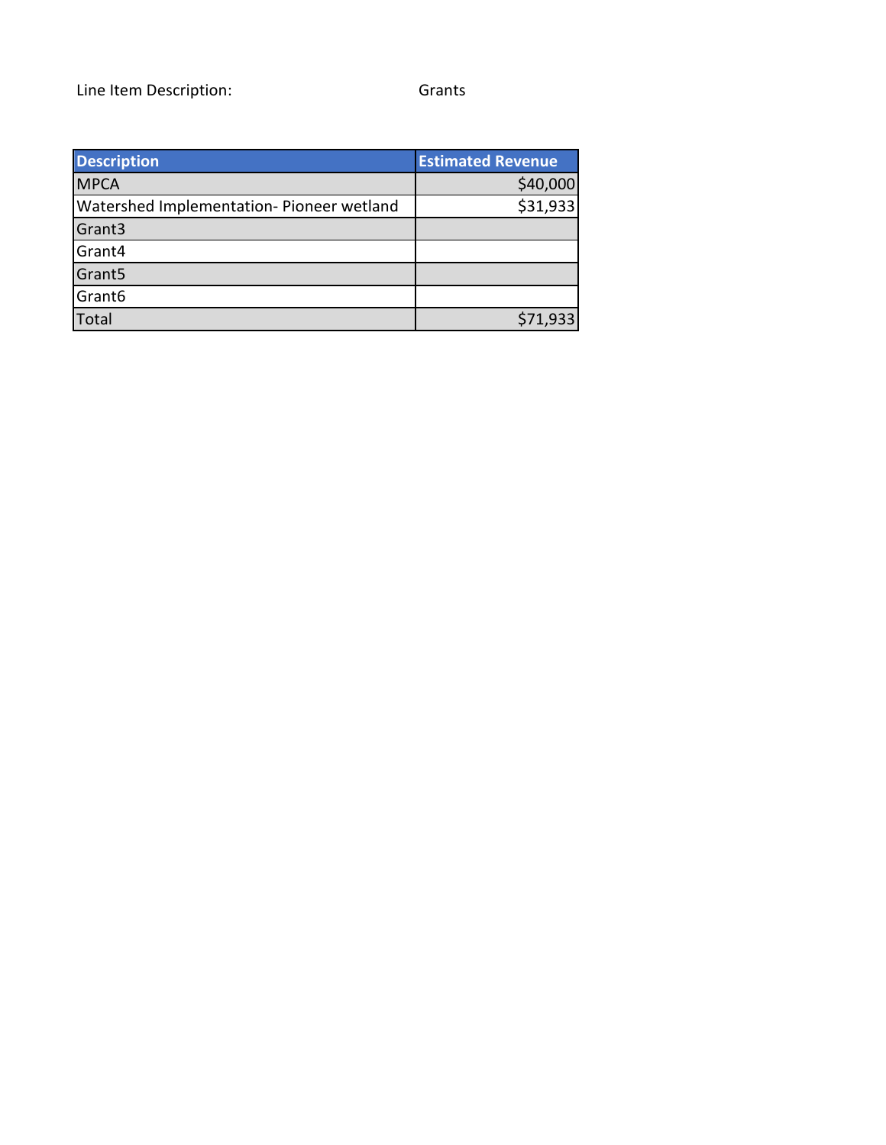| <b>Description</b>                        | <b>Estimated Revenue</b> |
|-------------------------------------------|--------------------------|
| <b>MPCA</b>                               | \$40,000                 |
| Watershed Implementation- Pioneer wetland | \$31,933                 |
| Grant3                                    |                          |
| Grant4                                    |                          |
| Grant <sub>5</sub>                        |                          |
| Grant <sub>6</sub>                        |                          |
| Total                                     | \$71,933                 |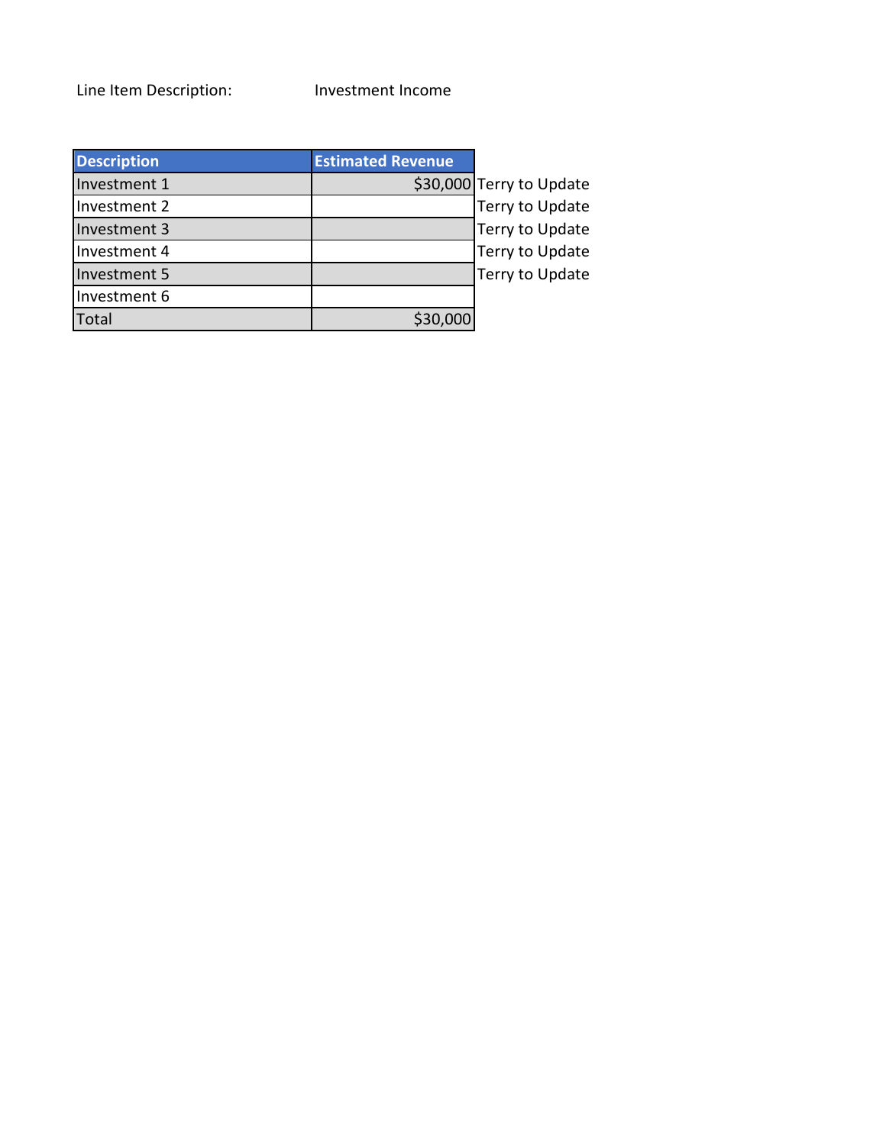Line Item Description: Investment Income

| <b>Description</b> | <b>Estimated Revenue</b> |                          |
|--------------------|--------------------------|--------------------------|
| Investment 1       |                          | \$30,000 Terry to Update |
| Investment 2       |                          | Terry to Update          |
| Investment 3       |                          | Terry to Update          |
| Investment 4       |                          | Terry to Update          |
| Investment 5       |                          | Terry to Update          |
| Investment 6       |                          |                          |
| Total              | \$30,000                 |                          |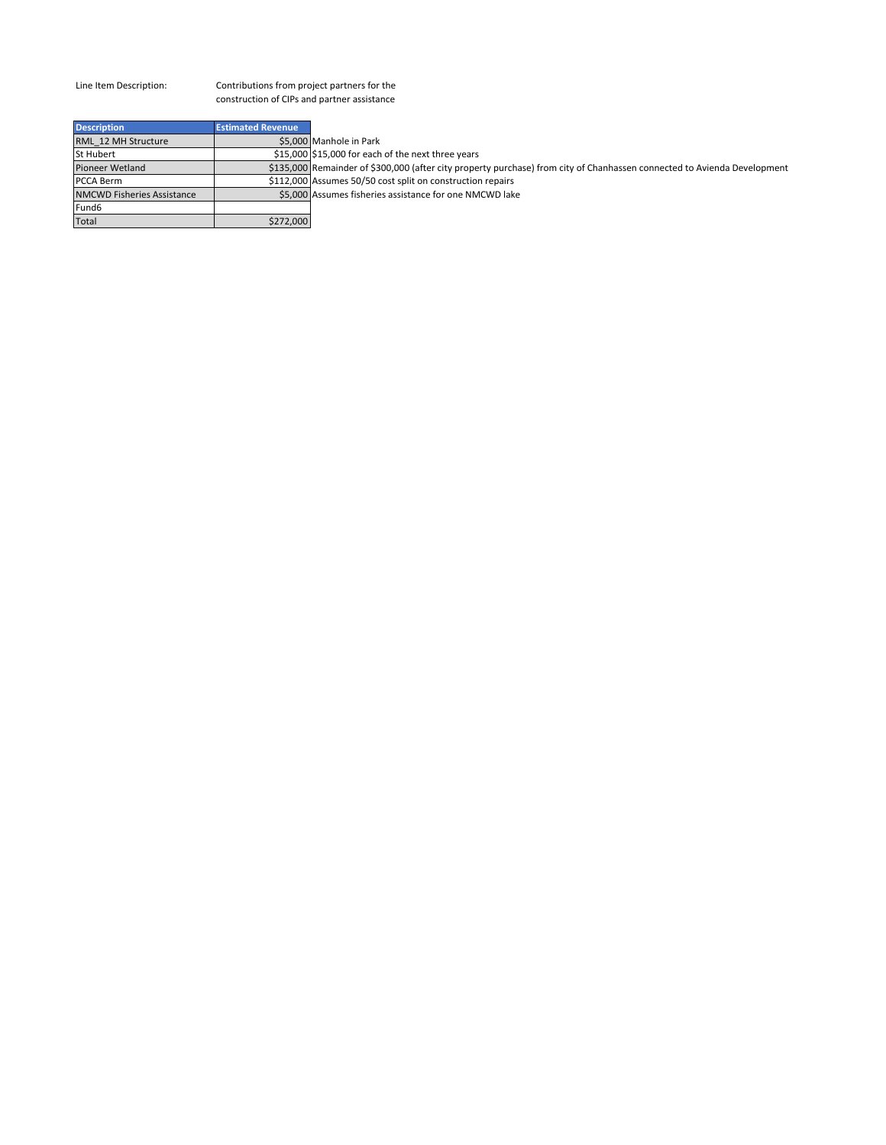Contributions from project partners for the construction of CIPs and partner assistance

| <b>Estimated Revenue</b> |                                                                                                                          |
|--------------------------|--------------------------------------------------------------------------------------------------------------------------|
|                          | \$5.000 Manhole in Park                                                                                                  |
|                          | \$15,000 \$15,000 for each of the next three years                                                                       |
|                          | \$135,000 Remainder of \$300,000 (after city property purchase) from city of Chanhassen connected to Avienda Development |
|                          | \$112,000 Assumes 50/50 cost split on construction repairs                                                               |
|                          | \$5,000 Assumes fisheries assistance for one NMCWD lake                                                                  |
|                          |                                                                                                                          |
| \$272,000                |                                                                                                                          |
|                          |                                                                                                                          |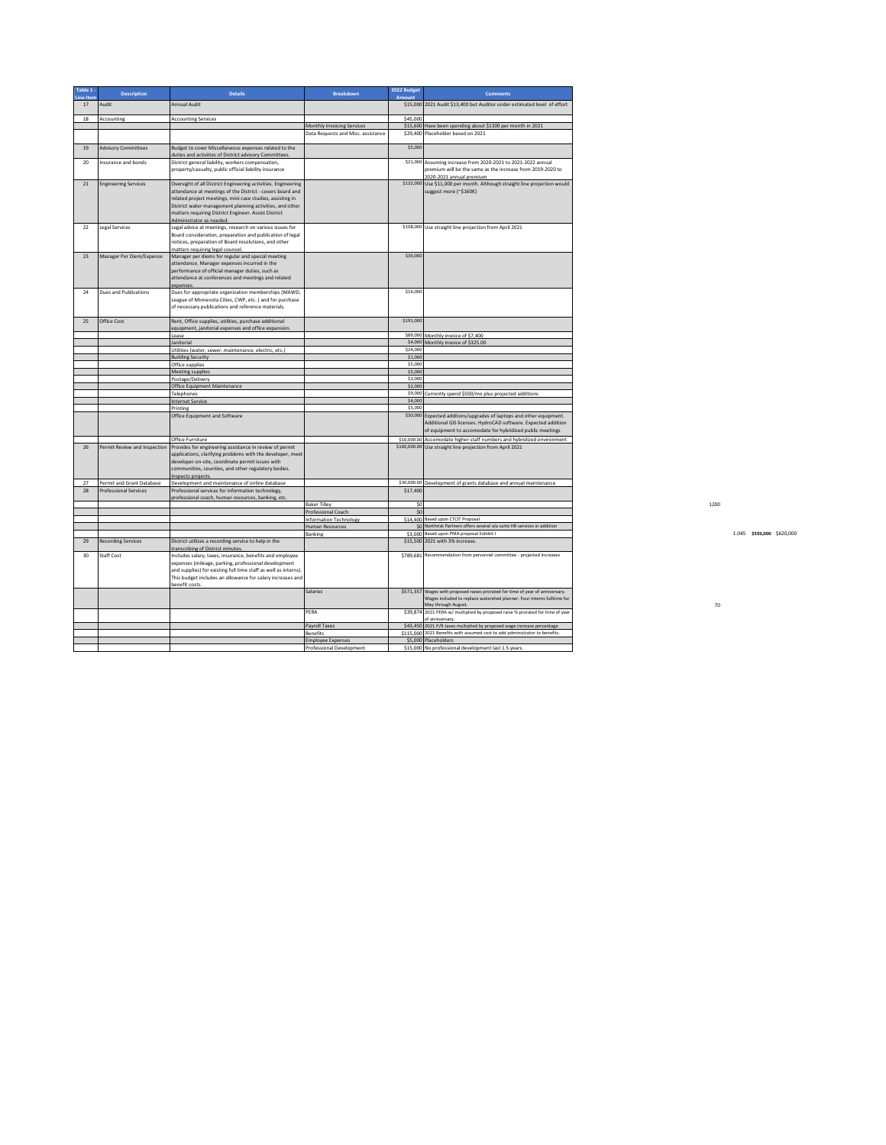| Table 1<br>ine Iten | <b>Description</b>           | <b>Details</b>                                                                                                                                                                                                                                                         | <b>Breakdown</b>                   | 2022 Budget<br>Amount | <b>Comments</b>                                                                                                                                                                                   |  |
|---------------------|------------------------------|------------------------------------------------------------------------------------------------------------------------------------------------------------------------------------------------------------------------------------------------------------------------|------------------------------------|-----------------------|---------------------------------------------------------------------------------------------------------------------------------------------------------------------------------------------------|--|
| 17                  | Audit                        | Annual Audit                                                                                                                                                                                                                                                           |                                    |                       | \$15,000 2021 Audit \$13,400 but Auditor under estimated level of effort                                                                                                                          |  |
| 18                  | Accounting                   | <b>Accounting Services</b>                                                                                                                                                                                                                                             |                                    | \$45,000              |                                                                                                                                                                                                   |  |
|                     |                              |                                                                                                                                                                                                                                                                        | Monthly Invoicing Services         |                       | \$15,600 Have been spending about \$1300 per month in 2021                                                                                                                                        |  |
|                     |                              |                                                                                                                                                                                                                                                                        | Data Requests and Misc. assistance |                       | \$29,400 Placeholder based on 2021                                                                                                                                                                |  |
| 19                  | <b>Advisory Committees</b>   | Budget to cover Miscellaneous expenses related to the<br>duties and activities of District advisory Committees                                                                                                                                                         |                                    | \$5,000               |                                                                                                                                                                                                   |  |
| 20                  | Insurance and bonds          | District general liability, workers compensation,                                                                                                                                                                                                                      |                                    |                       | \$21,000 Assuming increase from 2020-2021 to 2021-2022 annual                                                                                                                                     |  |
|                     |                              | property/casualty, public official liability insurance                                                                                                                                                                                                                 |                                    |                       | premium will be the same as the increase from 2019-2020 to<br>2020-2021 annual premium                                                                                                            |  |
| 21                  | <b>Engineering Services</b>  | Oversight of all District Engineering activities. Engineering                                                                                                                                                                                                          |                                    |                       | \$132,000 Use \$11,000 per month. Although straight line projection would                                                                                                                         |  |
|                     |                              | attendance at meetings of the District - covers board and<br>related project meetings, mini case studies, assisting in<br>District water management planning activities, and other<br>matters requiring District Engineer. Assist District<br>Administrator as needed. |                                    |                       | suggest more (~\$160K)                                                                                                                                                                            |  |
| 22                  | Legal Services               | Legal advice at meetings, research on various issues for<br>Board consideration, preparation and publication of legal<br>notices, preparation of Board resolutions, and other<br>matters requiring legal counsel.                                                      |                                    |                       | \$108,000 Use straight line projection from April 2021                                                                                                                                            |  |
| 23                  | Manager Per Diem/Expense     | Manager per diems for regular and special meeting<br>attendance. Manager expenses incurred in the<br>performance of official manager duties, such as<br>attendance at conferences and meetings and related<br>expenses.                                                |                                    | \$30,000              |                                                                                                                                                                                                   |  |
| 24                  | Dues and Publications        | Dues for appropriate organization memberships (MAWD,<br>eague of Minnesota Cities, CWP, etc. ) and for purchase<br>of necessary publications and reference materials.                                                                                                  |                                    | \$16,000              |                                                                                                                                                                                                   |  |
| 25                  | Office Cost                  | Rent, Office supplies, utilities, purchase additional<br>equipment, janitorial expenses and office expansion.                                                                                                                                                          |                                    | \$191,000             |                                                                                                                                                                                                   |  |
|                     |                              | Lease                                                                                                                                                                                                                                                                  |                                    |                       | \$89,000 Monthly invoice of \$7,400                                                                                                                                                               |  |
|                     |                              | lanitorial                                                                                                                                                                                                                                                             |                                    | \$24,000              | \$4,000 Monthly invoice of \$325.00                                                                                                                                                               |  |
|                     |                              | Utilities (water, sewer, maintenance, electric, etc.)<br><b>Building Security</b>                                                                                                                                                                                      |                                    | \$1,000               |                                                                                                                                                                                                   |  |
|                     |                              | Office supplies                                                                                                                                                                                                                                                        |                                    | \$5,000               |                                                                                                                                                                                                   |  |
|                     |                              | Meeting supplies                                                                                                                                                                                                                                                       |                                    | \$5,000               |                                                                                                                                                                                                   |  |
|                     |                              | Postage/Delivery                                                                                                                                                                                                                                                       |                                    | \$3,000               |                                                                                                                                                                                                   |  |
|                     |                              | Office Equipment Maintenance                                                                                                                                                                                                                                           |                                    | \$2,000               |                                                                                                                                                                                                   |  |
|                     |                              | Telephones                                                                                                                                                                                                                                                             |                                    |                       | \$9,000 Currently spend \$500/mo plus projected additions                                                                                                                                         |  |
|                     |                              | Internet Service                                                                                                                                                                                                                                                       |                                    | \$4,000               |                                                                                                                                                                                                   |  |
|                     |                              | Printing                                                                                                                                                                                                                                                               |                                    | \$5,000               |                                                                                                                                                                                                   |  |
|                     |                              | Office Equipment and Software                                                                                                                                                                                                                                          |                                    |                       | \$30,000 Expected additons/upgrades of laptops and other equipment.<br>Additional GIS licenses. HydroCAD software. Expected addition<br>of equipment to accomodate for hybridized public meetings |  |
|                     |                              | Office Furniture                                                                                                                                                                                                                                                       |                                    |                       | \$10,000.00 Accomodate higher staff numbers and hybridized environment                                                                                                                            |  |
| 26                  | Permit Review and Inspection | Provides for engineering assistance in review of permit<br>applications, clarifying problems with the developer, meet<br>developer on-site, coordinate permit issues with<br>communities, counties, and other regulatory bodies.<br>nspects projects                   |                                    |                       | \$160,000.00 Use straight line projection from April 2021                                                                                                                                         |  |
| 27                  | Permit and Grant Database    | Development and maintenance of online database                                                                                                                                                                                                                         |                                    |                       | \$30,000.00 Development of grants database and annual maintenance                                                                                                                                 |  |
| 28                  | <b>Professional Services</b> | Professional services for information technology,<br>rofessional coach, human resources, banking, etc.                                                                                                                                                                 |                                    | \$17,400              |                                                                                                                                                                                                   |  |
|                     |                              |                                                                                                                                                                                                                                                                        | <b>Baker Tilley</b>                | \$0                   |                                                                                                                                                                                                   |  |
|                     |                              |                                                                                                                                                                                                                                                                        | Professional Coach                 | \$0                   |                                                                                                                                                                                                   |  |
|                     |                              |                                                                                                                                                                                                                                                                        | <b>Information Technology</b>      |                       | \$14,400 Based upon CTCIT Proposal                                                                                                                                                                |  |
|                     |                              |                                                                                                                                                                                                                                                                        | Human Resources                    |                       | \$0 Northrisk Partners offers several ala carte HR services in addition                                                                                                                           |  |
|                     |                              |                                                                                                                                                                                                                                                                        | Banking                            |                       | \$3,000 Based upon PMA proposal Exhibit I                                                                                                                                                         |  |
| 29                  | <b>Recording Services</b>    | District utilizes a recording service to help in the<br>ranscribing of District minutes                                                                                                                                                                                |                                    |                       | \$15,500 2021 with 3% increase.                                                                                                                                                                   |  |
| 30                  | <b>Staff Cost</b>            | ncludes salary, taxes, insurance, benefits and employee<br>expenses (mileage, parking, professional development<br>and supplies) for existing full time staff as well as interns).<br>This budget includes an allowance for salary increases and<br>benefit costs.     |                                    |                       | \$789,681 Recommendation from personnel committee - projected increases                                                                                                                           |  |
|                     |                              |                                                                                                                                                                                                                                                                        | Salaries                           |                       | \$571,357 Wages with proposed raises prorated for time of year of anniversary.<br>Wages included to replace watershed planner. Four interns fulltime for<br>May through August.                   |  |
|                     |                              |                                                                                                                                                                                                                                                                        | PERA                               |                       | \$39,874 2021 PERA w/ multiplied by proposed raise % prorated for time of year<br>of anniversary.                                                                                                 |  |
|                     |                              |                                                                                                                                                                                                                                                                        | <b>Payroll Taxes</b>               |                       | \$43,450 2021 P/R taxes multiplied by proposed wage increase percentage                                                                                                                           |  |
|                     |                              |                                                                                                                                                                                                                                                                        | Benefits                           |                       | \$115,000 2021 Benefits with assumed cost to add administrator to benefits.                                                                                                                       |  |
|                     |                              |                                                                                                                                                                                                                                                                        | <b>Employee Expenses</b>           |                       | \$5,000 Placeholders                                                                                                                                                                              |  |
|                     |                              |                                                                                                                                                                                                                                                                        | Professional Development           |                       | \$15,000 No professional development last 1.5 years.                                                                                                                                              |  |

Banking \$3,000 Based upon PMA proposal Exhibit I 1.045 **\$593,000** \$620,000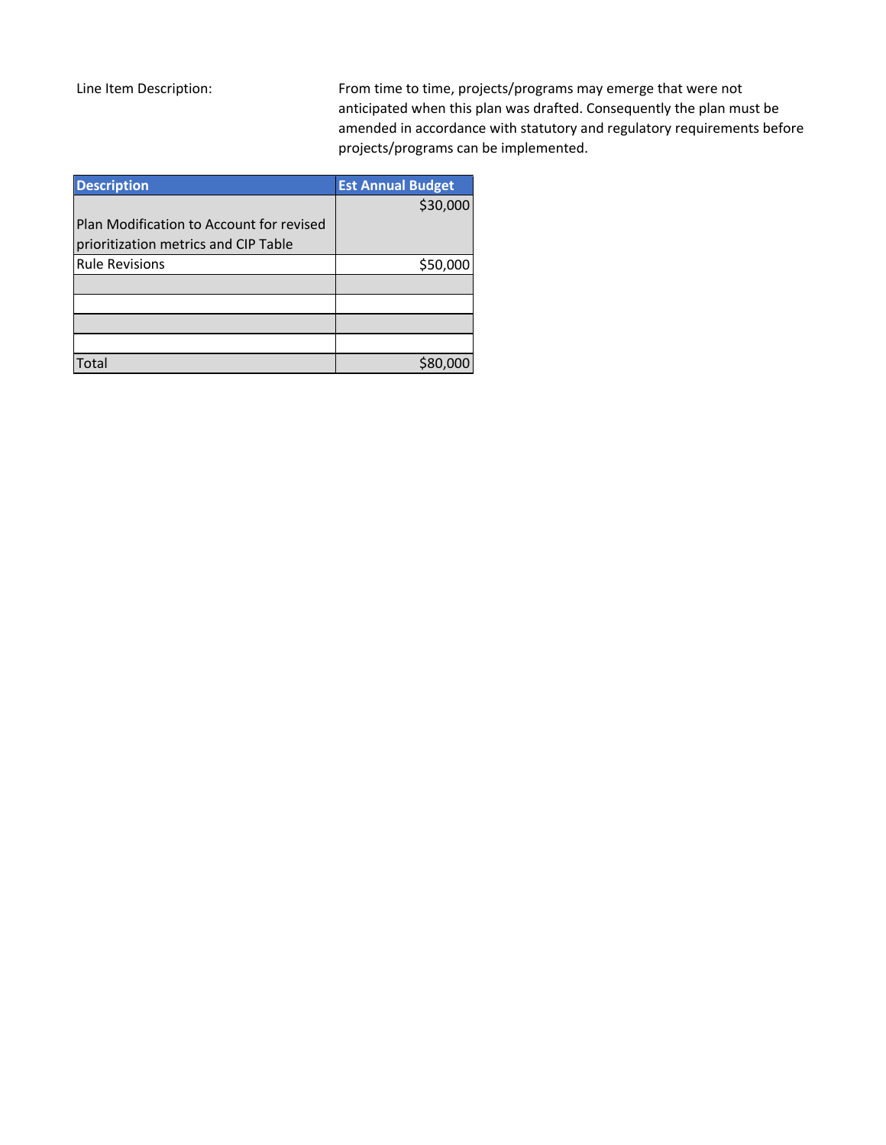From time to time, projects/programs may emerge that were not anticipated when this plan was drafted. Consequently the plan must be amended in accordance with statutory and regulatory requirements before projects/programs can be implemented.

| <b>Description</b>                       | <b>Est Annual Budget</b> |
|------------------------------------------|--------------------------|
|                                          | \$30,000                 |
| Plan Modification to Account for revised |                          |
| prioritization metrics and CIP Table     |                          |
| <b>Rule Revisions</b>                    | \$50,000                 |
|                                          |                          |
|                                          |                          |
|                                          |                          |
|                                          |                          |
| otal                                     |                          |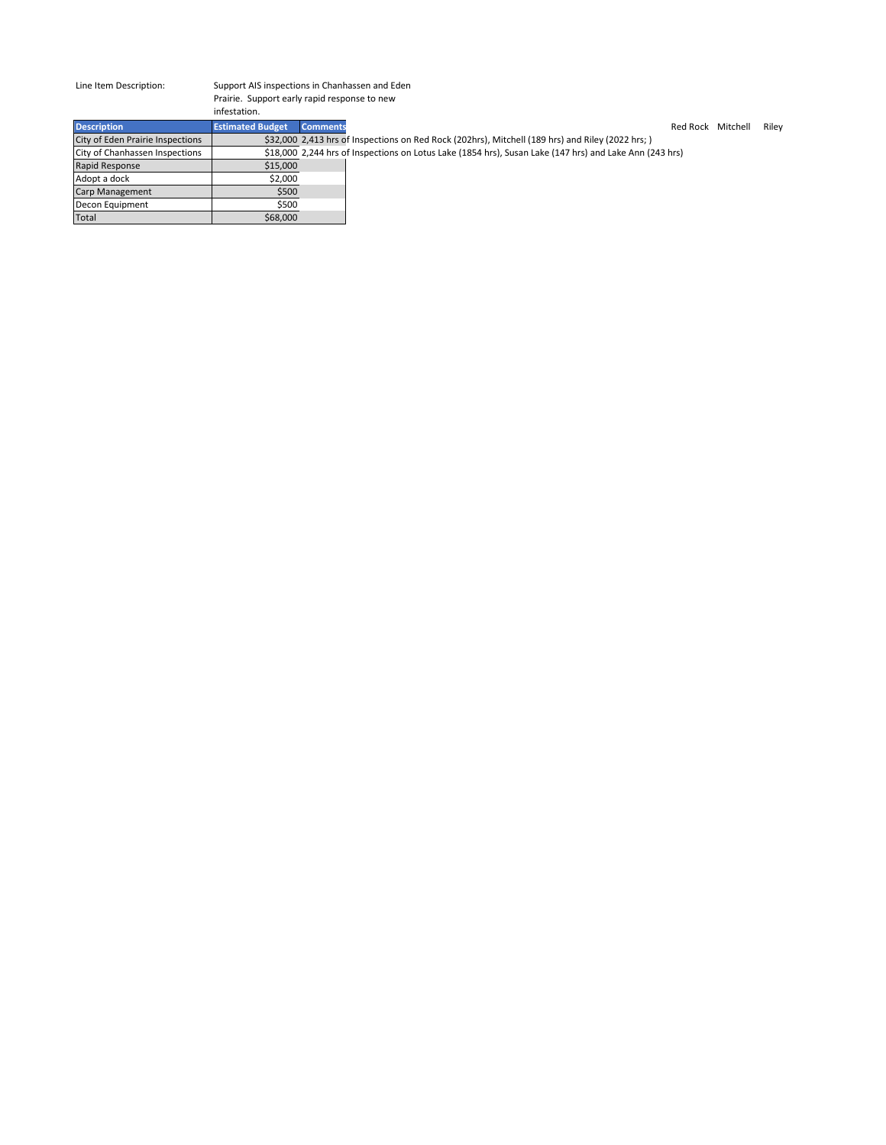#### Support AIS inspections in Chanhassen and Eden Prairie. Support early rapid response to new infestation.

| <b>Description</b>               | <b>Estimated Budget</b> | <b>Comments</b> | Red Rock Mitchell                                                                                       | Riley |
|----------------------------------|-------------------------|-----------------|---------------------------------------------------------------------------------------------------------|-------|
| City of Eden Prairie Inspections |                         |                 | \$32,000 2,413 hrs of Inspections on Red Rock (202hrs), Mitchell (189 hrs) and Riley (2022 hrs;)        |       |
| City of Chanhassen Inspections   |                         |                 | \$18,000 2,244 hrs of Inspections on Lotus Lake (1854 hrs), Susan Lake (147 hrs) and Lake Ann (243 hrs) |       |
| Rapid Response                   | \$15,000                |                 |                                                                                                         |       |
| Adopt a dock                     | \$2,000                 |                 |                                                                                                         |       |
| <b>Carp Management</b>           | \$500                   |                 |                                                                                                         |       |
| <b>Decon Equipment</b>           | \$500                   |                 |                                                                                                         |       |
| Total                            | \$68,000                |                 |                                                                                                         |       |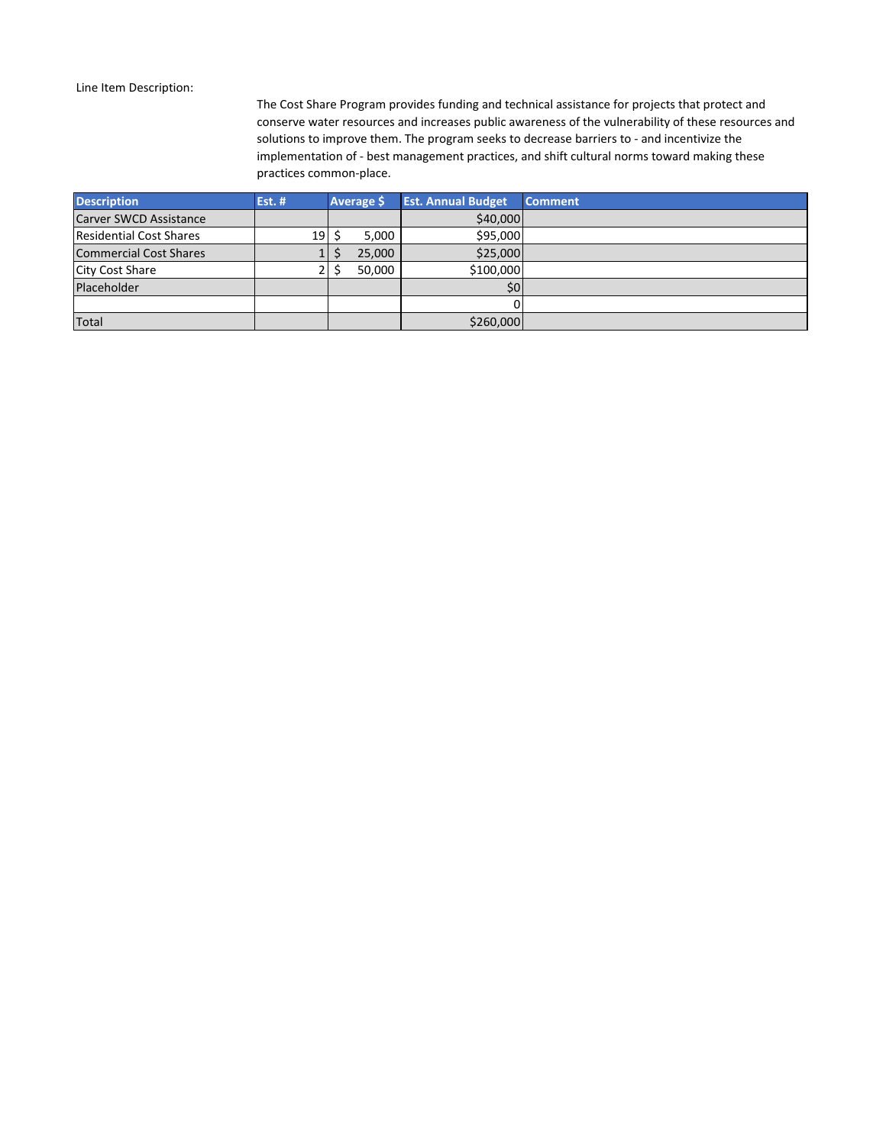The Cost Share Program provides funding and technical assistance for projects that protect and conserve water resources and increases public awareness of the vulnerability of these resources and solutions to improve them. The program seeks to decrease barriers to - and incentivize the implementation of - best management practices, and shift cultural norms toward making these practices common-place.

| <b>Description</b>             | <b>Est. #</b> |   | <b>Average \$</b> | <b>Est. Annual Budget</b> | Comment |
|--------------------------------|---------------|---|-------------------|---------------------------|---------|
| Carver SWCD Assistance         |               |   |                   | \$40,000                  |         |
| <b>Residential Cost Shares</b> | 19            |   | 5,000             | \$95,000                  |         |
| <b>Commercial Cost Shares</b>  | Ŧ.            | S | 25,000            | \$25,000                  |         |
| <b>City Cost Share</b>         |               |   | 50.000            | \$100,000                 |         |
| Placeholder                    |               |   |                   | \$0                       |         |
|                                |               |   |                   |                           |         |
| Total                          |               |   |                   | \$260,000                 |         |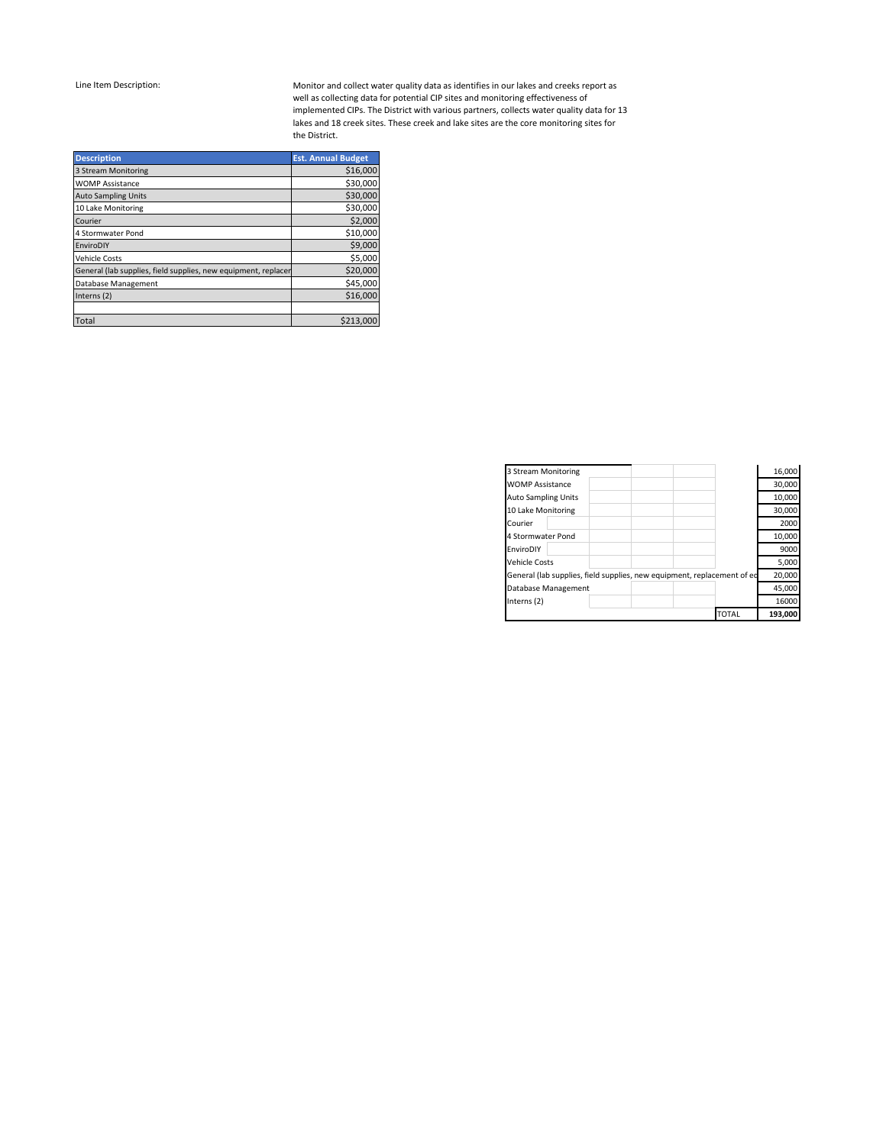Monitor and collect water quality data as identifies in our lakes and creeks report as well as collecting data for potential CIP sites and monitoring effectiveness of implemented CIPs. The District with various partners, collects water quality data for 13 lakes and 18 creek sites. These creek and lake sites are the core monitoring sites for the District.

| <b>Description</b>                                             | <b>Est. Annual Budget</b> |
|----------------------------------------------------------------|---------------------------|
| 3 Stream Monitoring                                            | \$16,000                  |
| <b>WOMP Assistance</b>                                         | \$30,000                  |
| <b>Auto Sampling Units</b>                                     | \$30,000                  |
| 10 Lake Monitoring                                             | \$30,000                  |
| Courier                                                        | \$2,000                   |
| 4 Stormwater Pond                                              | \$10,000                  |
| EnviroDIY                                                      | \$9,000                   |
| <b>Vehicle Costs</b>                                           | \$5,000                   |
| General (lab supplies, field supplies, new equipment, replacer | \$20,000                  |
| Database Management                                            | \$45,000                  |
| Interns (2)                                                    | \$16,000                  |
|                                                                |                           |
| <b>Total</b>                                                   | \$213,000                 |

| 3 Stream Monitoring        |                                                                         | 16,000  |
|----------------------------|-------------------------------------------------------------------------|---------|
| <b>WOMP Assistance</b>     |                                                                         | 30,000  |
| <b>Auto Sampling Units</b> |                                                                         | 10,000  |
| 10 Lake Monitoring         |                                                                         | 30,000  |
| Courier                    |                                                                         | 2000    |
| 4 Stormwater Pond          |                                                                         | 10,000  |
| EnviroDIY                  |                                                                         | 9000    |
| Vehicle Costs              |                                                                         | 5,000   |
|                            | General (lab supplies, field supplies, new equipment, replacement of ed | 20,000  |
| Database Management        |                                                                         | 45,000  |
| Interns (2)                |                                                                         | 16000   |
|                            | <b>TOTAL</b>                                                            | 193,000 |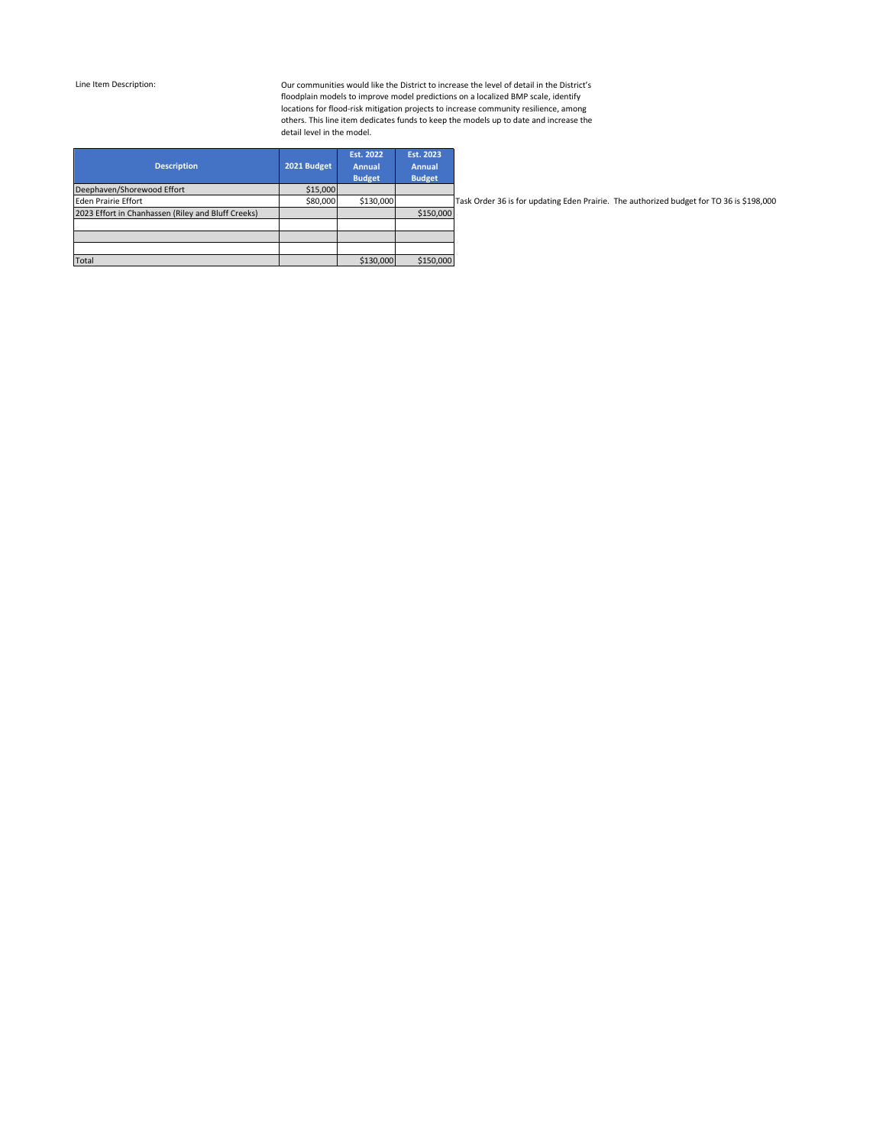Our communities would like the District to increase the level of detail in the District's floodplain models to improve model predictions on a localized BMP scale, identify locations for flood-risk mitigation projects to increase community resilience, among others. This line item dedicates funds to keep the models up to date and increase the detail level in the model.

| <b>Description</b>                                 | 2021 Budget | Est. 2022<br><b>Annual</b><br><b>Budget</b> | Est. 2023<br><b>Annual</b><br><b>Budget</b> |     |
|----------------------------------------------------|-------------|---------------------------------------------|---------------------------------------------|-----|
| Deephaven/Shorewood Effort                         | \$15,000    |                                             |                                             |     |
| <b>Eden Prairie Effort</b>                         | \$80,000    | \$130,000                                   |                                             | Tas |
| 2023 Effort in Chanhassen (Riley and Bluff Creeks) |             |                                             | \$150,000                                   |     |
|                                                    |             |                                             |                                             |     |
|                                                    |             |                                             |                                             |     |
|                                                    |             |                                             |                                             |     |
| <b>Total</b>                                       |             | \$130,000                                   | \$150,000                                   |     |

sk Order 36 is for updating Eden Prairie. The authorized budget for TO 36 is \$198,000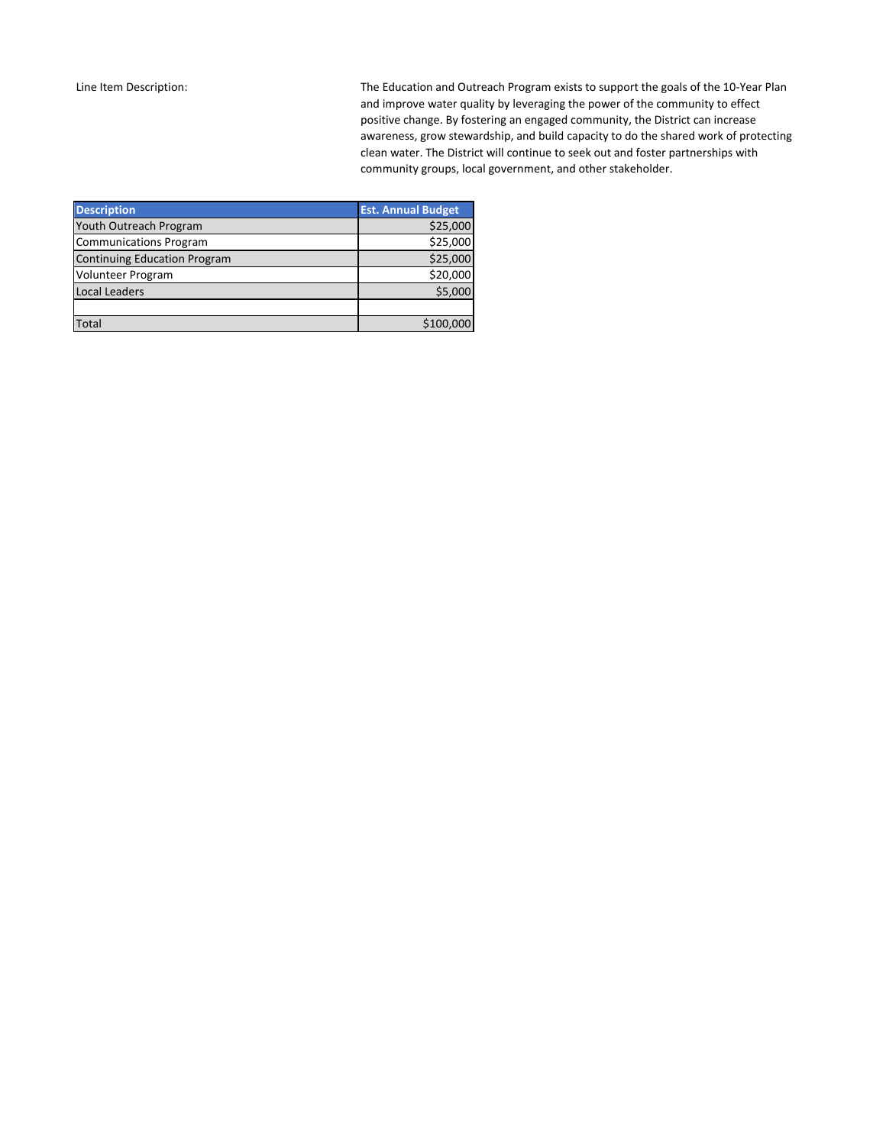The Education and Outreach Program exists to support the goals of the 10-Year Plan and improve water quality by leveraging the power of the community to effect positive change. By fostering an engaged community, the District can increase awareness, grow stewardship, and build capacity to do the shared work of protecting clean water. The District will continue to seek out and foster partnerships with community groups, local government, and other stakeholder.

| <b>Description</b>                  | <b>Est. Annual Budget</b> |
|-------------------------------------|---------------------------|
| Youth Outreach Program              | \$25,000                  |
| <b>Communications Program</b>       | \$25,000                  |
| <b>Continuing Education Program</b> | \$25,000                  |
| <b>Volunteer Program</b>            | \$20,000                  |
| <b>Local Leaders</b>                | \$5.000                   |
|                                     |                           |
| Total                               | \$100,000                 |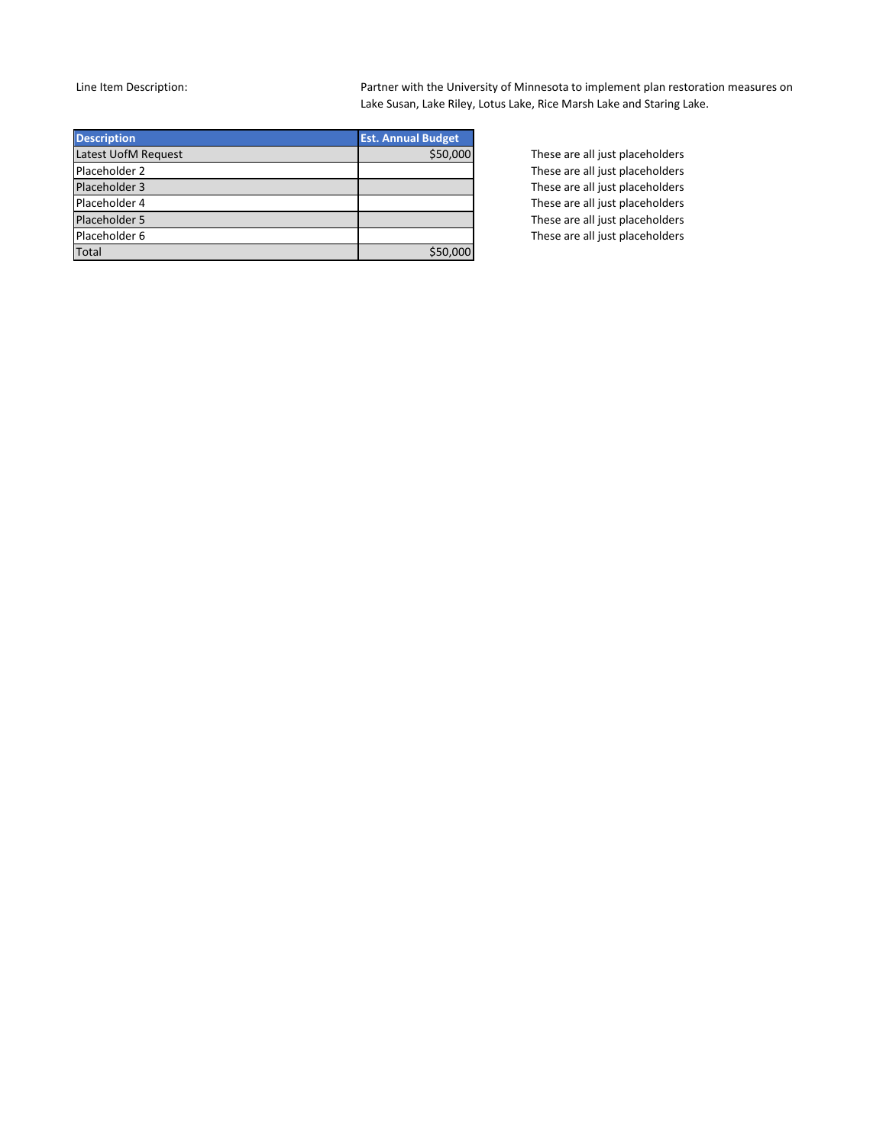Partner with the University of Minnesota to implement plan restoration measures on Lake Susan, Lake Riley, Lotus Lake, Rice Marsh Lake and Staring Lake.

| <b>Description</b>  | <b>Est. Annual Budget</b> |
|---------------------|---------------------------|
| Latest UofM Request | \$50,000                  |
| Placeholder 2       |                           |
| Placeholder 3       |                           |
| Placeholder 4       |                           |
| Placeholder 5       |                           |
| Placeholder 6       |                           |
| <b>Total</b>        | \$50,000                  |

These are all just placeholders These are all just placeholders These are all just placeholders These are all just placeholders These are all just placeholders These are all just placeholders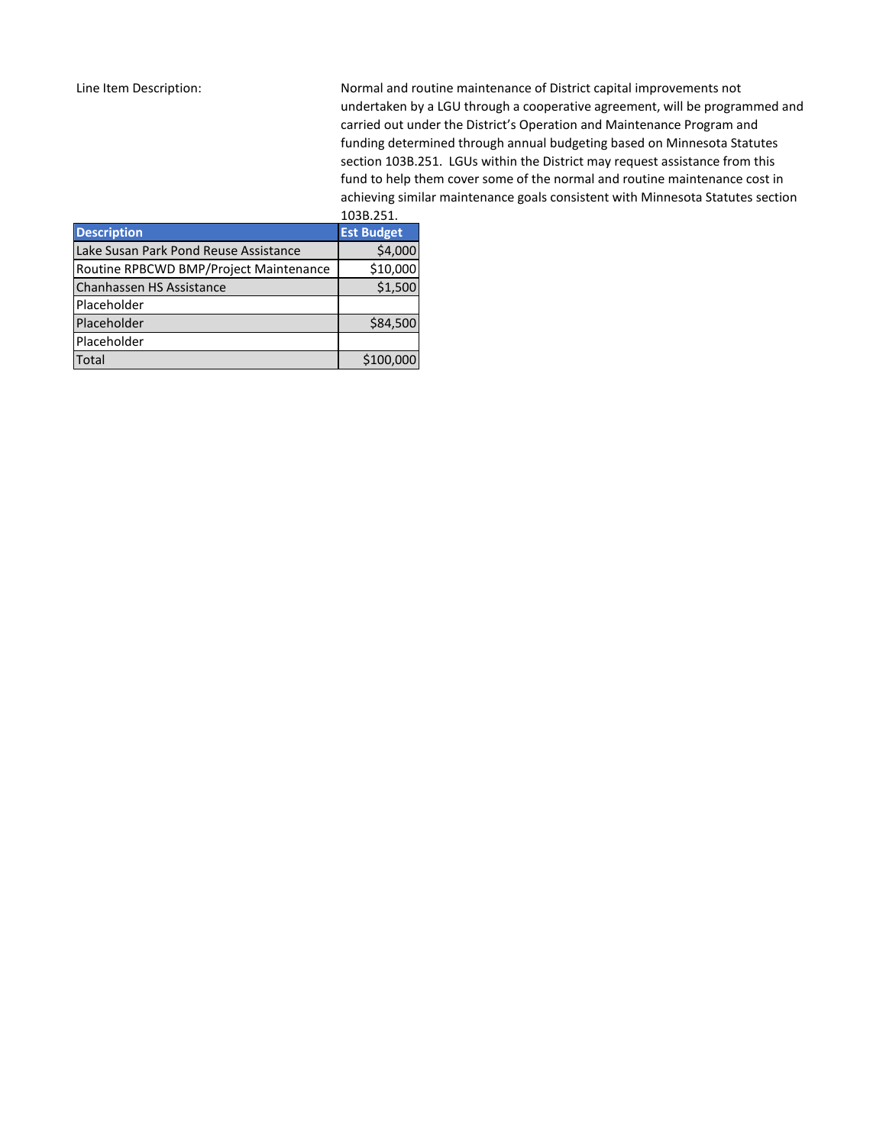Normal and routine maintenance of District capital improvements not undertaken by a LGU through a cooperative agreement, will be programmed and carried out under the District's Operation and Maintenance Program and funding determined through annual budgeting based on Minnesota Statutes section 103B.251. LGUs within the District may request assistance from this fund to help them cover some of the normal and routine maintenance cost in achieving similar maintenance goals consistent with Minnesota Statutes section 103B.3F1

|                                        | 1038.251.         |
|----------------------------------------|-------------------|
| <b>Description</b>                     | <b>Est Budget</b> |
| Lake Susan Park Pond Reuse Assistance  | \$4,000           |
| Routine RPBCWD BMP/Project Maintenance | \$10,000          |
| Chanhassen HS Assistance               | \$1,500           |
| Placeholder                            |                   |
| Placeholder                            | \$84,500          |
| Placeholder                            |                   |
| <b>Total</b>                           | \$100,000         |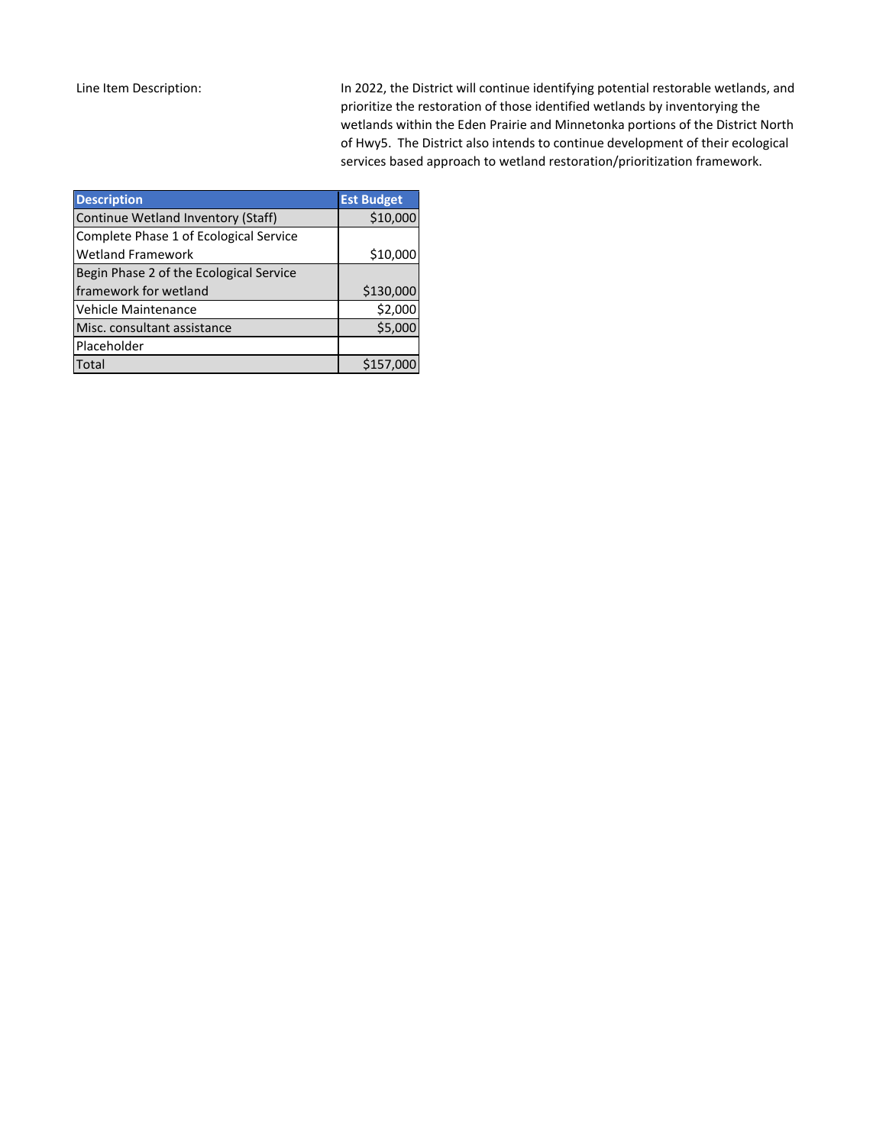In 2022, the District will continue identifying potential restorable wetlands, and prioritize the restoration of those identified wetlands by inventorying the wetlands within the Eden Prairie and Minnetonka portions of the District North of Hwy5. The District also intends to continue development of their ecological services based approach to wetland restoration/prioritization framework.

| <b>Description</b>                      | <b>Est Budget</b> |
|-----------------------------------------|-------------------|
| Continue Wetland Inventory (Staff)      | \$10,000          |
| Complete Phase 1 of Ecological Service  |                   |
| <b>Wetland Framework</b>                | \$10,000          |
| Begin Phase 2 of the Ecological Service |                   |
| framework for wetland                   | \$130,000         |
| <b>Vehicle Maintenance</b>              | \$2,000           |
| Misc. consultant assistance             | \$5,000           |
| Placeholder                             |                   |
| <b>Total</b>                            | \$157,000         |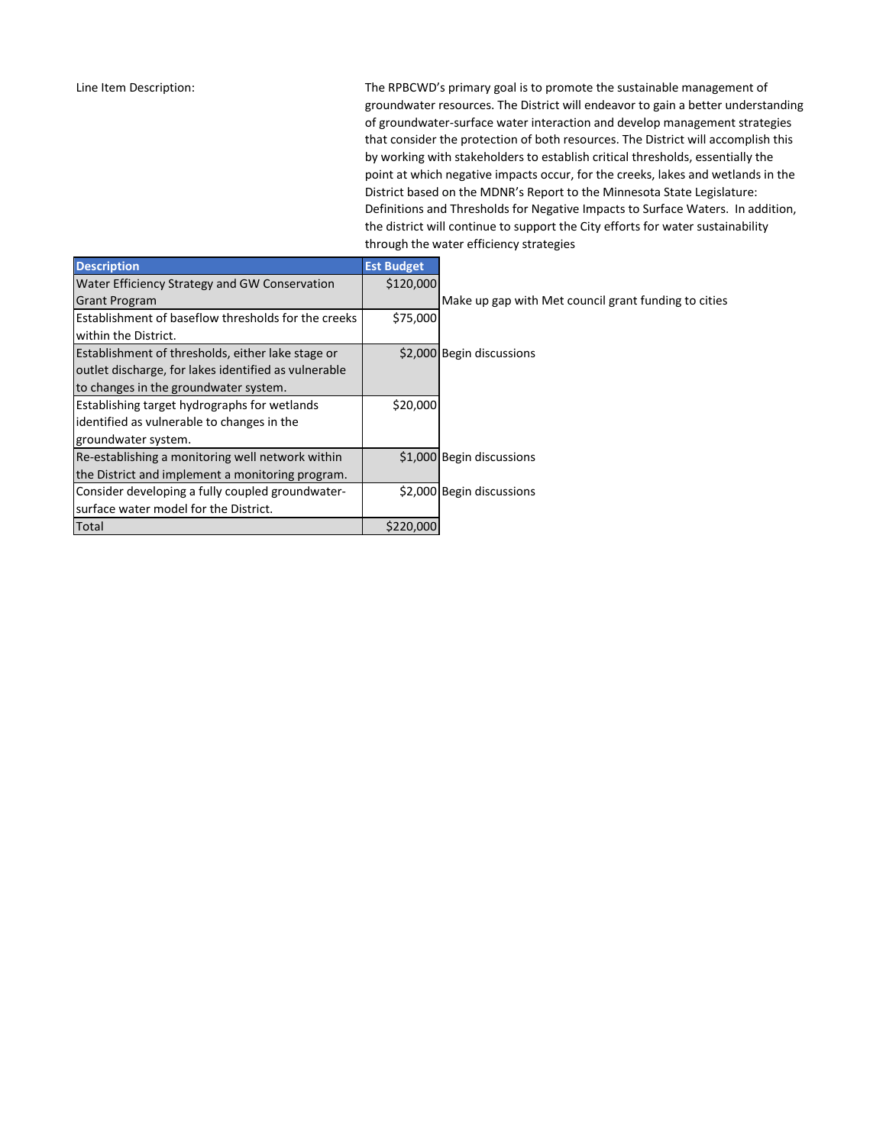The RPBCWD's primary goal is to promote the sustainable management of groundwater resources. The District will endeavor to gain a better understanding of groundwater-surface water interaction and develop management strategies that consider the protection of both resources. The District will accomplish this by working with stakeholders to establish critical thresholds, essentially the point at which negative impacts occur, for the creeks, lakes and wetlands in the District based on the MDNR's Report to the Minnesota State Legislature: Definitions and Thresholds for Negative Impacts to Surface Waters. In addition, the district will continue to support the City efforts for water sustainability through the water efficiency strategies

| <b>Description</b>                                   | <b>Est Budget</b> |                                                      |
|------------------------------------------------------|-------------------|------------------------------------------------------|
| Water Efficiency Strategy and GW Conservation        | \$120,000         |                                                      |
| <b>Grant Program</b>                                 |                   | Make up gap with Met council grant funding to cities |
| Establishment of baseflow thresholds for the creeks  | \$75,000          |                                                      |
| lwithin the District.                                |                   |                                                      |
| Establishment of thresholds, either lake stage or    |                   | \$2,000 Begin discussions                            |
| outlet discharge, for lakes identified as vulnerable |                   |                                                      |
| to changes in the groundwater system.                |                   |                                                      |
| <b>Establishing target hydrographs for wetlands</b>  | \$20,000          |                                                      |
| lidentified as vulnerable to changes in the          |                   |                                                      |
| groundwater system.                                  |                   |                                                      |
| Re-establishing a monitoring well network within     |                   | \$1,000 Begin discussions                            |
| the District and implement a monitoring program.     |                   |                                                      |
| Consider developing a fully coupled groundwater-     |                   | \$2,000 Begin discussions                            |
| Isurface water model for the District.               |                   |                                                      |
| Total                                                | \$220,000         |                                                      |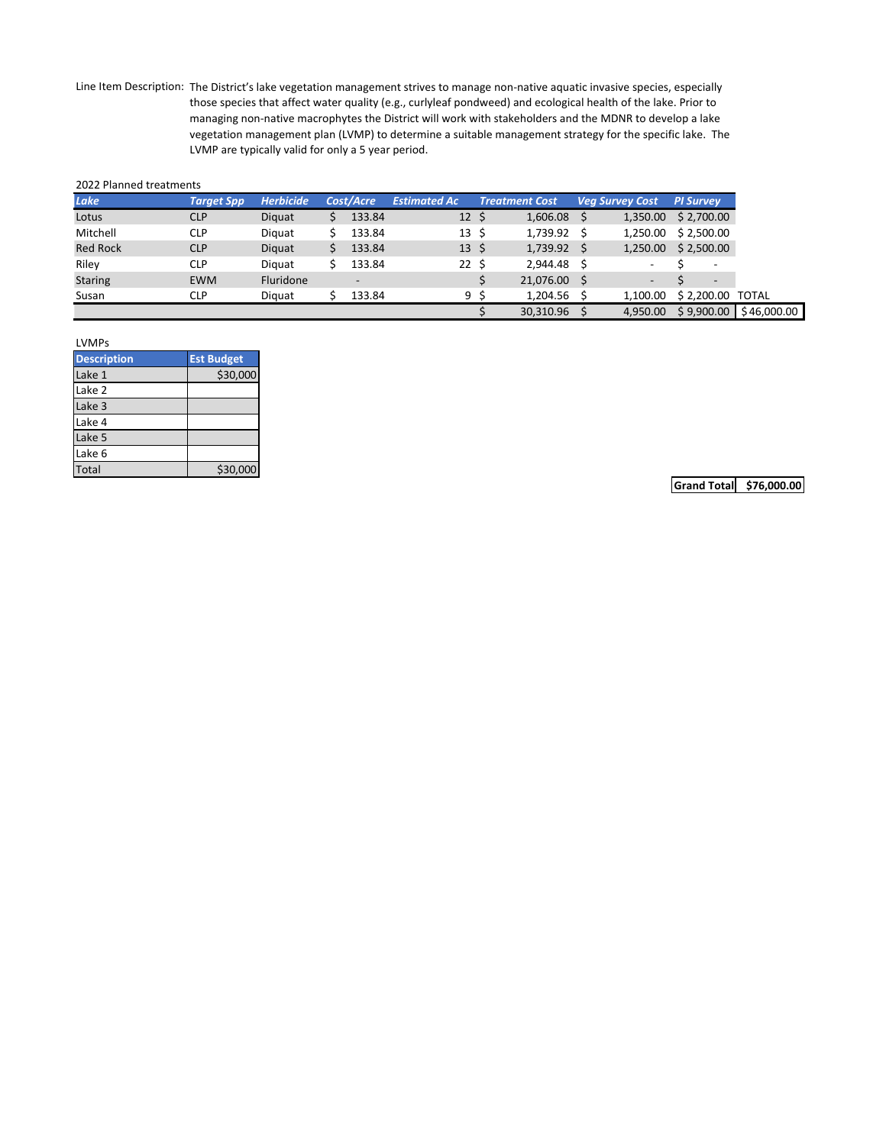Line Item Description: The District's lake vegetation management strives to manage non-native aquatic invasive species, especially those species that affect water quality (e.g., curlyleaf pondweed) and ecological health of the lake. Prior to managing non-native macrophytes the District will work with stakeholders and the MDNR to develop a lake vegetation management plan (LVMP) to determine a suitable management strategy for the specific lake. The LVMP are typically valid for only a 5 year period.

#### 2022 Planned treatments

| <b>Lake</b>     | <b>Target Spp</b> | <b>Herbicide</b> | Cost/Acre      | <b>Estimated Ac</b> |     | <b>Treatment Cost</b> | <b>Veg Survey Cost</b> | <b>PI Survey</b> |                          |              |
|-----------------|-------------------|------------------|----------------|---------------------|-----|-----------------------|------------------------|------------------|--------------------------|--------------|
| Lotus           | <b>CLP</b>        | Diguat           | 133.84         | 12 <sup>2</sup>     | -\$ | 1,606.08              | 1,350.00               |                  | \$2,700.00               |              |
| Mitchell        | <b>CLP</b>        | Diguat           | 133.84         | $13 \cdot 5$        |     | 1.739.92 \$           | 1.250.00               |                  | \$2,500.00               |              |
| <b>Red Rock</b> | <b>CLP</b>        | Diguat           | 133.84         | $13 \;$ \$          |     | $1,739.92$ \$         | 1,250.00               |                  | \$2,500.00               |              |
| Riley           | <b>CLP</b>        | Diauat           | 133.84         | 22S                 |     | 2.944.48 \$           | -                      |                  | $\overline{\phantom{a}}$ |              |
| <b>Staring</b>  | <b>EWM</b>        | Fluridone        | $\overline{a}$ |                     |     | 21,076.00 \$          |                        |                  | $\overline{\phantom{a}}$ |              |
| Susan           | CLP               | Diauat           | 133.84         |                     | 9 S | 1.204.56 \$           | 1.100.00               |                  | \$2,200.00               | <b>TOTAL</b> |
|                 |                   |                  |                |                     |     | 30.310.96             | 4.950.00               |                  | \$9.900.00               |              |

| <b>LVMPs</b>       |                   |
|--------------------|-------------------|
| <b>Description</b> | <b>Est Budget</b> |
| Lake 1             | \$30,000          |
| Lake 2             |                   |
| Lake 3             |                   |
| Lake 4             |                   |
| Lake <sub>5</sub>  |                   |
| Lake 6             |                   |
| <b>Total</b>       | \$30,000          |

**Grand Total \$76,000.00**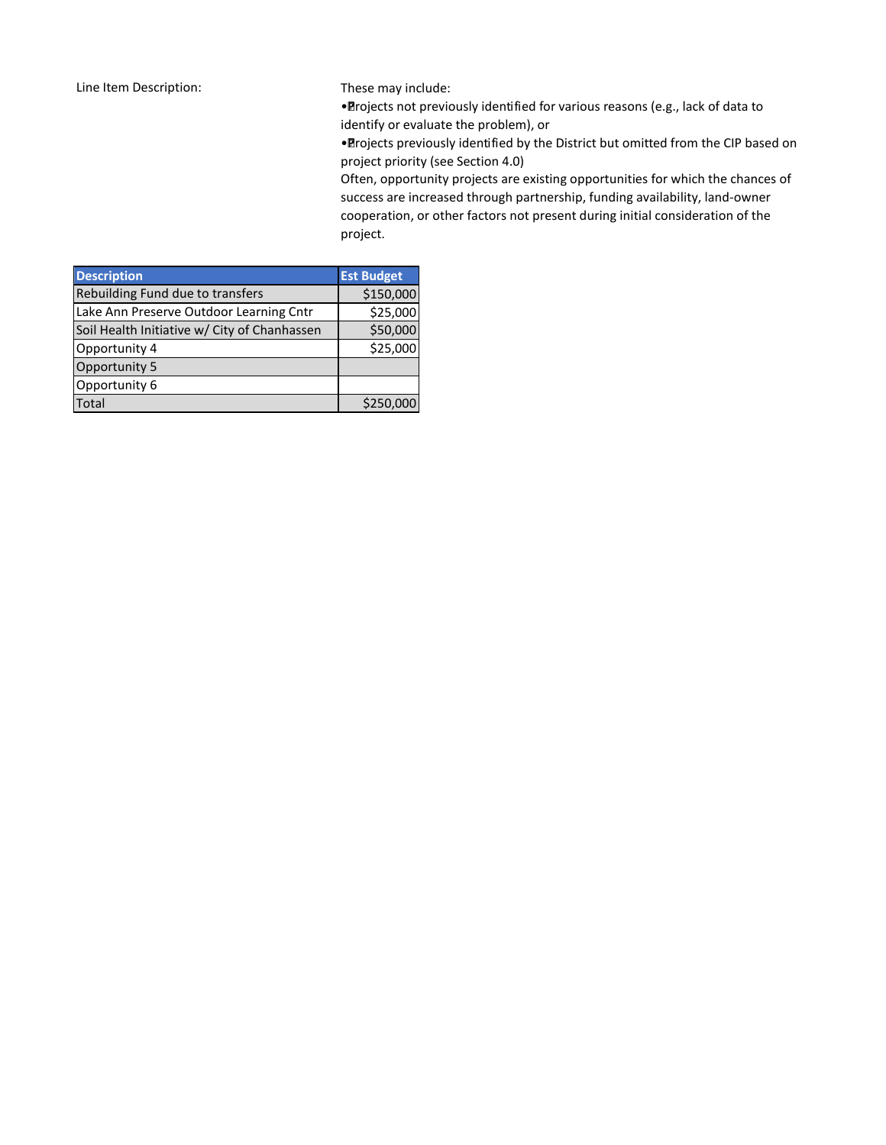These may include:

• Projects not previously identified for various reasons (e.g., lack of data to identify or evaluate the problem), or

• Projects previously identified by the District but omitted from the CIP based on project priority (see Section 4.0)

Often, opportunity projects are existing opportunities for which the chances of success are increased through partnership, funding availability, land-owner cooperation, or other factors not present during initial consideration of the project.

| <b>Description</b>                           | <b>Est Budget</b> |
|----------------------------------------------|-------------------|
| Rebuilding Fund due to transfers             | \$150,000         |
| Lake Ann Preserve Outdoor Learning Cntr      | \$25,000          |
| Soil Health Initiative w/ City of Chanhassen | \$50,000          |
| Opportunity 4                                | \$25,000          |
| Opportunity 5                                |                   |
| Opportunity 6                                |                   |
| <b>Total</b>                                 | \$250,000         |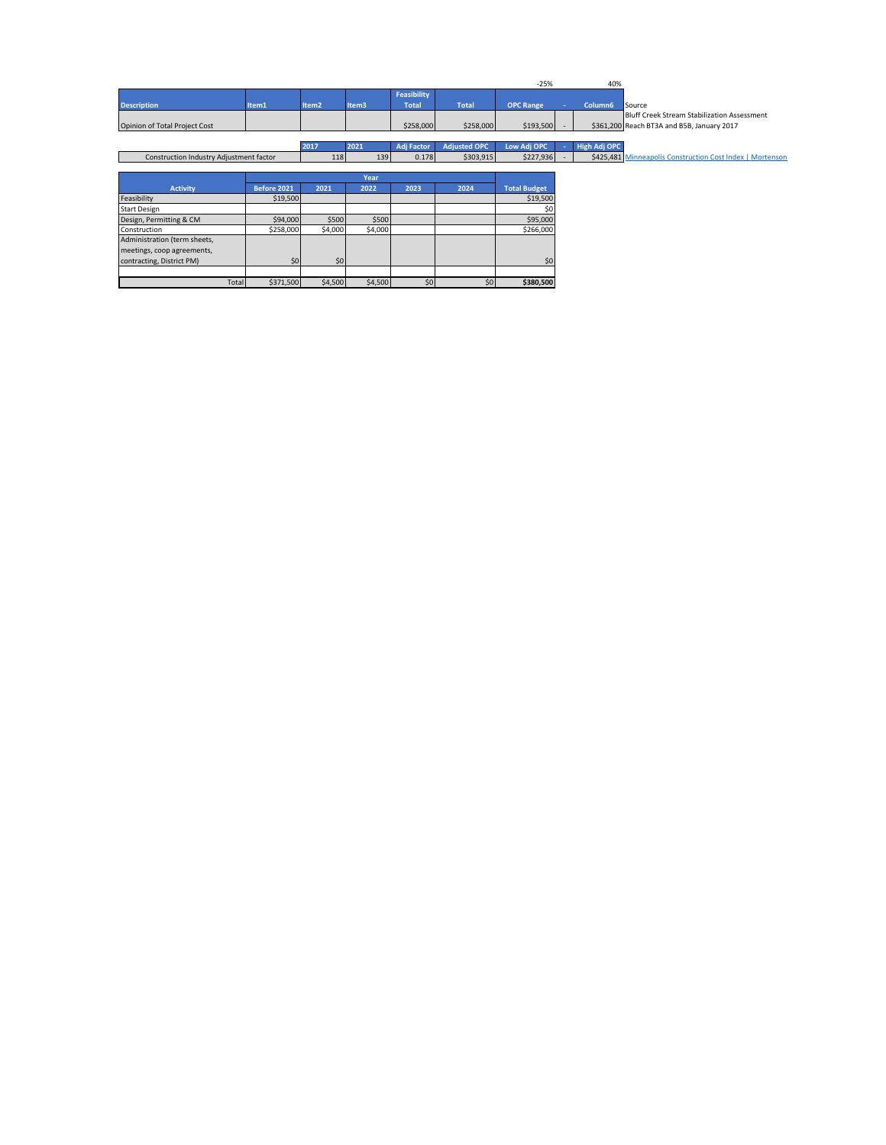|                                         |             |                   |         |                                    |                     | $-25%$              | 40%                 |                                                                                                  |
|-----------------------------------------|-------------|-------------------|---------|------------------------------------|---------------------|---------------------|---------------------|--------------------------------------------------------------------------------------------------|
| <b>Description</b>                      | Item1       | Item <sub>2</sub> | Item3   | <b>Feasibility</b><br><b>Total</b> | <b>Total</b>        | <b>OPC Range</b>    | Column6             | Source                                                                                           |
| Opinion of Total Project Cost           |             |                   |         | \$258,000                          | \$258,000           | $$193,500$ -        |                     | <b>Bluff Creek Stream Stabilization Assessment</b><br>\$361,200 Reach BT3A and B5B, January 2017 |
|                                         |             | 2017              | 2021    | <b>Adj Factor</b>                  | <b>Adjusted OPC</b> | Low Adj OPC         | <b>High Adj OPC</b> |                                                                                                  |
| Construction Industry Adjustment factor |             | 118               | 139     | 0.178                              | \$303,915           | \$227,936           |                     | \$425,481 Minneapolis Construction Cost Index   Mortenson                                        |
|                                         |             |                   |         |                                    |                     |                     |                     |                                                                                                  |
|                                         |             |                   | Year    |                                    |                     |                     |                     |                                                                                                  |
| <b>Activity</b>                         | Before 2021 | 2021              | 2022    | 2023                               | 2024                | <b>Total Budget</b> |                     |                                                                                                  |
| Feasibility                             | \$19,500    |                   |         |                                    |                     | \$19,500            |                     |                                                                                                  |
| <b>Start Design</b>                     |             |                   |         |                                    |                     | \$0                 |                     |                                                                                                  |
| Design, Permitting & CM                 | \$94,000    | \$500             | \$500   |                                    |                     | \$95,000            |                     |                                                                                                  |
| Construction                            | \$258,000   | \$4,000           | \$4,000 |                                    |                     | \$266,000           |                     |                                                                                                  |
| Administration (term sheets,            |             |                   |         |                                    |                     |                     |                     |                                                                                                  |
| meetings, coop agreements,              |             |                   |         |                                    |                     |                     |                     |                                                                                                  |
| contracting, District PM)               | \$0         | \$0               |         |                                    |                     | \$0                 |                     |                                                                                                  |
|                                         |             |                   |         |                                    |                     |                     |                     |                                                                                                  |
| Total                                   | \$371,500   | \$4,500           | \$4,500 | \$0                                | \$0                 | \$380,500           |                     |                                                                                                  |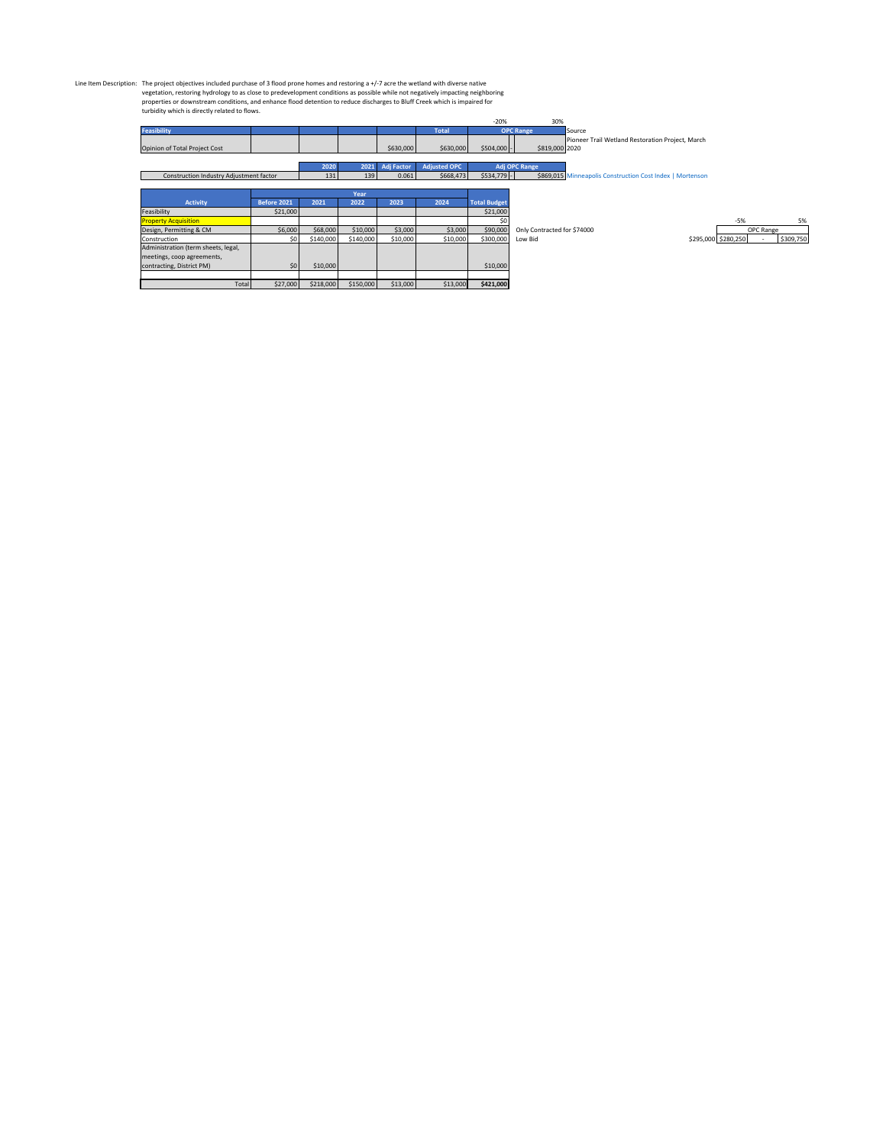Line Item Description: The project objectives included purchase of 3 flood prone homes and restoring a +/-7 acre the wetland with diverse native<br>vegetation, restoring hydrology to as close to predevelopment conditions as p

|                                         |             |           |           |                   |                     | $-20%$              | 30%                         |                                                           |                     |           |           |
|-----------------------------------------|-------------|-----------|-----------|-------------------|---------------------|---------------------|-----------------------------|-----------------------------------------------------------|---------------------|-----------|-----------|
| Feasibility                             |             |           |           |                   | <b>Total</b>        |                     | <b>OPC Range</b>            | Source                                                    |                     |           |           |
|                                         |             |           |           |                   |                     |                     |                             | Pioneer Trail Wetland Restoration Project, March          |                     |           |           |
| Opinion of Total Project Cost           |             |           |           | \$630,000         | \$630,000           | $$504,000 -$        | \$819,000 2020              |                                                           |                     |           |           |
|                                         |             |           |           |                   |                     |                     |                             |                                                           |                     |           |           |
|                                         |             | 2020      | 2021      | <b>Adj Factor</b> | <b>Adjusted OPC</b> |                     | <b>Adj OPC Range</b>        |                                                           |                     |           |           |
| Construction Industry Adjustment factor |             | 131       | 139       | 0.061             | \$668,473           | $$534,779$ -        |                             | \$869,015 Minneapolis Construction Cost Index   Mortenson |                     |           |           |
|                                         |             |           |           |                   |                     |                     |                             |                                                           |                     |           |           |
|                                         |             |           | Year      |                   |                     |                     |                             |                                                           |                     |           |           |
| <b>Activity</b>                         | Before 2021 | 2021      | 2022      | 2023              | 2024                | <b>Total Budget</b> |                             |                                                           |                     |           |           |
| Feasibility                             | \$21,000    |           |           |                   |                     | \$21,000            |                             |                                                           |                     |           |           |
| <b>Property Acquisition</b>             |             |           |           |                   |                     | \$0                 |                             |                                                           | $-5%$               |           | 5%        |
| Design, Permitting & CM                 | \$6,000     | \$68,000  | \$10,000  | \$3,000           | \$3,000             | \$90,000            | Only Contracted for \$74000 |                                                           |                     | OPC Range |           |
| Construction                            | \$0         | \$140,000 | \$140,000 | \$10,000          | \$10,000            | \$300,000           | Low Bid                     |                                                           | \$295,000 \$280,250 |           | \$309,750 |
| Administration (term sheets, legal,     |             |           |           |                   |                     |                     |                             |                                                           |                     |           |           |
| meetings, coop agreements,              |             |           |           |                   |                     |                     |                             |                                                           |                     |           |           |
| contracting, District PM)               | \$0         | \$10,000  |           |                   |                     | \$10,000            |                             |                                                           |                     |           |           |
|                                         |             |           |           |                   |                     |                     |                             |                                                           |                     |           |           |
| Total                                   | \$27,000    | \$218,000 | \$150,000 | \$13,000          | \$13,000            | \$421,000           |                             |                                                           |                     |           |           |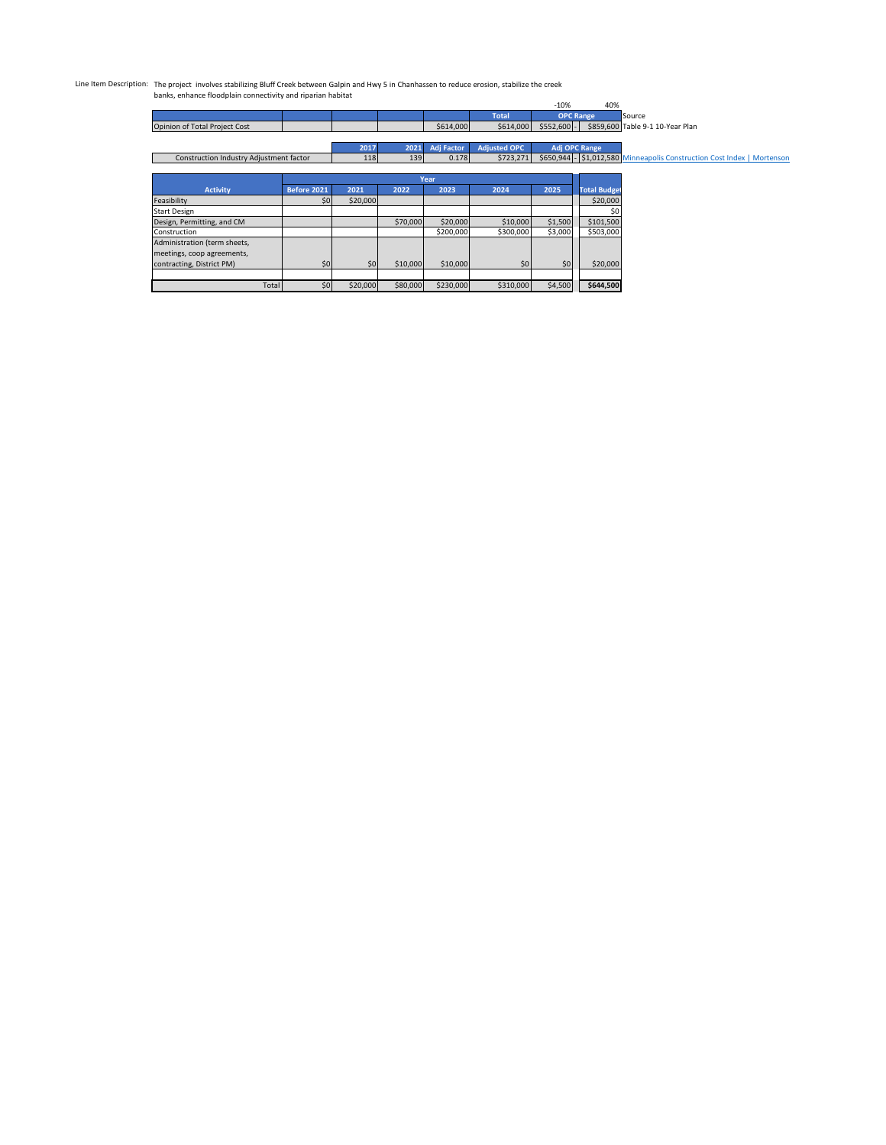## Line Item Description: The project involves stabilizing Bluff Creek between Galpin and Hwy 5 in Chanhassen to reduce erosion, stabilize the creek banks, enhance floodplain connectivity and riparian habitat

|                                         |                 |          |          |                   |                     | $-10%$       | 40%                                                                     |                                  |
|-----------------------------------------|-----------------|----------|----------|-------------------|---------------------|--------------|-------------------------------------------------------------------------|----------------------------------|
|                                         |                 |          |          |                   | <b>Total</b>        |              | <b>OPC Range</b>                                                        | Source                           |
| Opinion of Total Project Cost           |                 |          |          | \$614,000         | \$614,000           | $$552,600$ - |                                                                         | \$859,600 Table 9-1 10-Year Plan |
|                                         |                 |          |          |                   |                     |              |                                                                         |                                  |
|                                         |                 | 2017     | 2021     | <b>Adj Factor</b> | <b>Adjusted OPC</b> |              | Adj OPC Range                                                           |                                  |
| Construction Industry Adjustment factor | 118             | 139      | 0.178    | \$723,271         |                     |              | \$650,944 - \$1,012,580 Minneapolis Construction Cost Index   Mortenson |                                  |
|                                         |                 |          |          |                   |                     |              |                                                                         |                                  |
|                                         |                 |          |          | Year              |                     |              |                                                                         |                                  |
| <b>Activity</b>                         | Before 2021     | 2021     | 2022     | 2023              | 2024                | 2025         | <b>Total Budget</b>                                                     |                                  |
| Feasibility                             | 50 <sub>1</sub> | \$20,000 |          |                   |                     |              | \$20,000                                                                |                                  |
| <b>Start Design</b>                     |                 |          |          |                   |                     |              | \$0                                                                     |                                  |
| Design, Permitting, and CM              |                 |          | \$70,000 | \$20,000          | \$10,000            | \$1,500      | \$101,500                                                               |                                  |
| Construction                            |                 |          |          | \$200,000         | \$300,000           | \$3,000      | \$503,000                                                               |                                  |
| Administration (term sheets,            |                 |          |          |                   |                     |              |                                                                         |                                  |
| meetings, coop agreements,              |                 |          |          |                   |                     |              |                                                                         |                                  |
| contracting, District PM)               | \$0             | \$0      | \$10,000 | \$10,000          | \$0                 | \$0          | \$20,000                                                                |                                  |
|                                         |                 |          |          |                   |                     |              |                                                                         |                                  |
| Total                                   | \$0             | \$20,000 | \$80,000 | \$230,000         | \$310,000           | \$4,500      | \$644,500                                                               |                                  |
|                                         |                 |          |          |                   |                     |              |                                                                         |                                  |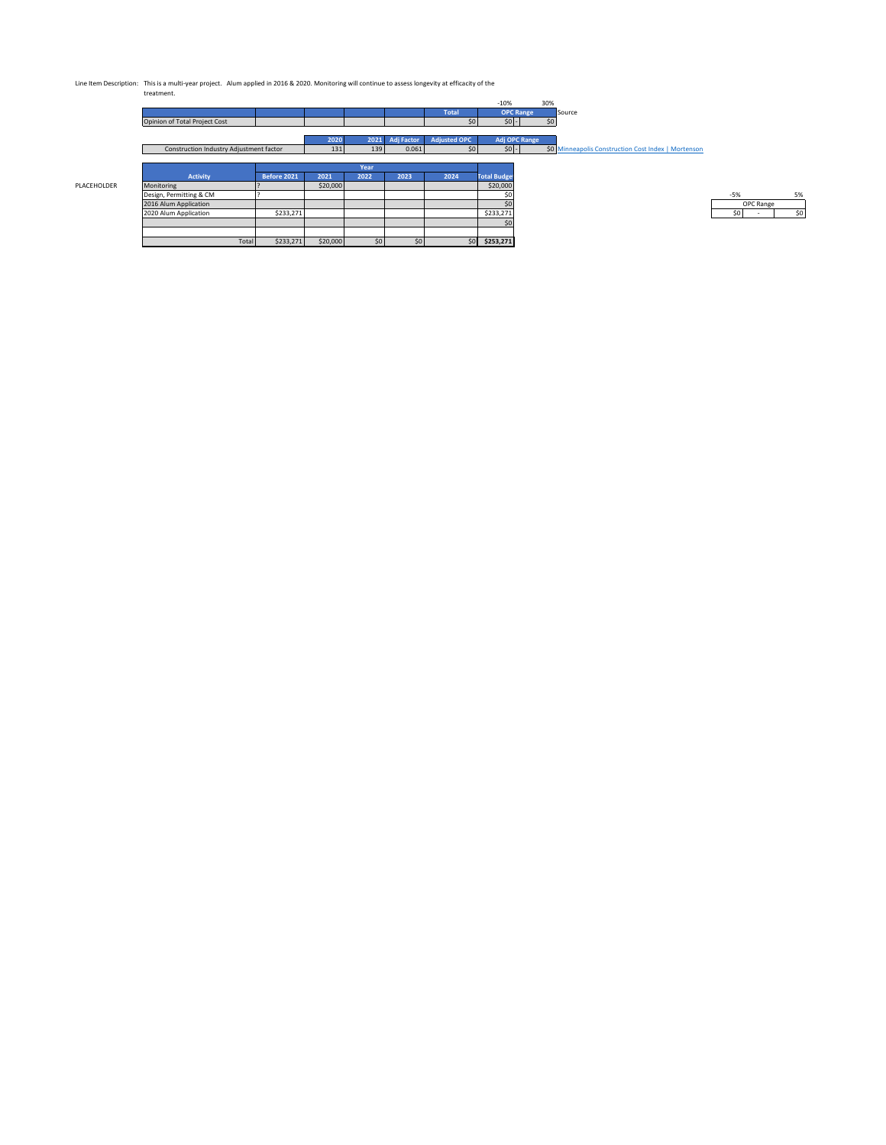Line Item Description: This is a multi-year project. Alum applied in 2016 & 2020. Monitoring will continue to assess longevity at efficacity of the treatment.

|                                         |             |          |        |                   |                     | $-10%$                | 30% |                                                     |       |           |
|-----------------------------------------|-------------|----------|--------|-------------------|---------------------|-----------------------|-----|-----------------------------------------------------|-------|-----------|
|                                         |             |          |        |                   | <b>Total</b>        | <b>OPC Range</b>      |     | Source                                              |       |           |
| Opinion of Total Project Cost           |             |          |        |                   | 50 <sub>1</sub>     | $50 -$                | \$0 |                                                     |       |           |
|                                         |             |          |        |                   |                     |                       |     |                                                     |       |           |
|                                         |             | 2020     | $2021$ | <b>Adj Factor</b> | <b>Adjusted OPC</b> | Adj OPC Range         |     |                                                     |       |           |
| Construction Industry Adjustment factor |             | 131      | 139    | 0.061             | 50 <sub>1</sub>     | $\vert$ \$0 $\vert$ - |     | \$0 Minneapolis Construction Cost Index   Mortenson |       |           |
|                                         |             |          |        |                   |                     |                       |     |                                                     |       |           |
|                                         |             |          | Year   |                   |                     |                       |     |                                                     |       |           |
|                                         |             |          |        |                   |                     |                       |     |                                                     |       |           |
| Activity                                | Before 2021 | 2021     | 2022   | 2023              | 2024                | <b>Total Budget</b>   |     |                                                     |       |           |
| Monitoring                              |             | \$20,000 |        |                   |                     | \$20,000              |     |                                                     |       |           |
| Design, Permitting & CM                 |             |          |        |                   |                     | \$0                   |     |                                                     | $-5%$ |           |
| 2016 Alum Application                   |             |          |        |                   |                     | \$0                   |     |                                                     |       | OPC Range |
| 2020 Alum Application                   | \$233,271   |          |        |                   |                     | \$233,271             |     |                                                     | \$0   |           |
|                                         |             |          |        |                   |                     | \$0                   |     |                                                     |       |           |
|                                         |             |          |        |                   |                     |                       |     |                                                     |       |           |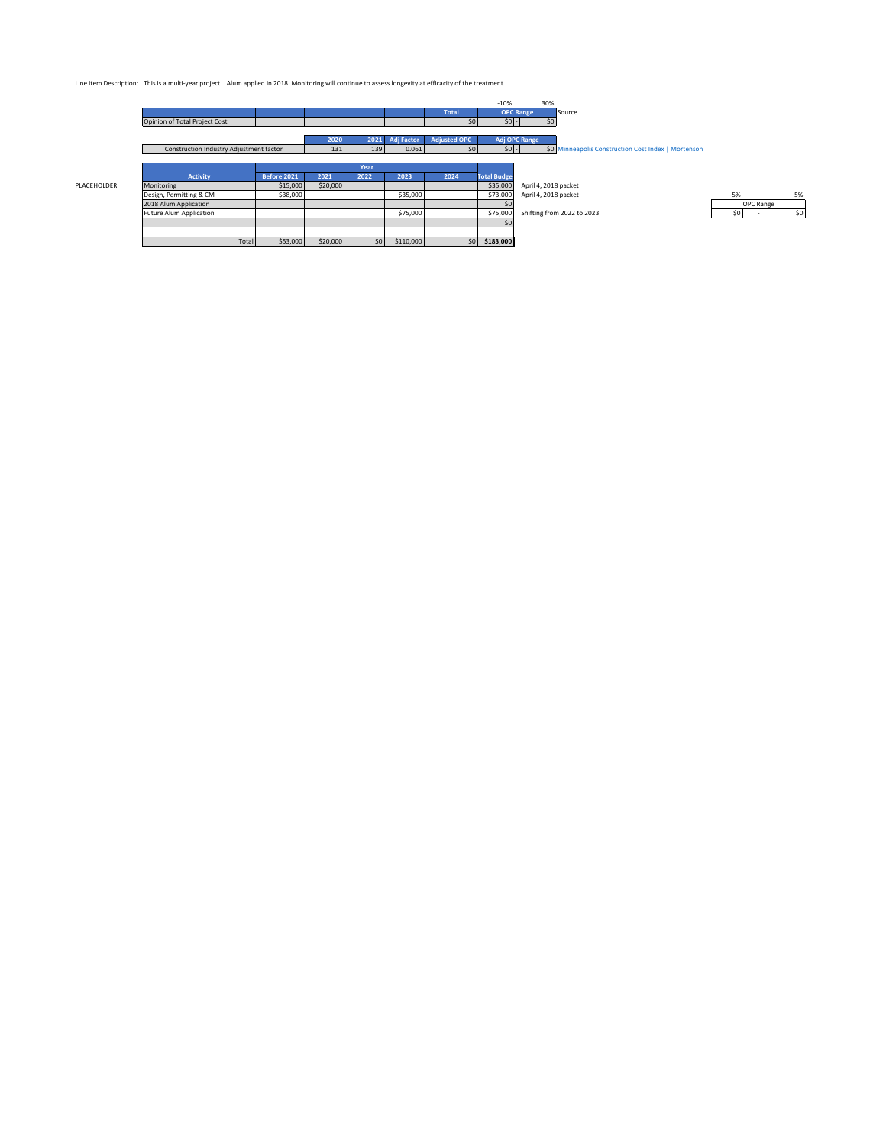Line Item Description: This is a multi-year project. Alum applied in 2018. Monitoring will continue to assess longevity at efficacity of the treatment.

|             |                                         |             |          |      |                   |                     | $-10%$              | 30%                                                 |           |     |
|-------------|-----------------------------------------|-------------|----------|------|-------------------|---------------------|---------------------|-----------------------------------------------------|-----------|-----|
|             |                                         |             |          |      |                   | <b>Total</b>        |                     | <b>OPC Range</b><br>Source                          |           |     |
|             | Opinion of Total Project Cost           |             |          |      |                   | 50 <sub>1</sub>     | 50 <sub>1</sub>     | 50                                                  |           |     |
|             |                                         |             |          |      |                   |                     |                     |                                                     |           |     |
|             |                                         |             | 2020     | 2021 | <b>Adj Factor</b> | <b>Adiusted OPC</b> |                     | Adj OPC Range                                       |           |     |
|             | Construction Industry Adjustment factor |             | 131      | 139  | 0.061             | 50 <sub>1</sub>     | $50 -$              | \$0 Minneapolis Construction Cost Index   Mortenson |           |     |
|             |                                         |             |          |      |                   |                     |                     |                                                     |           |     |
|             |                                         |             |          | Year |                   |                     |                     |                                                     |           |     |
|             | Activity                                | Before 2021 | 2021     | 2022 | 2023              | 2024                | <b>Total Budget</b> |                                                     |           |     |
| PLACEHOLDER | Monitoring                              | \$15,000    | \$20,000 |      |                   |                     | \$35,000            | April 4, 2018 packet                                |           |     |
|             | Design, Permitting & CM                 | \$38,000    |          |      | \$35,000          |                     | \$73,000            | April 4, 2018 packet                                | $-5%$     | 5%  |
|             | 2018 Alum Application                   |             |          |      |                   |                     | \$0                 |                                                     | OPC Range |     |
|             | <b>Future Alum Application</b>          |             |          |      | \$75,000          |                     | \$75,000            | Shifting from 2022 to 2023                          | S0        | \$0 |
|             |                                         |             |          |      |                   |                     | \$0                 |                                                     |           |     |
|             |                                         |             |          |      |                   |                     |                     |                                                     |           |     |
|             | Total                                   | \$53,000    | \$20,000 | 50   | \$110,000         |                     | \$0 \$183,000       |                                                     |           |     |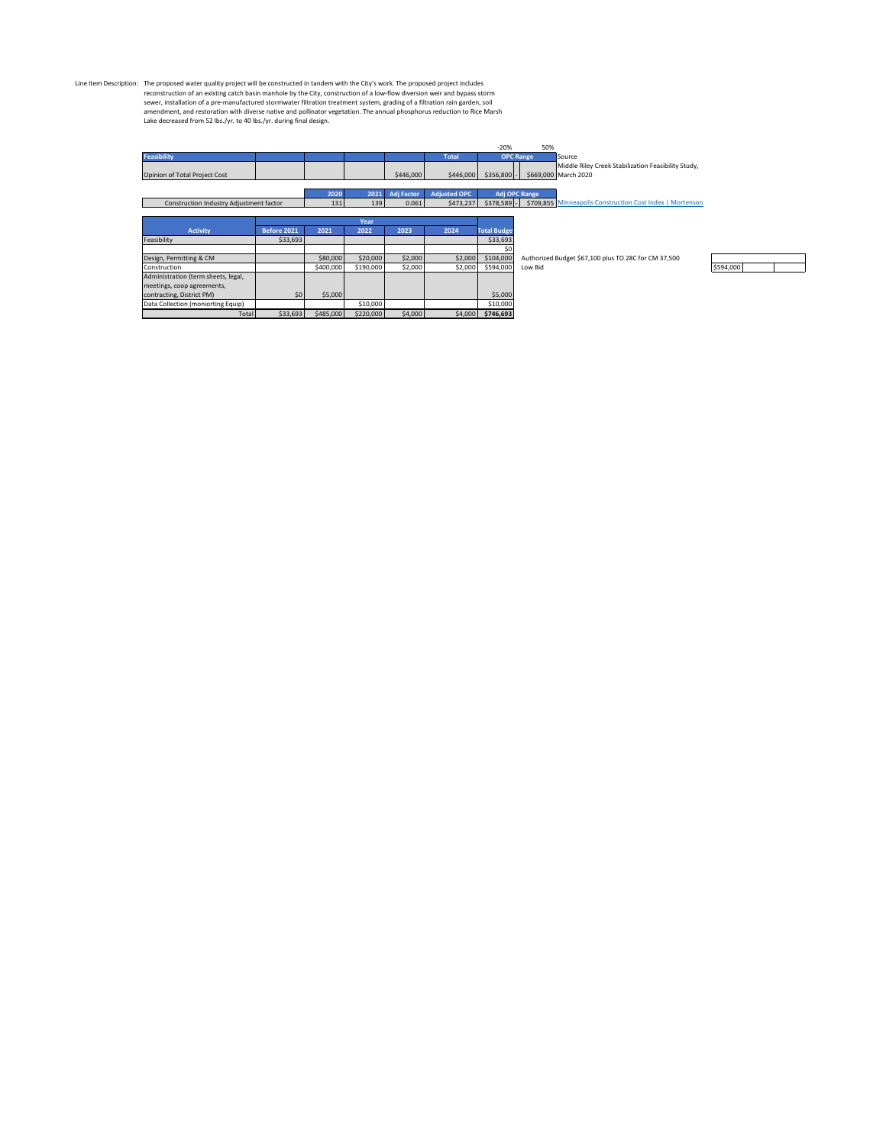Line Item Description: The proposed water quality project will be constructed in tandem with the City's work. The proposed project includes<br>reconstruction of an existing catch basin manhole by the City, construction of a l

| <b>Feasibility</b><br>Source<br><b>OPC Range</b><br><b>Total</b><br>Middle Riley Creek Stabilization Feasibility Study,<br>\$446,000<br>\$446,000<br>\$356,800<br>\$669,000 March 2020<br>Opinion of Total Project Cost<br><b>Adj Factor</b><br><b>Adjusted OPC</b><br>2020<br>2021<br>Adj OPC Range<br>\$378,589<br>0.061<br>\$473,237<br>\$709,855 Minneapolis Construction Cost Index   Mortenson<br>Construction Industry Adjustment factor<br>131<br>139<br>Year<br><b>Activity</b><br>Before 2021<br>2021<br>2022<br>2023<br>2024<br><b>Total Budget</b><br>Feasibility<br>\$33,693<br>\$33,693<br>\$0<br>\$20,000<br>\$2,000<br>\$104,000<br>Design, Permitting & CM<br>\$80,000<br>\$2,000<br>Authorized Budget \$67,100 plus TO 28C for CM 37,500<br>\$190,000<br>\$2,000<br>\$400,000<br>\$2,000<br>\$594,000<br>Construction<br>Low Bid<br>Administration (term sheets, legal,<br>meetings, coop agreements,<br>\$0<br>\$5,000<br>\$5,000<br>contracting, District PM)<br>Data Collection (moniorting Equip)<br>\$10,000<br>\$10,000 |       |          |           |           |         |         | $-20%$    | 50% |           |
|-------------------------------------------------------------------------------------------------------------------------------------------------------------------------------------------------------------------------------------------------------------------------------------------------------------------------------------------------------------------------------------------------------------------------------------------------------------------------------------------------------------------------------------------------------------------------------------------------------------------------------------------------------------------------------------------------------------------------------------------------------------------------------------------------------------------------------------------------------------------------------------------------------------------------------------------------------------------------------------------------------------------------------------------------|-------|----------|-----------|-----------|---------|---------|-----------|-----|-----------|
|                                                                                                                                                                                                                                                                                                                                                                                                                                                                                                                                                                                                                                                                                                                                                                                                                                                                                                                                                                                                                                                 |       |          |           |           |         |         |           |     |           |
|                                                                                                                                                                                                                                                                                                                                                                                                                                                                                                                                                                                                                                                                                                                                                                                                                                                                                                                                                                                                                                                 |       |          |           |           |         |         |           |     |           |
|                                                                                                                                                                                                                                                                                                                                                                                                                                                                                                                                                                                                                                                                                                                                                                                                                                                                                                                                                                                                                                                 |       |          |           |           |         |         |           |     |           |
|                                                                                                                                                                                                                                                                                                                                                                                                                                                                                                                                                                                                                                                                                                                                                                                                                                                                                                                                                                                                                                                 |       |          |           |           |         |         |           |     |           |
|                                                                                                                                                                                                                                                                                                                                                                                                                                                                                                                                                                                                                                                                                                                                                                                                                                                                                                                                                                                                                                                 |       |          |           |           |         |         |           |     |           |
|                                                                                                                                                                                                                                                                                                                                                                                                                                                                                                                                                                                                                                                                                                                                                                                                                                                                                                                                                                                                                                                 |       |          |           |           |         |         |           |     |           |
|                                                                                                                                                                                                                                                                                                                                                                                                                                                                                                                                                                                                                                                                                                                                                                                                                                                                                                                                                                                                                                                 |       |          |           |           |         |         |           |     |           |
|                                                                                                                                                                                                                                                                                                                                                                                                                                                                                                                                                                                                                                                                                                                                                                                                                                                                                                                                                                                                                                                 |       |          |           |           |         |         |           |     |           |
|                                                                                                                                                                                                                                                                                                                                                                                                                                                                                                                                                                                                                                                                                                                                                                                                                                                                                                                                                                                                                                                 |       |          |           |           |         |         |           |     |           |
|                                                                                                                                                                                                                                                                                                                                                                                                                                                                                                                                                                                                                                                                                                                                                                                                                                                                                                                                                                                                                                                 |       |          |           |           |         |         |           |     |           |
|                                                                                                                                                                                                                                                                                                                                                                                                                                                                                                                                                                                                                                                                                                                                                                                                                                                                                                                                                                                                                                                 |       |          |           |           |         |         |           |     | \$594,000 |
|                                                                                                                                                                                                                                                                                                                                                                                                                                                                                                                                                                                                                                                                                                                                                                                                                                                                                                                                                                                                                                                 |       |          |           |           |         |         |           |     |           |
|                                                                                                                                                                                                                                                                                                                                                                                                                                                                                                                                                                                                                                                                                                                                                                                                                                                                                                                                                                                                                                                 |       |          |           |           |         |         |           |     |           |
|                                                                                                                                                                                                                                                                                                                                                                                                                                                                                                                                                                                                                                                                                                                                                                                                                                                                                                                                                                                                                                                 |       |          |           |           |         |         |           |     |           |
|                                                                                                                                                                                                                                                                                                                                                                                                                                                                                                                                                                                                                                                                                                                                                                                                                                                                                                                                                                                                                                                 |       |          |           |           |         |         |           |     |           |
|                                                                                                                                                                                                                                                                                                                                                                                                                                                                                                                                                                                                                                                                                                                                                                                                                                                                                                                                                                                                                                                 | Total | \$33,693 | \$485,000 | \$220,000 | \$4,000 | \$4,000 | \$746,693 |     |           |

 $\overline{\phantom{a}}$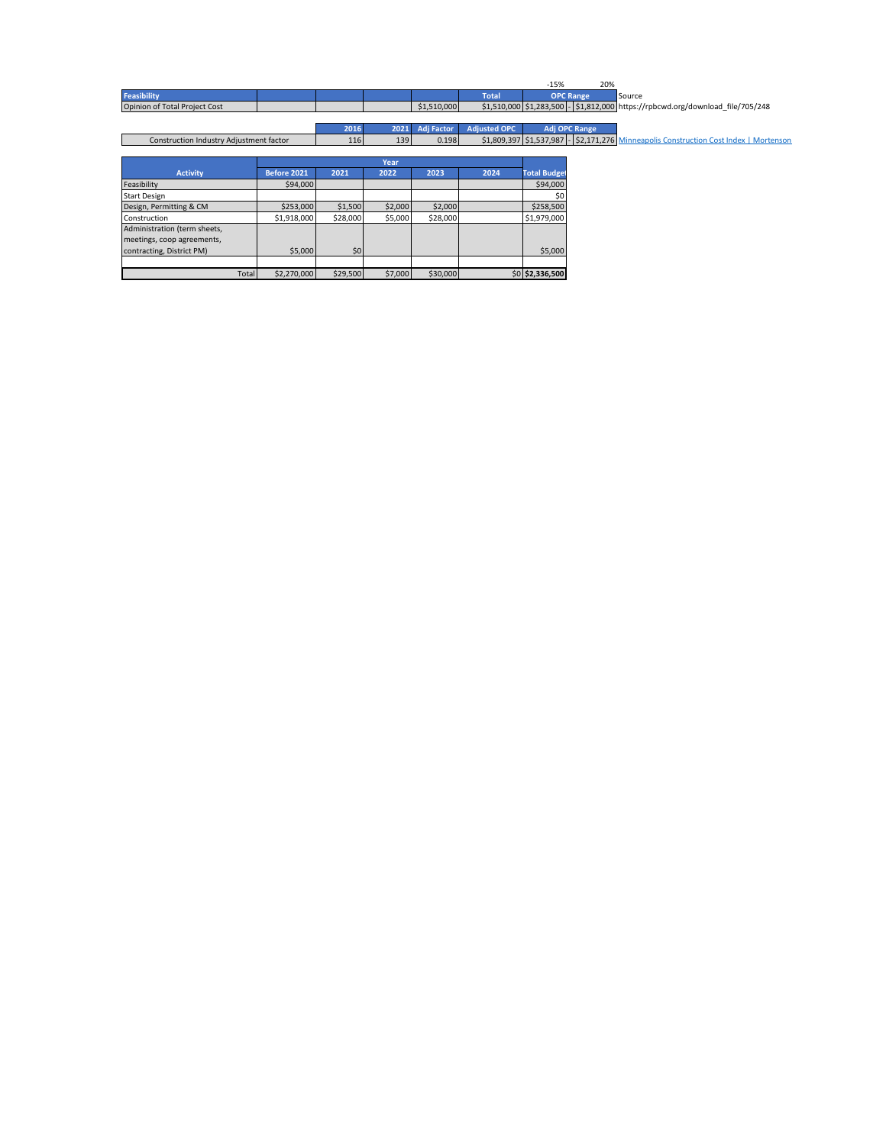|                                         |             |          |         |                   |                     | $-15%$              | 20%                                                                                   |
|-----------------------------------------|-------------|----------|---------|-------------------|---------------------|---------------------|---------------------------------------------------------------------------------------|
| <b>Feasibility</b>                      |             |          |         |                   | <b>Total</b>        |                     | <b>OPC Range</b><br>Source                                                            |
| Opinion of Total Project Cost           |             |          |         | \$1,510,000       |                     |                     | \$1,510,000 \$1,283,500 - \$1,812,000 https://rpbcwd.org/download_file/705/248        |
|                                         |             |          |         |                   |                     |                     |                                                                                       |
|                                         |             | 2016     | 2021    | <b>Adj Factor</b> | <b>Adjusted OPC</b> |                     | Adj OPC Range                                                                         |
| Construction Industry Adjustment factor |             | 116      | 139     | 0.198             |                     |                     | \$1,809,397 \$1,537,987 - \$2,171,276 Minneapolis Construction Cost Index   Mortenson |
|                                         |             |          |         |                   |                     |                     |                                                                                       |
|                                         |             |          | Year    |                   |                     |                     |                                                                                       |
| <b>Activity</b>                         | Before 2021 | 2021     | 2022    | 2023              | 2024                | <b>Total Budget</b> |                                                                                       |
| Feasibility                             | \$94,000    |          |         |                   |                     | \$94,000            |                                                                                       |
| <b>Start Design</b>                     |             |          |         |                   |                     |                     |                                                                                       |
| Design, Permitting & CM                 | \$253,000   | \$1,500  | \$2,000 | \$2,000           |                     | \$258,500           |                                                                                       |
| Construction                            | \$1,918,000 | \$28,000 | \$5,000 | \$28,000          |                     | \$1,979,000         |                                                                                       |
| Administration (term sheets,            |             |          |         |                   |                     |                     |                                                                                       |
| meetings, coop agreements,              |             |          |         |                   |                     |                     |                                                                                       |
| contracting, District PM)               | \$5,000     | \$0      |         |                   |                     | \$5,000             |                                                                                       |

Total \$2,270,000 \$29,500 \$7,000 \$30,000 \$0 **\$2,336,500**

I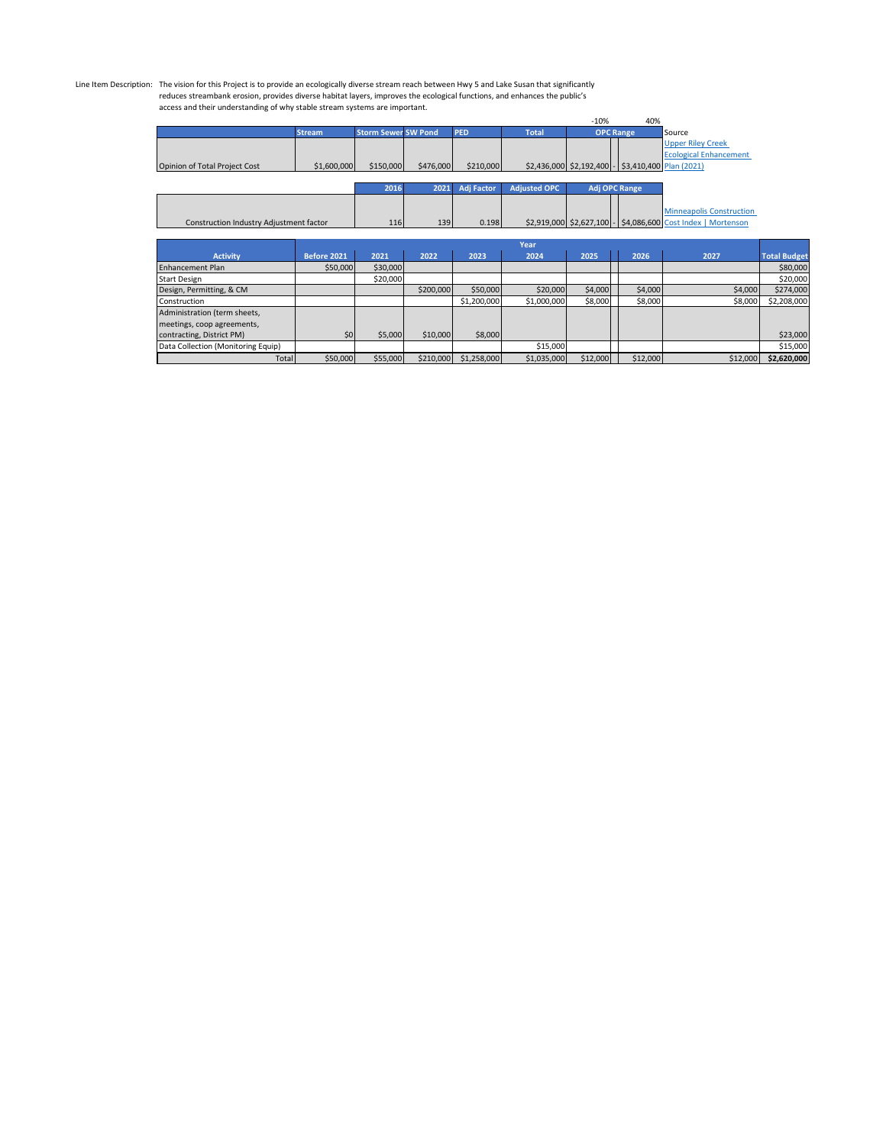## Line Item Description: The vision for this Project is to provide an ecologically diverse stream reach between Hwy 5 and Lake Susan that significantly<br>reduces streambank erosion, provides diverse habitat layers, improves th access and their understanding of why stable stream systems are important.

|                                         |                    |                            |           |                   |                     | $-10%$   | 40%                                               |                                                              |                     |
|-----------------------------------------|--------------------|----------------------------|-----------|-------------------|---------------------|----------|---------------------------------------------------|--------------------------------------------------------------|---------------------|
|                                         | <b>Stream</b>      | <b>Storm Sewer SW Pond</b> |           | <b>PED</b>        | <b>Total</b>        |          | <b>OPC Range</b>                                  | Source                                                       |                     |
|                                         |                    |                            |           |                   |                     |          |                                                   | <b>Upper Riley Creek</b>                                     |                     |
|                                         |                    |                            |           |                   |                     |          |                                                   | <b>Ecological Enhancement</b>                                |                     |
| Opinion of Total Project Cost           | \$1,600,000        | \$150,000                  | \$476,000 | \$210,000         |                     |          | \$2,436,000 \$2,192,400 - \$3,410,400 Plan (2021) |                                                              |                     |
|                                         |                    |                            |           |                   |                     |          |                                                   |                                                              |                     |
|                                         |                    | 2016                       | 2021      | <b>Adj Factor</b> | <b>Adjusted OPC</b> |          | <b>Adj OPC Range</b>                              |                                                              |                     |
|                                         |                    |                            |           |                   |                     |          |                                                   |                                                              |                     |
|                                         |                    |                            |           |                   |                     |          |                                                   | <b>Minneapolis Construction</b>                              |                     |
| Construction Industry Adjustment factor |                    | 116                        | 139       | 0.198             |                     |          |                                                   | \$2,919,000 \$2,627,100 - \$4,086,600 Cost Index   Mortenson |                     |
|                                         |                    |                            |           |                   |                     |          |                                                   |                                                              |                     |
|                                         |                    |                            |           |                   | Year                |          |                                                   |                                                              |                     |
| <b>Activity</b>                         | <b>Before 2021</b> | 2021                       | 2022      | 2023              | 2024                | 2025     | 2026                                              | 2027                                                         | <b>Total Budget</b> |
| <b>Enhancement Plan</b>                 | \$50,000           | \$30,000                   |           |                   |                     |          |                                                   |                                                              | \$80,000            |
| <b>Start Design</b>                     |                    | \$20,000                   |           |                   |                     |          |                                                   |                                                              | \$20,000            |
| Design, Permitting, & CM                |                    |                            | \$200,000 | \$50,000          | \$20,000            | \$4,000  | \$4,000                                           | \$4,000                                                      | \$274,000           |
| Construction                            |                    |                            |           | \$1,200,000       | \$1,000,000         | \$8,000  | \$8,000                                           | \$8,000                                                      | \$2,208,000         |
| Administration (term sheets,            |                    |                            |           |                   |                     |          |                                                   |                                                              |                     |
| meetings, coop agreements,              |                    |                            |           |                   |                     |          |                                                   |                                                              |                     |
| contracting, District PM)               | \$0                | \$5,000                    | \$10,000  | \$8,000           |                     |          |                                                   |                                                              | \$23,000            |
| Data Collection (Monitoring Equip)      |                    |                            |           |                   | \$15,000            |          |                                                   |                                                              | \$15,000            |
| Total                                   | \$50,000           | \$55,000                   | \$210,000 | \$1,258,000       | \$1,035,000         | \$12,000 | \$12,000                                          | \$12,000                                                     | \$2,620,000         |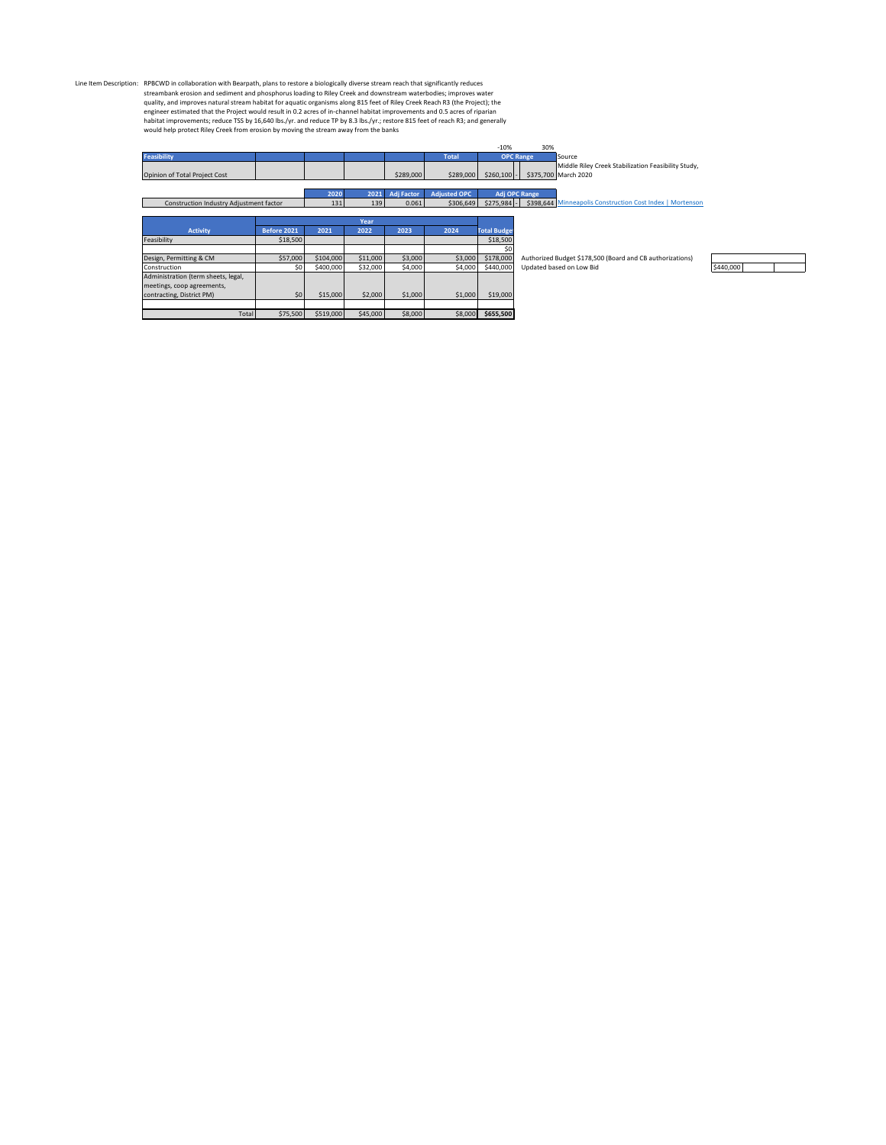Line Item Description: RPBCWD in collaboration with Bearpath, plans to restore a biologically diverse stream reach that significantly reduces stream and seliment and phosphorus loading to Riley Creek Reach R3 (the Project)

|                                         |             |           |          |                   |                     | $-10%$              | 30%                                                       |
|-----------------------------------------|-------------|-----------|----------|-------------------|---------------------|---------------------|-----------------------------------------------------------|
| <b>Feasibility</b>                      |             |           |          |                   | <b>Total</b>        |                     | <b>OPC Range</b><br>Source                                |
|                                         |             |           |          |                   |                     |                     | Middle Riley Creek Stabilization Feasibility Study,       |
| Opinion of Total Project Cost           |             |           |          | \$289,000         | \$289,000           | \$260,100           | \$375,700 March 2020                                      |
|                                         |             |           |          |                   |                     |                     |                                                           |
|                                         |             | 2020      | 2021     | <b>Adj Factor</b> | <b>Adjusted OPC</b> |                     | Adj OPC Range                                             |
| Construction Industry Adjustment factor |             | 131       | 139      | 0.061             | \$306,649           | $$275,984$ -        | \$398,644 Minneapolis Construction Cost Index   Mortenson |
|                                         |             |           |          |                   |                     |                     |                                                           |
|                                         |             |           | Year     |                   |                     |                     |                                                           |
| <b>Activity</b>                         | Before 2021 | 2021      | 2022     | 2023              | 2024                | <b>Total Budget</b> |                                                           |
| Feasibility                             | \$18,500    |           |          |                   |                     | \$18,500            |                                                           |
|                                         |             |           |          |                   |                     | \$0                 |                                                           |
| Design, Permitting & CM                 | \$57,000    | \$104,000 | \$11,000 | \$3,000           | \$3,000             | \$178,000           | Authorized Budget \$178,500 (Board and CB authorizations) |
| Construction                            | \$0         | \$400,000 | \$32,000 | \$4,000           | \$4,000             | \$440,000           | \$440,000<br>Updated based on Low Bid                     |
| Administration (term sheets, legal,     |             |           |          |                   |                     |                     |                                                           |
| meetings, coop agreements,              |             |           |          |                   |                     |                     |                                                           |
| contracting, District PM)               | \$0         | \$15,000  | \$2,000  | \$1,000           | \$1,000             | \$19,000            |                                                           |
|                                         |             |           |          |                   |                     |                     |                                                           |
| Total                                   | \$75,500    | \$519,000 | \$45,000 | \$8,000           | \$8,000             | \$655,500           |                                                           |

 $\top$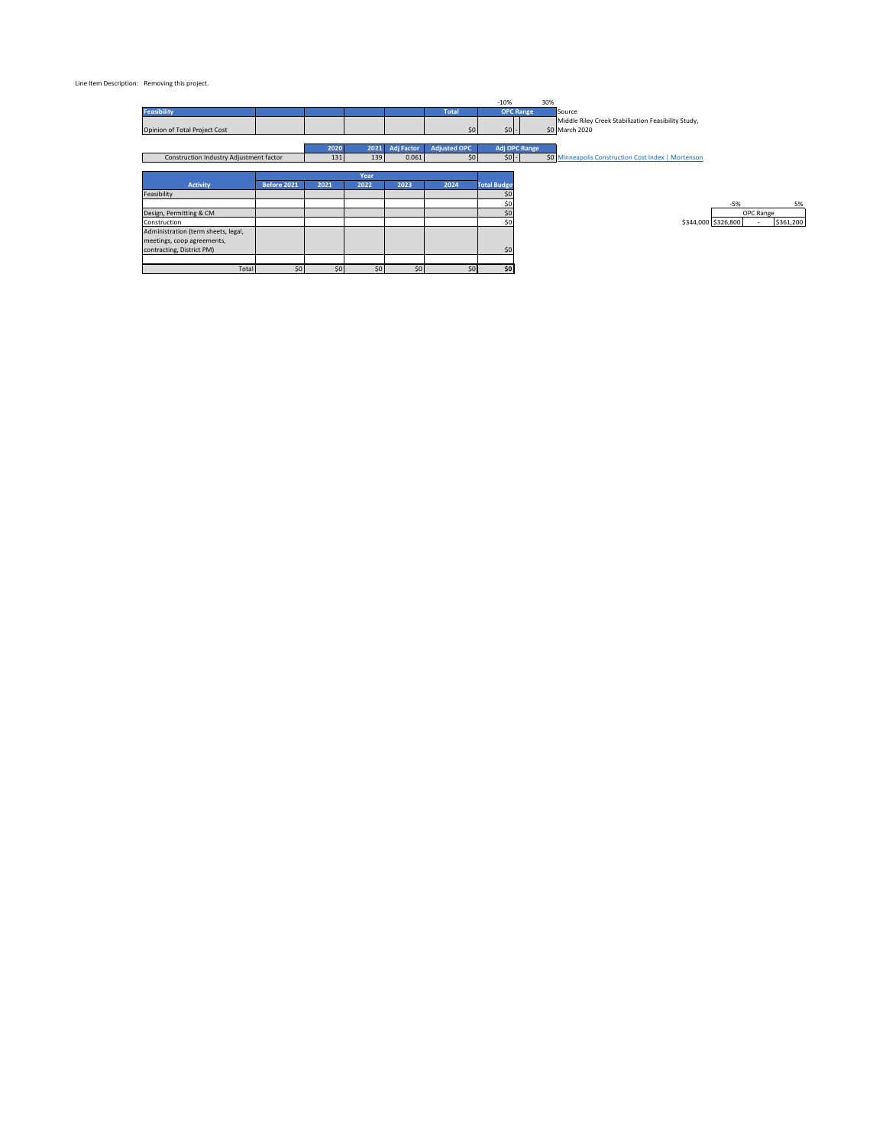#### Line Item Description: Removing this project.

|                                         |                    |      |      |                   |                     | $-10%$              | 30%                                                                   |                     |           |           |
|-----------------------------------------|--------------------|------|------|-------------------|---------------------|---------------------|-----------------------------------------------------------------------|---------------------|-----------|-----------|
| <b>Feasibility</b>                      |                    |      |      |                   | <b>Total</b>        | <b>OPC Range</b>    | Source                                                                |                     |           |           |
| Opinion of Total Project Cost           |                    |      |      |                   | \$0                 | $50 -$              | Middle Riley Creek Stabilization Feasibility Study,<br>\$0 March 2020 |                     |           |           |
|                                         |                    | 2020 | 2021 | <b>Adj Factor</b> | <b>Adjusted OPC</b> | Adj OPC Range       |                                                                       |                     |           |           |
| Construction Industry Adjustment factor |                    | 131  | 139  | 0.061             | 50 <sub>1</sub>     | $$0$ -              | \$0 Minneapolis Construction Cost Index   Mortenson                   |                     |           |           |
|                                         |                    |      |      |                   |                     |                     |                                                                       |                     |           |           |
|                                         |                    |      | Year |                   |                     |                     |                                                                       |                     |           |           |
| Activity                                | <b>Before 2021</b> | 2021 | 2022 | 2023              | 2024                | <b>Total Budget</b> |                                                                       |                     |           |           |
| Feasibility                             |                    |      |      |                   |                     | \$0                 |                                                                       |                     |           |           |
|                                         |                    |      |      |                   |                     | \$0                 |                                                                       | $-5%$               |           | 5%        |
| Design, Permitting & CM                 |                    |      |      |                   |                     | \$0                 |                                                                       |                     | OPC Range |           |
| Construction                            |                    |      |      |                   |                     | \$0                 |                                                                       | \$344,000 \$326,800 |           | \$361,200 |
| Administration (term sheets, legal,     |                    |      |      |                   |                     |                     |                                                                       |                     |           |           |
| meetings, coop agreements,              |                    |      |      |                   |                     |                     |                                                                       |                     |           |           |
| contracting, District PM)               |                    |      |      |                   |                     | \$0                 |                                                                       |                     |           |           |
|                                         |                    |      |      |                   |                     |                     |                                                                       |                     |           |           |
| Total                                   | \$0                | \$0  | \$0  | \$0               | \$0                 | \$0                 |                                                                       |                     |           |           |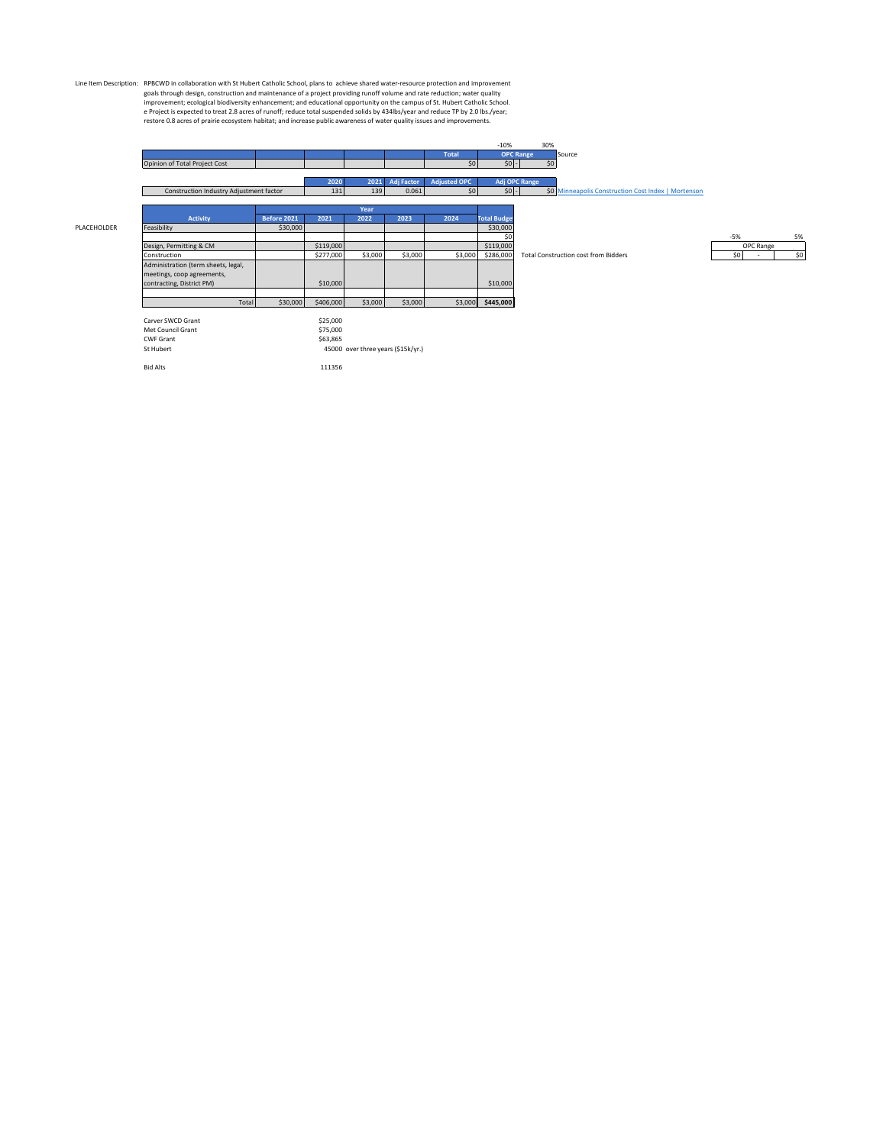Line Item Description: RPBCWD in collaboration with St Hubert Catholic School, plans to achieve shared water-resource procement<br>growth end maintenance of a project providing runoff volume and rate reduction; water quality<br>

|                            |                                         |             |           |                                    |                   |                     | $-10%$              | 30%              |                                                     |           |     |
|----------------------------|-----------------------------------------|-------------|-----------|------------------------------------|-------------------|---------------------|---------------------|------------------|-----------------------------------------------------|-----------|-----|
|                            |                                         |             |           |                                    |                   | <b>Total</b>        |                     | <b>OPC Range</b> | Source                                              |           |     |
|                            | Opinion of Total Project Cost           |             |           |                                    |                   | 50 <sub>1</sub>     | $50$ -              | \$0              |                                                     |           |     |
|                            |                                         |             |           |                                    |                   |                     |                     |                  |                                                     |           |     |
|                            |                                         |             | 2020      | 2021                               | <b>Adj Factor</b> | <b>Adjusted OPC</b> |                     | Adj OPC Range    |                                                     |           |     |
|                            | Construction Industry Adjustment factor |             | 131       | 139                                | 0.061             | 50 <sub>1</sub>     | $50 -$              |                  | \$0 Minneapolis Construction Cost Index   Mortenson |           |     |
|                            |                                         |             |           |                                    |                   |                     |                     |                  |                                                     |           |     |
|                            |                                         |             |           | Year                               |                   |                     |                     |                  |                                                     |           |     |
|                            | Activity                                | Before 2021 | 2021      | 2022                               | 2023              | 2024                | <b>Total Budget</b> |                  |                                                     |           |     |
| Feasibility<br>PLACEHOLDER |                                         | \$30,000    |           |                                    |                   |                     | \$30,000            |                  |                                                     |           |     |
|                            |                                         |             |           |                                    |                   |                     | \$0                 |                  |                                                     | $-5%$     | 5%  |
| Design, Permitting & CM    |                                         |             | \$119,000 |                                    |                   |                     | \$119,000           |                  |                                                     | OPC Range |     |
| Construction               |                                         |             | \$277,000 | \$3,000                            | \$3,000           | \$3,000             | \$286,000           |                  | <b>Total Construction cost from Bidders</b>         | \$0       | \$0 |
|                            | Administration (term sheets, legal,     |             |           |                                    |                   |                     |                     |                  |                                                     |           |     |
|                            | meetings, coop agreements,              |             |           |                                    |                   |                     |                     |                  |                                                     |           |     |
| contracting, District PM)  |                                         |             | \$10,000  |                                    |                   |                     | \$10,000            |                  |                                                     |           |     |
|                            |                                         |             |           |                                    |                   |                     |                     |                  |                                                     |           |     |
|                            | Total                                   | \$30,000    | \$406,000 | \$3,000                            | \$3,000           |                     | \$3,000 \$445,000   |                  |                                                     |           |     |
|                            |                                         |             |           |                                    |                   |                     |                     |                  |                                                     |           |     |
| Carver SWCD Grant          |                                         |             | \$25,000  |                                    |                   |                     |                     |                  |                                                     |           |     |
| Met Council Grant          |                                         |             | \$75,000  |                                    |                   |                     |                     |                  |                                                     |           |     |
| <b>CWF Grant</b>           |                                         |             | \$63,865  |                                    |                   |                     |                     |                  |                                                     |           |     |
| St Hubert                  |                                         |             |           | 45000 over three years (\$15k/yr.) |                   |                     |                     |                  |                                                     |           |     |
|                            |                                         |             |           |                                    |                   |                     |                     |                  |                                                     |           |     |

Bid Alts 111356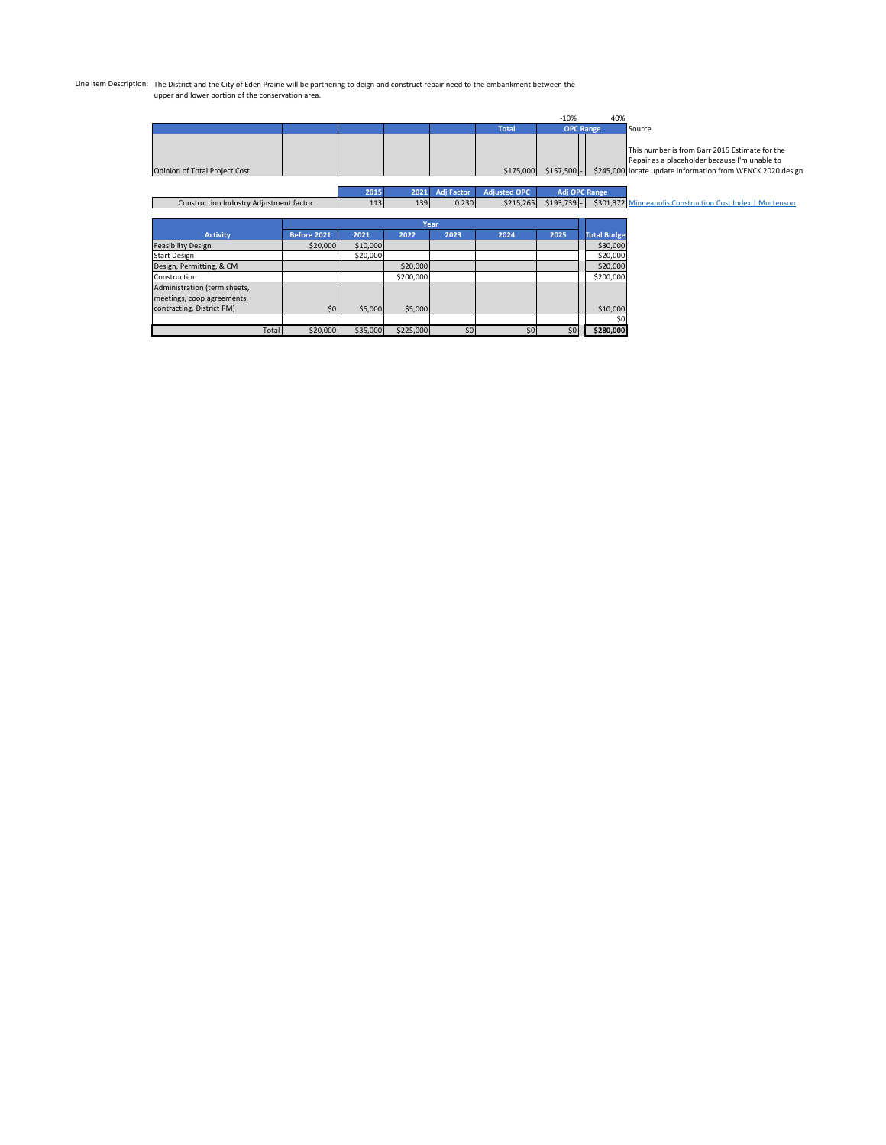# Line Item Description: The District and the City of Eden Prairie will be partnering to deign and construct repair need to the embankment between the upper and lower portion of the conservation area.

| $-10%$                                  |             |          |          |                   |                     |              | 40%                 |                                                                                                 |
|-----------------------------------------|-------------|----------|----------|-------------------|---------------------|--------------|---------------------|-------------------------------------------------------------------------------------------------|
|                                         |             |          |          |                   | <b>Total</b>        |              | <b>OPC Range</b>    | Source                                                                                          |
|                                         |             |          |          |                   |                     |              |                     | This number is from Barr 2015 Estimate for the<br>Repair as a placeholder because I'm unable to |
| Opinion of Total Project Cost           |             |          |          |                   | \$175,000           | $$157,500$ - |                     | \$245,000 locate update information from WENCK 2020 design                                      |
|                                         |             |          |          |                   |                     |              |                     |                                                                                                 |
|                                         |             | 2015     | 2021     | <b>Adi Factor</b> | <b>Adiusted OPC</b> |              | Adj OPC Range       |                                                                                                 |
| Construction Industry Adjustment factor |             | 113      | 139      | 0.230             | \$215,265           | $$193,739$ - |                     | \$301,372 Minneapolis Construction Cost Index   Mortenson                                       |
|                                         |             |          |          |                   |                     |              |                     |                                                                                                 |
|                                         |             |          |          | Year              |                     |              |                     |                                                                                                 |
| <b>Activity</b>                         | Before 2021 | 2021     | 2022     | 2023              | 2024                | 2025         | <b>Total Budget</b> |                                                                                                 |
| <b>Feasibility Design</b>               | \$20,000    | \$10,000 |          |                   |                     |              | \$30,000            |                                                                                                 |
| <b>Start Design</b>                     |             | \$20,000 |          |                   |                     |              | \$20,000            |                                                                                                 |
| Design, Permitting, & CM                |             |          | \$20,000 |                   |                     |              | \$20,000            |                                                                                                 |

| Construction                 |          |          | \$200,000 |     |    |     | \$200,000 |
|------------------------------|----------|----------|-----------|-----|----|-----|-----------|
| Administration (term sheets, |          |          |           |     |    |     |           |
| meetings, coop agreements,   |          |          |           |     |    |     |           |
| contracting, District PM)    | \$0      | \$5,000  | \$5,000   |     |    |     | \$10,000  |
|                              |          |          |           |     |    |     | \$0       |
| Total                        | \$20,000 | \$35,000 | \$225,000 | \$0 | 50 | \$0 | \$280.000 |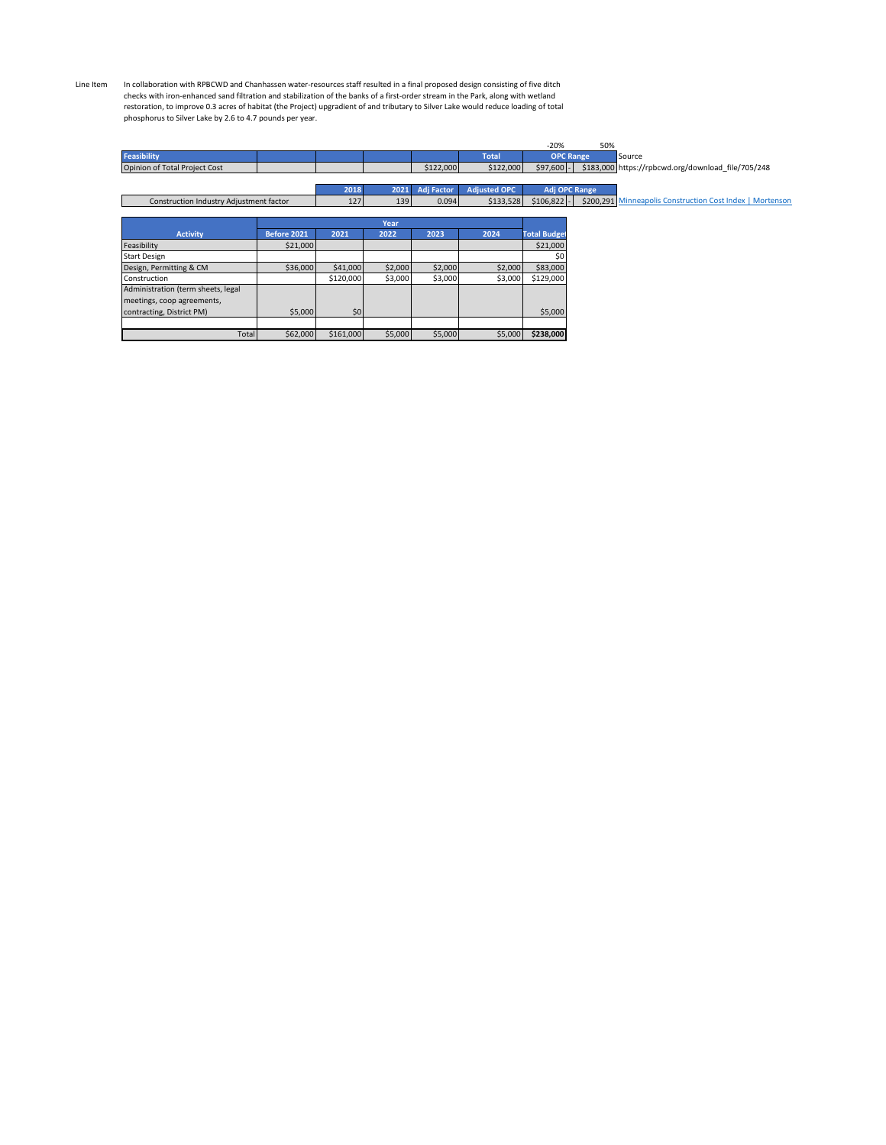Line Item In collaboration with RPBCWD and Chanhassen water-resources staff resulted in a final proposed design consisting of five ditch checks with iron-enhanced sand filtration and stabilization of the banks of a first-order stream in the Park, along with wetland<br>restoration, to improve 0.3 acres of habitat (the Project) upgradient of and tributary to Sil phosphorus to Silver Lake by 2.6 to 4.7 pounds per year.

|                                         |             |           |         |            |                     | $-20%$              | 50%                                                       |
|-----------------------------------------|-------------|-----------|---------|------------|---------------------|---------------------|-----------------------------------------------------------|
| <b>Feasibility</b>                      |             |           |         |            | <b>Total</b>        | <b>OPC Range</b>    | Source                                                    |
| Opinion of Total Project Cost           |             |           |         | \$122,000  | \$122,000           | $$97,600$ -         | \$183,000 https://rpbcwd.org/download_file/705/248        |
|                                         |             |           |         |            |                     |                     |                                                           |
|                                         |             | 2018      | 2021    | Adj Factor | <b>Adjusted OPC</b> | Adj OPC Range       |                                                           |
| Construction Industry Adjustment factor |             | 127       | 139     | 0.094      | \$133,528           | $$106,822$ -        | \$200,291 Minneapolis Construction Cost Index   Mortenson |
|                                         |             |           |         |            |                     |                     |                                                           |
|                                         |             |           | Year    |            |                     |                     |                                                           |
| <b>Activity</b>                         | Before 2021 | 2021      | 2022    | 2023       | 2024                | <b>Total Budget</b> |                                                           |
| Feasibility                             | \$21,000    |           |         |            |                     | \$21,000            |                                                           |
| <b>Start Design</b>                     |             |           |         |            |                     | \$0                 |                                                           |
| Design, Permitting & CM                 | \$36,000    | \$41,000  | \$2,000 | \$2,000    | \$2,000             | \$83,000            |                                                           |
| Construction                            |             | \$120,000 | \$3,000 | \$3,000    | \$3,000             | \$129,000           |                                                           |
| Administration (term sheets, legal      |             |           |         |            |                     |                     |                                                           |
| meetings, coop agreements,              |             |           |         |            |                     |                     |                                                           |
| contracting, District PM)               | \$5,000     | \$0       |         |            |                     | \$5,000             |                                                           |
|                                         |             |           |         |            |                     |                     |                                                           |
| Total                                   | \$62,000    | \$161,000 | \$5,000 | \$5,000    | \$5,000             | \$238,000           |                                                           |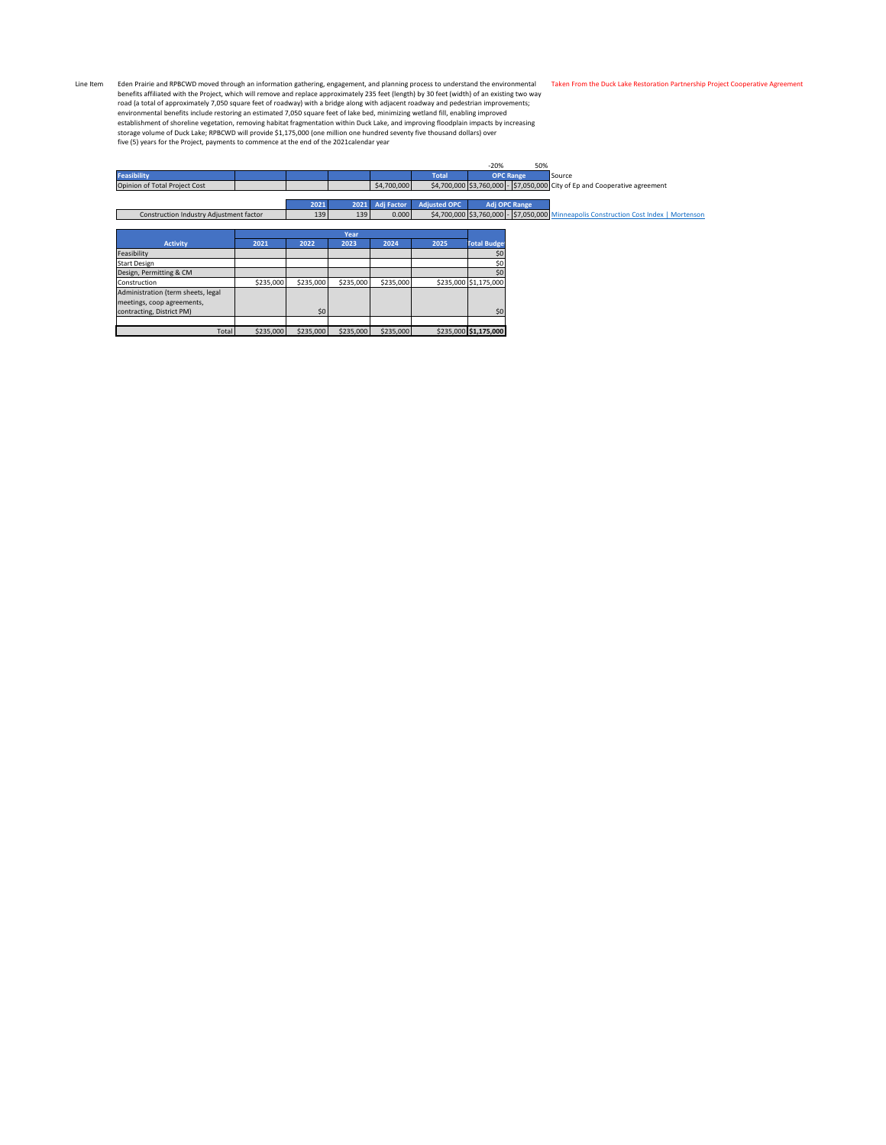Line Item<br>Ich enterpret and RPBCWD moved through an information gathering, engagement, and planning process to understand the environmental<br>In the Profects of Thilated with the Project, which will remove and replace approx

|                                         |           |           |           |                   |                     | $-20%$                                                                                | 50%                  |        |
|-----------------------------------------|-----------|-----------|-----------|-------------------|---------------------|---------------------------------------------------------------------------------------|----------------------|--------|
| <b>Feasibility</b>                      |           |           |           |                   | <b>Total</b>        |                                                                                       | <b>OPC Range</b>     | Source |
| Opinion of Total Project Cost           |           |           |           | \$4,700,000       |                     | \$4,700,000 \$3,760,000 - \$7,050,000 City of Ep and Cooperative agreement            |                      |        |
|                                         |           |           |           |                   |                     |                                                                                       |                      |        |
|                                         |           | 2021      | 2021      | <b>Adj Factor</b> | <b>Adjusted OPC</b> |                                                                                       | <b>Adj OPC Range</b> |        |
| Construction Industry Adjustment factor |           | 139       | 139       | 0.000             |                     | \$4,700,000 \$3,760,000 - \$7,050,000 Minneapolis Construction Cost Index   Mortenson |                      |        |
|                                         |           |           |           |                   |                     |                                                                                       |                      |        |
|                                         |           |           | Year      |                   |                     |                                                                                       |                      |        |
| <b>Activity</b>                         | 2021      | 2022      | 2023      | 2024              | 2025                | <b>Total Budget</b>                                                                   |                      |        |
| Feasibility                             |           |           |           |                   |                     | \$0                                                                                   |                      |        |
| <b>Start Design</b>                     |           |           |           |                   |                     | \$0                                                                                   |                      |        |
| Design, Permitting & CM                 |           |           |           |                   |                     | \$0                                                                                   |                      |        |
| Construction                            | \$235,000 | \$235,000 | \$235,000 | \$235,000         |                     | \$235,000 \$1,175,000                                                                 |                      |        |
| Administration (term sheets, legal      |           |           |           |                   |                     |                                                                                       |                      |        |
| meetings, coop agreements,              |           |           |           |                   |                     |                                                                                       |                      |        |
| contracting, District PM)               |           | \$0       |           |                   |                     | \$0                                                                                   |                      |        |
|                                         |           |           |           |                   |                     |                                                                                       |                      |        |
| Total                                   | \$235,000 | \$235,000 | \$235,000 | \$235,000         |                     | \$235,000 \$1,175,000                                                                 |                      |        |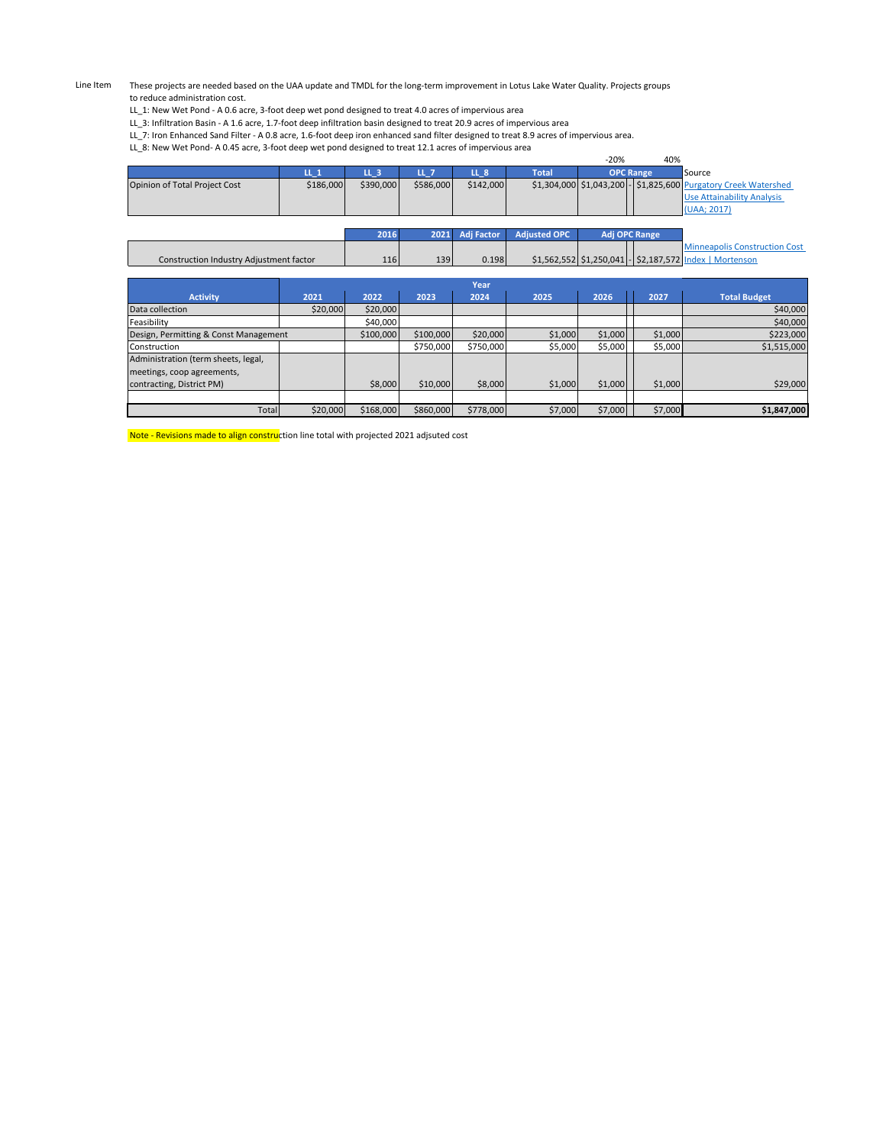Line Item These projects are needed based on the UAA update and TMDL for the long-term improvement in Lotus Lake Water Quality. Projects groups to reduce administration cost.

LL\_1: New Wet Pond - A 0.6 acre, 3-foot deep wet pond designed to treat 4.0 acres of impervious area

LL\_3: Infiltration Basin - A 1.6 acre, 1.7-foot deep infiltration basin designed to treat 20.9 acres of impervious area

LL\_7: Iron Enhanced Sand Filter - A 0.8 acre, 1.6-foot deep iron enhanced sand filter designed to treat 8.9 acres of impervious area.

LL\_8: New Wet Pond- A 0.45 acre, 3-foot deep wet pond designed to treat 12.1 acres of impervious area

|                                         |           |           |           |                   |                     | $-20%$ | 40%              |                                                                 |
|-----------------------------------------|-----------|-----------|-----------|-------------------|---------------------|--------|------------------|-----------------------------------------------------------------|
|                                         | $IL_1$    | LL 3      | LL 7      | LL <sub>8</sub>   | <b>Total</b>        |        | <b>OPC Range</b> | <b>Source</b>                                                   |
| Opinion of Total Project Cost           | \$186,000 | \$390,000 | \$586,000 | \$142,000         |                     |        |                  | \$1,304,000 \$1,043,200 - \$1,825,600 Purgatory Creek Watershed |
|                                         |           |           |           |                   |                     |        |                  | Use Attainability Analysis                                      |
|                                         |           |           |           |                   |                     |        |                  | (UAA; 2017)                                                     |
|                                         |           |           |           |                   |                     |        |                  |                                                                 |
|                                         |           | 2016      | 2021      | <b>Adj Factor</b> | <b>Adjusted OPC</b> |        | Adj OPC Range    |                                                                 |
|                                         |           |           |           |                   |                     |        |                  | <b>Minneapolis Construction Cost</b>                            |
| Construction Industry Adjustment factor |           | 116       | 139       | 0.198             |                     |        |                  | \$1,562,552 \$1,250,041 - \$2,187,572 Index   Mortenson         |
|                                         |           |           |           |                   |                     |        |                  |                                                                 |

|                                       |          |           |           | Year      |         |         |         |                     |
|---------------------------------------|----------|-----------|-----------|-----------|---------|---------|---------|---------------------|
| <b>Activity</b>                       | 2021     | 2022      | 2023      | 2024      | 2025    | 2026    | 2027    | <b>Total Budget</b> |
| Data collection                       | \$20,000 | \$20,000  |           |           |         |         |         | \$40,000            |
| Feasibility                           |          | \$40,000  |           |           |         |         |         | \$40,000            |
| Design, Permitting & Const Management |          | \$100,000 | \$100,000 | \$20,000  | \$1,000 | \$1,000 | \$1,000 | \$223,000           |
| Construction                          |          |           | \$750,000 | \$750,000 | \$5,000 | \$5,000 | \$5,000 | \$1,515,000         |
| Administration (term sheets, legal,   |          |           |           |           |         |         |         |                     |
| meetings, coop agreements,            |          |           |           |           |         |         |         |                     |
| contracting, District PM)             |          | \$8,000   | \$10,000  | \$8,000   | \$1,000 | \$1,000 | \$1,000 | \$29,000            |
|                                       |          |           |           |           |         |         |         |                     |
| Total                                 | \$20,000 | \$168,000 | \$860,000 | \$778,000 | \$7,000 | \$7,000 | \$7,000 | \$1,847,000         |

Note - Revisions made to align construction line total with projected 2021 adjsuted cost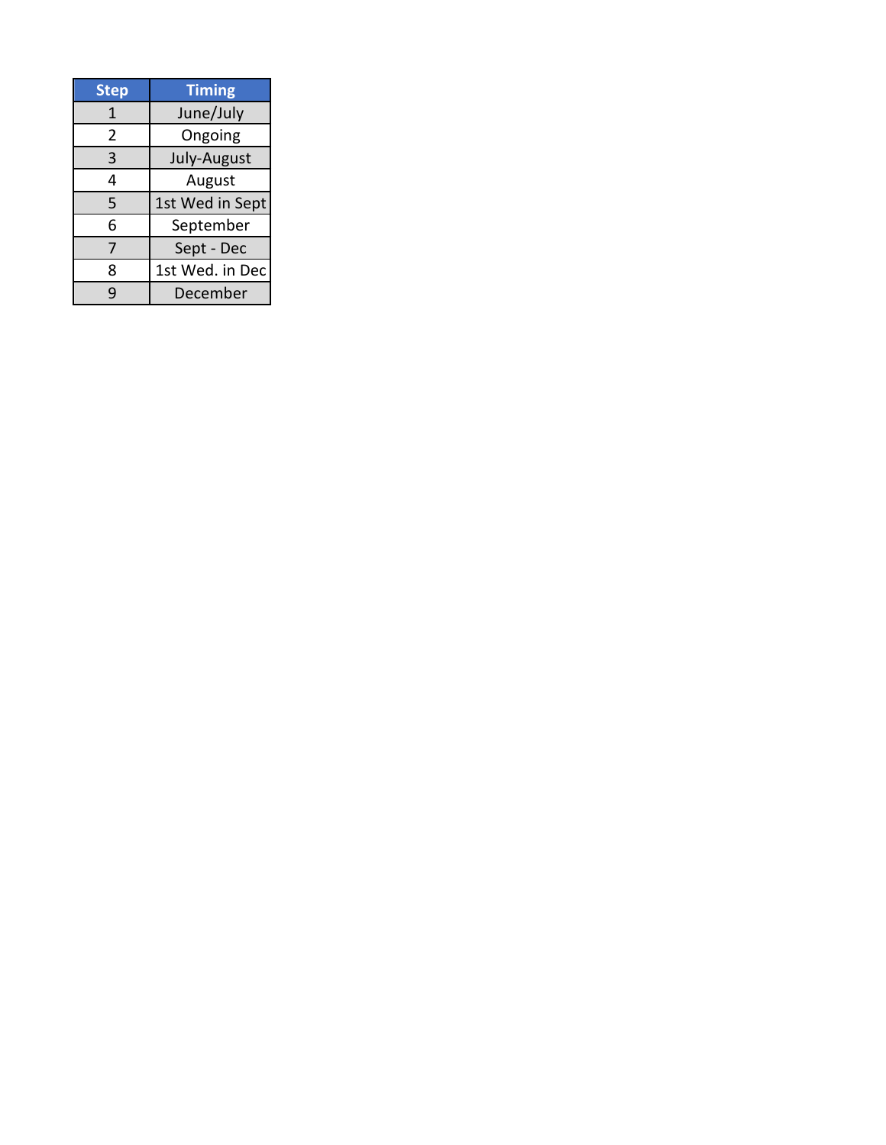| <b>Step</b> | <b>Timing</b>   |
|-------------|-----------------|
| 1           | June/July       |
| 2           | Ongoing         |
| 3           | July-August     |
| 4           | August          |
| 5           | 1st Wed in Sept |
| 6           | September       |
| 7           | Sept - Dec      |
| 8           | 1st Wed. in Dec |
| q           | December        |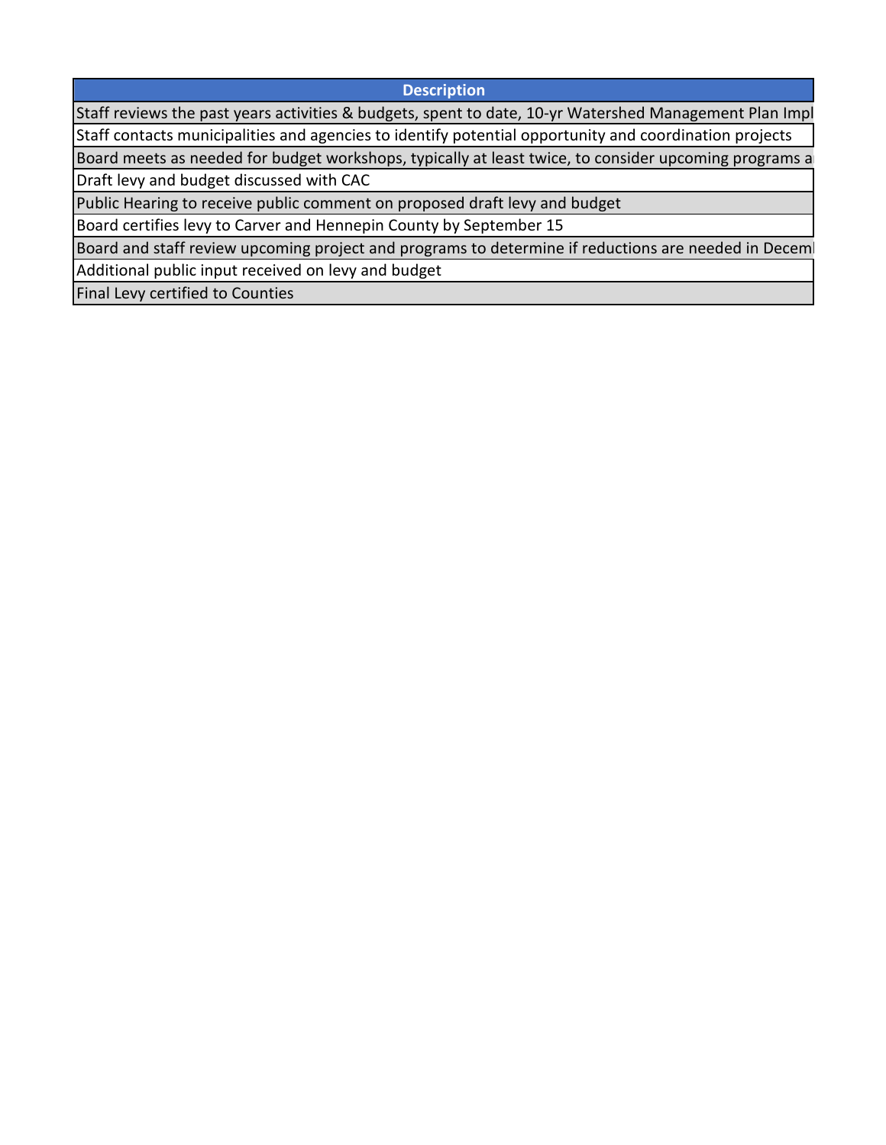**Description**

Staff reviews the past years activities & budgets, spent to date, 10-yr Watershed Management Plan Impl Staff contacts municipalities and agencies to identify potential opportunity and coordination projects

Board meets as needed for budget workshops, typically at least twice, to consider upcoming programs a Draft levy and budget discussed with CAC

Public Hearing to receive public comment on proposed draft levy and budget

Board certifies levy to Carver and Hennepin County by September 15

Board and staff review upcoming project and programs to determine if reductions are needed in Deceml

Additional public input received on levy and budget

Final Levy certified to Counties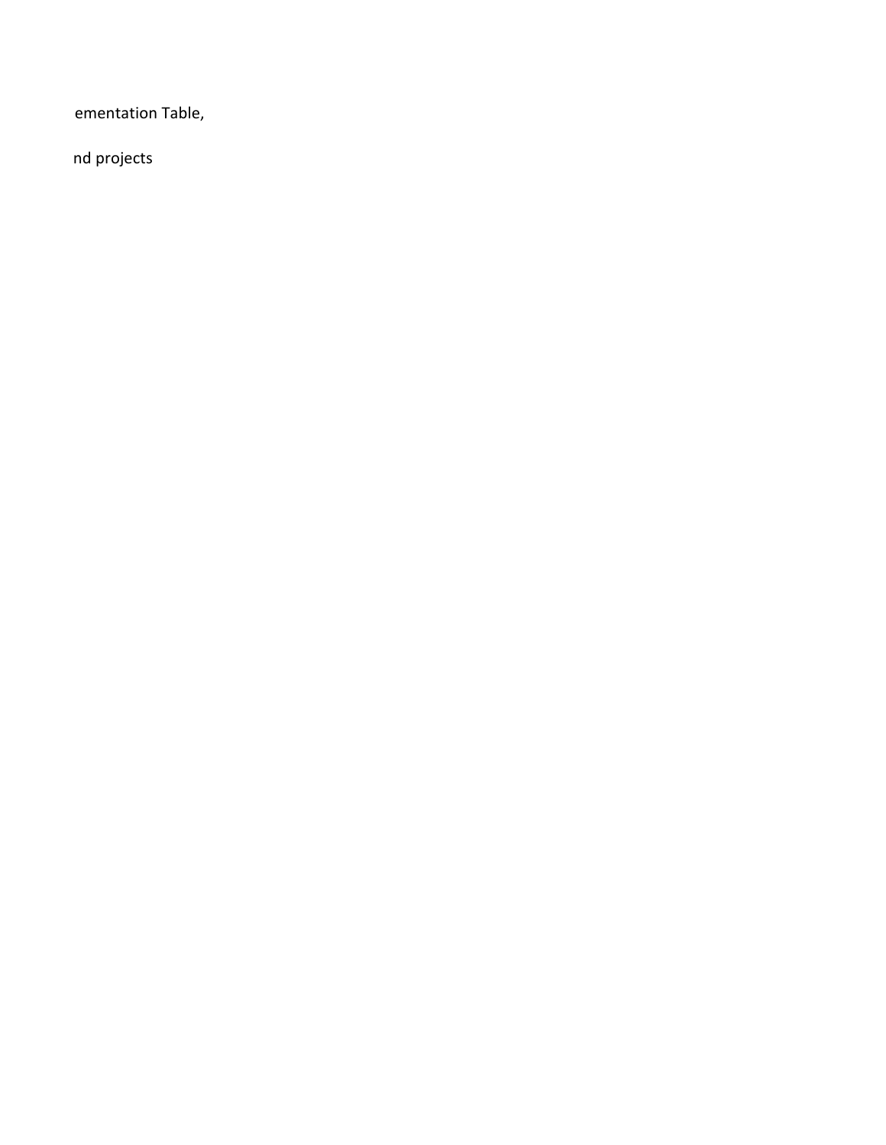ementation Table,

nd projects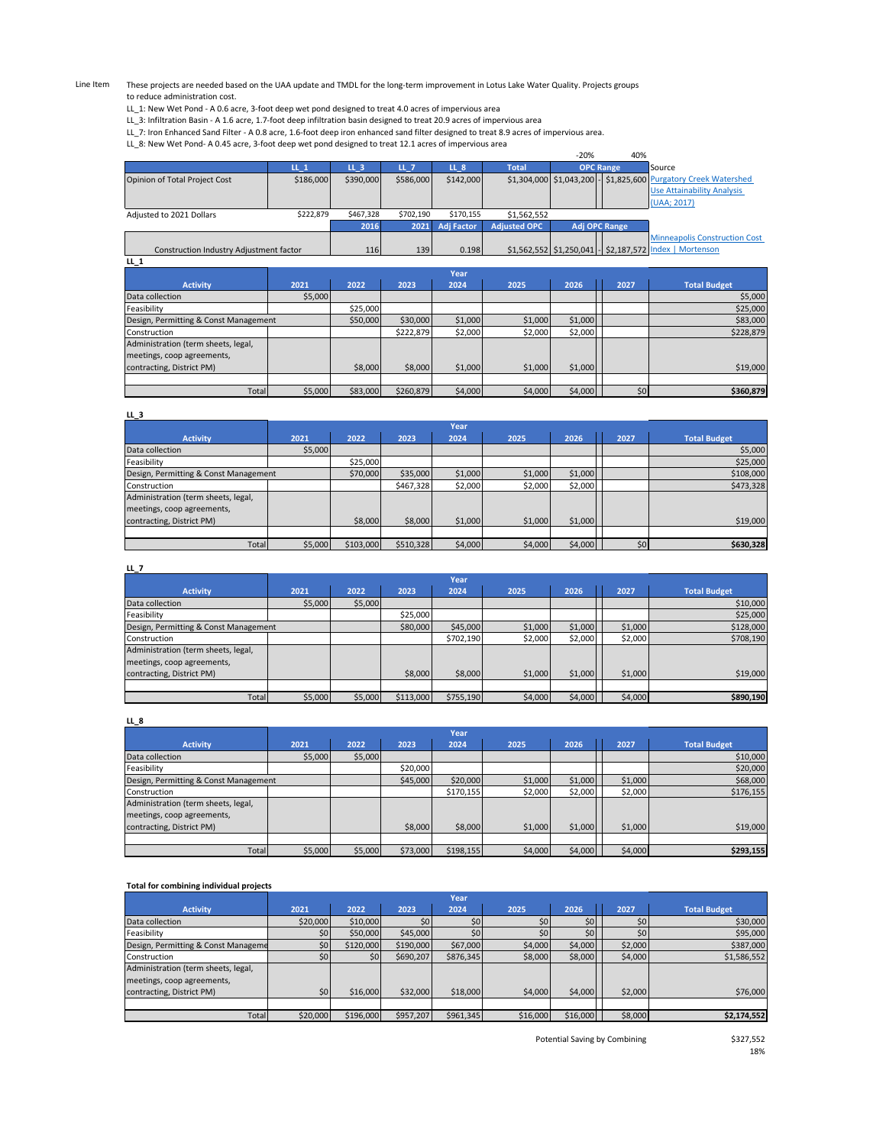Line Item These projects are needed based on the UAA update and TMDL for the long-term improvement in Lotus Lake Water Quality. Projects groups to reduce administration cost.

LL\_1: New Wet Pond - A 0.6 acre, 3-foot deep wet pond designed to treat 4.0 acres of impervious area

LL\_3: Infiltration Basin - A 1.6 acre, 1.7-foot deep infiltration basin designed to treat 20.9 acres of impervious area

LL\_7: Iron Enhanced Sand Filter - A 0.8 acre, 1.6-foot deep iron enhanced sand filter designed to treat 8.9 acres of impervious area.

LL\_8: New Wet Pond- A 0.45 acre, 3-foot deep wet pond designed to treat 12.1 acres of impervious area

|                                         |           |                 |           |                   |                     | $-20%$ | 40%                  |                                                                 |
|-----------------------------------------|-----------|-----------------|-----------|-------------------|---------------------|--------|----------------------|-----------------------------------------------------------------|
|                                         | $LL_1$    | LL <sub>3</sub> | /LL 7     | LL <sub>8</sub>   | <b>Total</b>        |        | <b>OPC Range</b>     | Source                                                          |
| Opinion of Total Project Cost           | \$186,000 | \$390,000       | \$586,000 | \$142,000         |                     |        |                      | \$1,304,000 \$1,043,200 - \$1,825,600 Purgatory Creek Watershed |
|                                         |           |                 |           |                   |                     |        |                      | <b>Use Attainability Analysis</b>                               |
|                                         |           |                 |           |                   |                     |        |                      | UAA; 2017)                                                      |
| Adjusted to 2021 Dollars                | \$222,879 | \$467,328       | \$702,190 | \$170,155         | \$1,562,552         |        |                      |                                                                 |
|                                         |           | 2016            | 2021      | <b>Adj Factor</b> | <b>Adjusted OPC</b> |        | <b>Adj OPC Range</b> |                                                                 |
|                                         |           |                 |           |                   |                     |        |                      | <b>Minneapolis Construction Cost</b>                            |
| Construction Industry Adjustment factor |           | 116             | 139       | 0.198             |                     |        |                      | \$1,562,552 \$1,250,041 - \$2,187,572 Index   Mortenson         |
| $LL_1$                                  |           |                 |           |                   |                     |        |                      |                                                                 |

|                                       |         |          |           | Year    |         |         |      |                     |
|---------------------------------------|---------|----------|-----------|---------|---------|---------|------|---------------------|
| <b>Activity</b>                       | 2021    | 2022     | 2023      | 2024    | 2025    | 2026    | 2027 | <b>Total Budget</b> |
| Data collection                       | \$5,000 |          |           |         |         |         |      | \$5,000             |
| Feasibility                           |         | \$25,000 |           |         |         |         |      | \$25,000            |
| Design, Permitting & Const Management |         | \$50,000 | \$30,000  | \$1,000 | \$1,000 | \$1,000 |      | \$83,000            |
| Construction                          |         |          | \$222,879 | \$2,000 | \$2,000 | \$2,000 |      | \$228,879           |
| Administration (term sheets, legal,   |         |          |           |         |         |         |      |                     |
| meetings, coop agreements,            |         |          |           |         |         |         |      |                     |
| contracting, District PM)             |         | \$8,000  | \$8,000   | \$1,000 | \$1,000 | \$1,000 |      | \$19,000            |
|                                       |         |          |           |         |         |         |      |                     |
| Total                                 | \$5,000 | \$83,000 | \$260,879 | \$4,000 | \$4,000 | \$4,000 | \$0  | \$360,879           |

| LL 3                                  |         |           |           |         |         |         |      |                     |
|---------------------------------------|---------|-----------|-----------|---------|---------|---------|------|---------------------|
|                                       |         |           |           | Year    |         |         |      |                     |
| <b>Activity</b>                       | 2021    | 2022      | 2023      | 2024    | 2025    | 2026    | 2027 | <b>Total Budget</b> |
| Data collection                       | \$5,000 |           |           |         |         |         |      | \$5,000             |
| Feasibility                           |         | \$25,000  |           |         |         |         |      | \$25,000            |
| Design, Permitting & Const Management |         | \$70,000  | \$35,000  | \$1,000 | \$1,000 | \$1,000 |      | \$108,000           |
| Construction                          |         |           | \$467,328 | \$2,000 | \$2,000 | \$2,000 |      | \$473,328           |
| Administration (term sheets, legal,   |         |           |           |         |         |         |      |                     |
| meetings, coop agreements,            |         |           |           |         |         |         |      |                     |
| contracting, District PM)             |         | \$8,000   | \$8,000   | \$1,000 | \$1,000 | \$1,000 |      | \$19,000            |
|                                       |         |           |           |         |         |         |      |                     |
| Total                                 | \$5,000 | \$103,000 | \$510,328 | \$4,000 | \$4,000 | \$4,000 | \$0  | \$630,328           |

| LL_7                                  |         |          |           |           |         |         |           |                     |  |  |
|---------------------------------------|---------|----------|-----------|-----------|---------|---------|-----------|---------------------|--|--|
|                                       |         | Year     |           |           |         |         |           |                     |  |  |
| <b>Activity</b>                       | 2021    | 2022     | 2023      | 2024      | 2025    | 2026    | 2027      | <b>Total Budget</b> |  |  |
| Data collection                       | \$5,000 | \$5,000  |           |           |         |         |           | \$10,000            |  |  |
| Feasibility                           |         |          | \$25,000  |           |         |         |           | \$25,000            |  |  |
| Design, Permitting & Const Management |         | \$80,000 | \$45,000  | \$1,000   | \$1,000 | \$1,000 | \$128,000 |                     |  |  |
| Construction                          |         |          |           | \$702,190 | \$2,000 | \$2,000 | \$2,000   | \$708,190           |  |  |
| Administration (term sheets, legal,   |         |          |           |           |         |         |           |                     |  |  |
| meetings, coop agreements,            |         |          |           |           |         |         |           |                     |  |  |
| contracting, District PM)             |         |          | \$8,000   | \$8,000   | \$1,000 | \$1,000 | \$1,000   | \$19,000            |  |  |
|                                       |         |          |           |           |         |         |           |                     |  |  |
| Total                                 | \$5,000 | \$5,000  | \$113,000 | \$755,190 | \$4,000 | \$4,000 | \$4,000   | \$890,190           |  |  |

| ×<br>۰, |
|---------|

| <u></u> .                             |         |         |          |           |         |         |         |                     |
|---------------------------------------|---------|---------|----------|-----------|---------|---------|---------|---------------------|
|                                       |         |         |          | Year      |         |         |         |                     |
| <b>Activity</b>                       | 2021    | 2022    | 2023     | 2024      | 2025    | 2026    | 2027    | <b>Total Budget</b> |
| Data collection                       | \$5,000 | \$5,000 |          |           |         |         |         | \$10,000            |
| Feasibility                           |         |         | \$20,000 |           |         |         |         | \$20,000            |
| Design, Permitting & Const Management |         |         | \$45,000 | \$20,000  | \$1,000 | \$1,000 | \$1,000 | \$68,000            |
| Construction                          |         |         |          | \$170,155 | \$2,000 | \$2,000 | \$2,000 | \$176,155           |
| Administration (term sheets, legal,   |         |         |          |           |         |         |         |                     |
| meetings, coop agreements,            |         |         |          |           |         |         |         |                     |
| contracting, District PM)             |         |         | \$8,000  | \$8,000   | \$1,000 | \$1,000 | \$1,000 | \$19,000            |
|                                       |         |         |          |           |         |         |         |                     |
| Total                                 | \$5,000 | \$5,000 | \$73,000 | \$198,155 | \$4,000 | \$4,000 | \$4,000 | \$293,155           |

### **Total for combining individual projects**

|                                     |          |           |           | Year      |          |                 |         |                     |
|-------------------------------------|----------|-----------|-----------|-----------|----------|-----------------|---------|---------------------|
| <b>Activity</b>                     | 2021     | 2022      | 2023      | 2024      | 2025     | 2026            | 2027    | <b>Total Budget</b> |
| Data collection                     | \$20,000 | \$10,000  | \$0       | \$0       | \$0      | 50 <sub>1</sub> | \$0     | \$30,000            |
| Feasibility                         | \$0      | \$50,000  | \$45,000  | \$0       | \$0      | \$0             | \$0     | \$95,000            |
| Design, Permitting & Const Manageme | \$0      | \$120,000 | \$190,000 | \$67,000  | \$4,000  | \$4,000         | \$2,000 | \$387,000           |
| Construction                        | \$0      | \$0       | \$690,207 | \$876,345 | \$8,000  | \$8,000         | \$4,000 | \$1,586,552         |
| Administration (term sheets, legal, |          |           |           |           |          |                 |         |                     |
| meetings, coop agreements,          |          |           |           |           |          |                 |         |                     |
| contracting, District PM)           | \$0      | \$16,000  | \$32,000  | \$18,000  | \$4,000  | \$4,000         | \$2,000 | \$76,000            |
|                                     |          |           |           |           |          |                 |         |                     |
| Total                               | \$20,000 | \$196,000 | \$957,207 | \$961,345 | \$16,000 | \$16,000        | \$8,000 | \$2.174.552         |

Potential Saving by Combining  $$327,552$ 

18%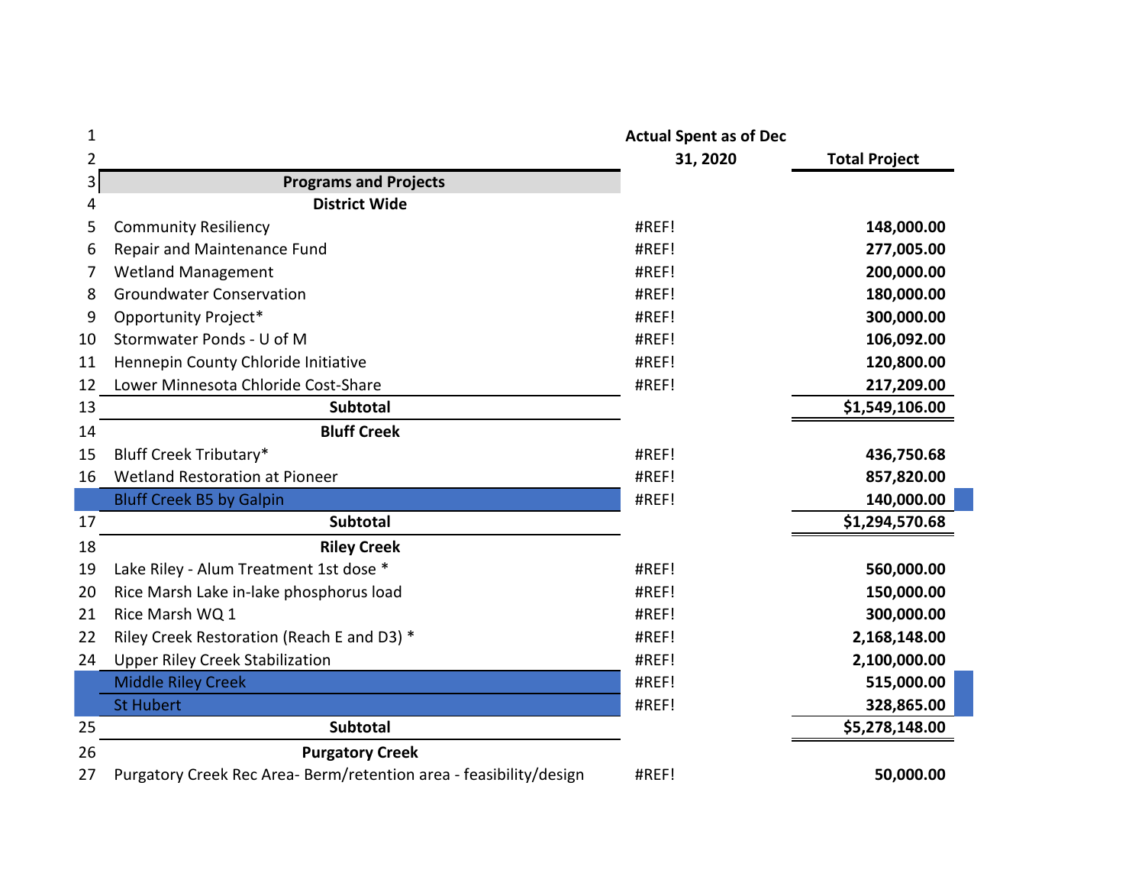| $\mathbf{1}$   |                                                                    | <b>Actual Spent as of Dec</b> |                      |
|----------------|--------------------------------------------------------------------|-------------------------------|----------------------|
| $\overline{2}$ |                                                                    | 31, 2020                      | <b>Total Project</b> |
| $\overline{3}$ | <b>Programs and Projects</b>                                       |                               |                      |
| 4              | <b>District Wide</b>                                               |                               |                      |
| 5              | <b>Community Resiliency</b>                                        | #REF!                         | 148,000.00           |
| 6              | Repair and Maintenance Fund                                        | #REF!                         | 277,005.00           |
|                | <b>Wetland Management</b>                                          | #REF!                         | 200,000.00           |
| 8              | <b>Groundwater Conservation</b>                                    | #REF!                         | 180,000.00           |
| 9              | Opportunity Project*                                               | #REF!                         | 300,000.00           |
| 10             | Stormwater Ponds - U of M                                          | #REF!                         | 106,092.00           |
| 11             | Hennepin County Chloride Initiative                                | #REF!                         | 120,800.00           |
| 12             | Lower Minnesota Chloride Cost-Share                                | #REF!                         | 217,209.00           |
| 13             | <b>Subtotal</b>                                                    |                               | \$1,549,106.00       |
| 14             | <b>Bluff Creek</b>                                                 |                               |                      |
| 15             | Bluff Creek Tributary*                                             | #REF!                         | 436,750.68           |
| 16             | <b>Wetland Restoration at Pioneer</b>                              | #REF!                         | 857,820.00           |
|                | <b>Bluff Creek B5 by Galpin</b>                                    | #REF!                         | 140,000.00           |
| 17             | <b>Subtotal</b>                                                    |                               | \$1,294,570.68       |
| 18             | <b>Riley Creek</b>                                                 |                               |                      |
| 19             | Lake Riley - Alum Treatment 1st dose *                             | #REF!                         | 560,000.00           |
| 20             | Rice Marsh Lake in-lake phosphorus load                            | #REF!                         | 150,000.00           |
| 21             | Rice Marsh WQ 1                                                    | #REF!                         | 300,000.00           |
| 22             | Riley Creek Restoration (Reach E and D3) *                         | #REF!                         | 2,168,148.00         |
| 24             | <b>Upper Riley Creek Stabilization</b>                             | #REF!                         | 2,100,000.00         |
|                | <b>Middle Riley Creek</b>                                          | #REF!                         | 515,000.00           |
|                | <b>St Hubert</b>                                                   | #REF!                         | 328,865.00           |
| 25             | <b>Subtotal</b>                                                    |                               | \$5,278,148.00       |
| 26             | <b>Purgatory Creek</b>                                             |                               |                      |
| 27             | Purgatory Creek Rec Area- Berm/retention area - feasibility/design | #REF!                         | 50,000.00            |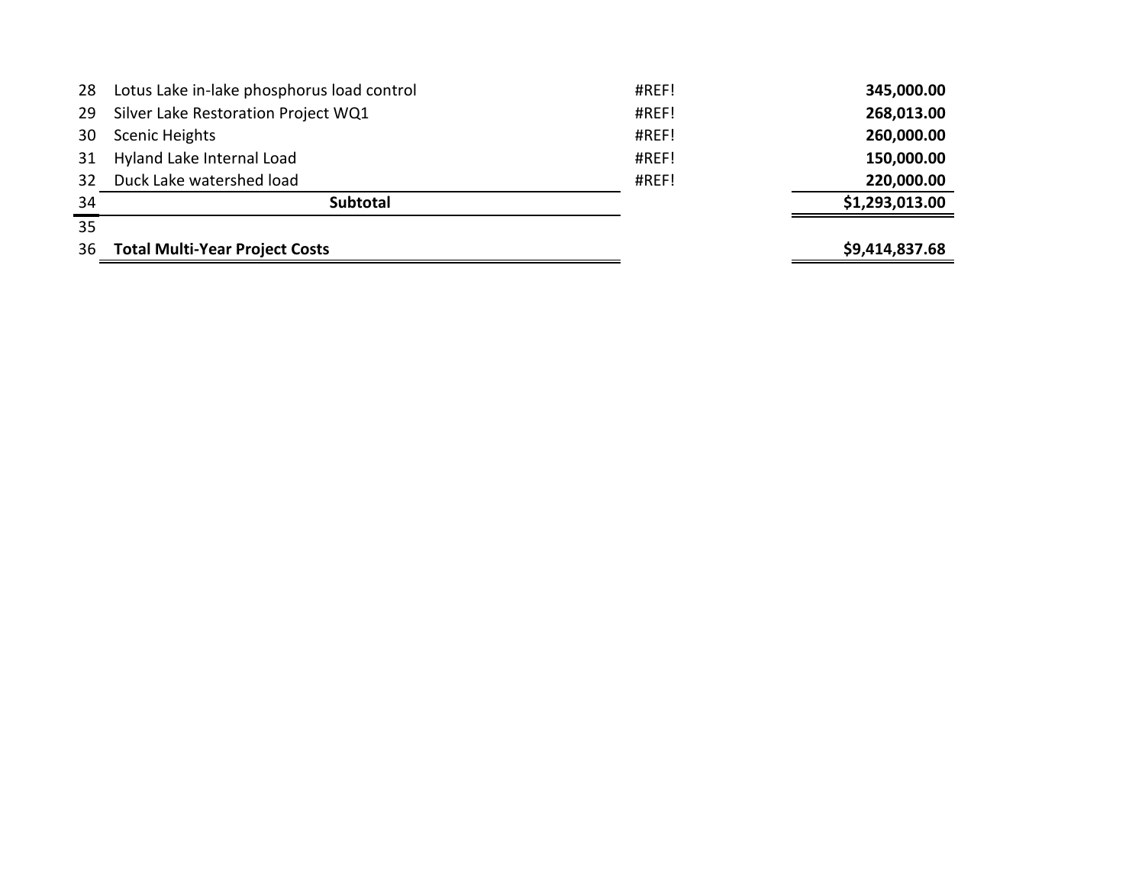| 28 | Lotus Lake in-lake phosphorus load control | #REF! | 345,000.00     |
|----|--------------------------------------------|-------|----------------|
| 29 | Silver Lake Restoration Project WQ1        | #REF! | 268,013.00     |
| 30 | <b>Scenic Heights</b>                      | #REF! | 260,000.00     |
| 31 | Hyland Lake Internal Load                  | #REF! | 150,000.00     |
| 32 | Duck Lake watershed load                   | #REF! | 220,000.00     |
| 34 | <b>Subtotal</b>                            |       | \$1,293,013.00 |
| 35 |                                            |       |                |
| 36 | <b>Total Multi-Year Project Costs</b>      |       | \$9,414,837.68 |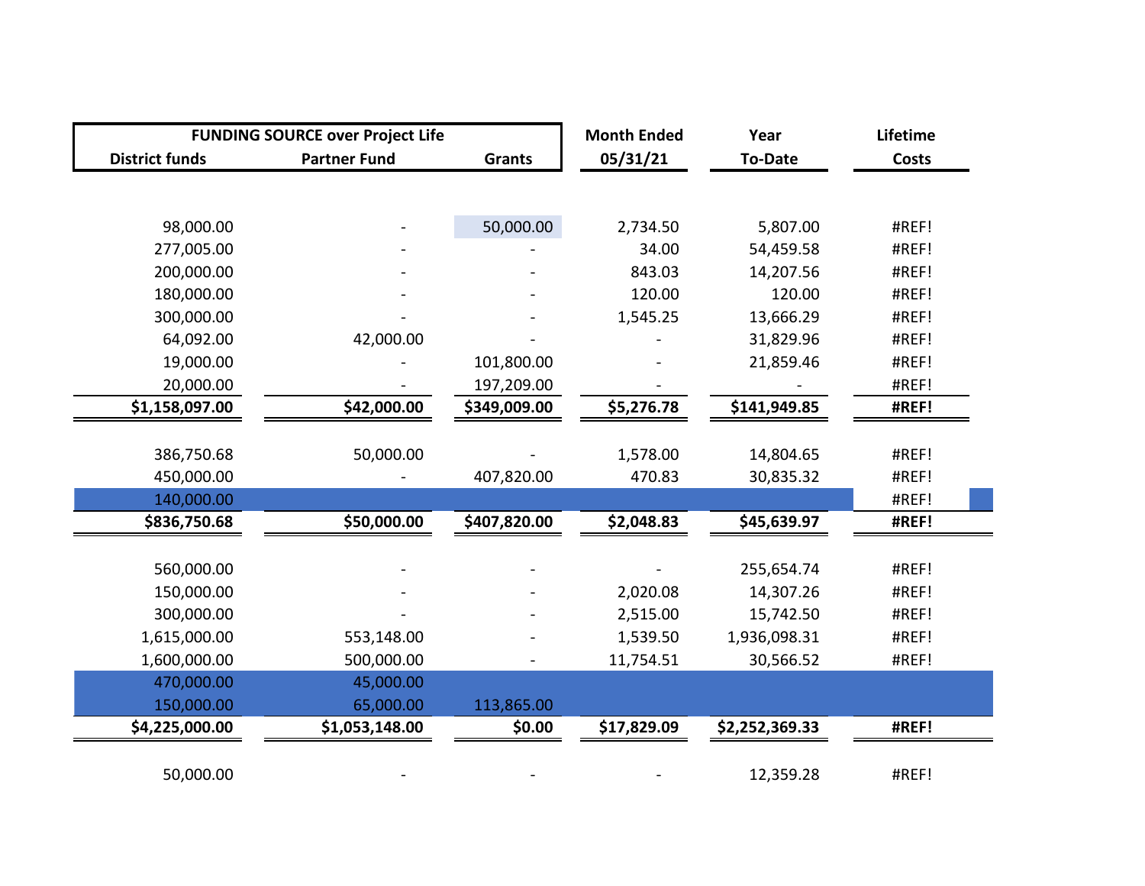|                       | <b>FUNDING SOURCE over Project Life</b> |               | <b>Month Ended</b> | Year           | Lifetime     |
|-----------------------|-----------------------------------------|---------------|--------------------|----------------|--------------|
| <b>District funds</b> | <b>Partner Fund</b>                     | <b>Grants</b> | 05/31/21           | <b>To-Date</b> | <b>Costs</b> |
|                       |                                         |               |                    |                |              |
| 98,000.00             |                                         | 50,000.00     | 2,734.50           | 5,807.00       | #REF!        |
| 277,005.00            |                                         |               | 34.00              | 54,459.58      | #REF!        |
| 200,000.00            |                                         |               | 843.03             | 14,207.56      | #REF!        |
| 180,000.00            |                                         |               | 120.00             | 120.00         | #REF!        |
| 300,000.00            |                                         |               | 1,545.25           | 13,666.29      | #REF!        |
| 64,092.00             | 42,000.00                               |               |                    | 31,829.96      | #REF!        |
| 19,000.00             |                                         | 101,800.00    |                    | 21,859.46      | #REF!        |
| 20,000.00             |                                         | 197,209.00    |                    |                | #REF!        |
| \$1,158,097.00        | \$42,000.00                             | \$349,009.00  | \$5,276.78         | \$141,949.85   | #REF!        |
|                       |                                         |               |                    |                |              |
| 386,750.68            | 50,000.00                               |               | 1,578.00           | 14,804.65      | #REF!        |
| 450,000.00            |                                         | 407,820.00    | 470.83             | 30,835.32      | #REF!        |
| 140,000.00            |                                         |               |                    |                | #REF!        |
| \$836,750.68          | \$50,000.00                             | \$407,820.00  | \$2,048.83         | \$45,639.97    | #REF!        |
|                       |                                         |               |                    |                | #REF!        |
| 560,000.00            |                                         |               |                    | 255,654.74     |              |
| 150,000.00            |                                         |               | 2,020.08           | 14,307.26      | #REF!        |
| 300,000.00            |                                         |               | 2,515.00           | 15,742.50      | #REF!        |
| 1,615,000.00          | 553,148.00                              |               | 1,539.50           | 1,936,098.31   | #REF!        |
| 1,600,000.00          | 500,000.00                              |               | 11,754.51          | 30,566.52      | #REF!        |
| 470,000.00            | 45,000.00                               |               |                    |                |              |
| 150,000.00            | 65,000.00                               | 113,865.00    |                    |                |              |
| \$4,225,000.00        | \$1,053,148.00                          | \$0.00        | \$17,829.09        | \$2,252,369.33 | #REF!        |
| 50,000.00             |                                         |               |                    | 12,359.28      | #REF!        |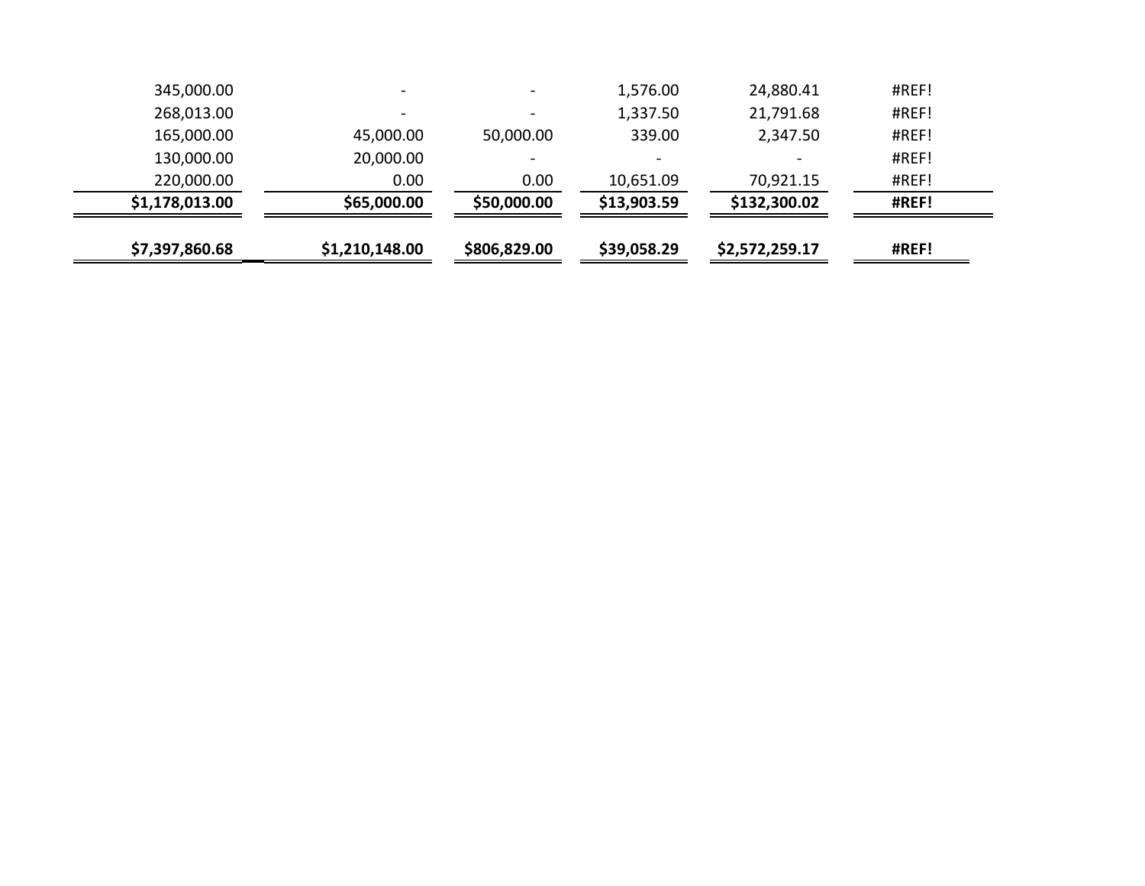| \$7,397,860.68 | \$1,210,148.00           | \$806,829.00             | \$39,058.29 | \$2,572,259.17 | #REF! |
|----------------|--------------------------|--------------------------|-------------|----------------|-------|
| \$1,178,013.00 | \$65,000.00              | \$50,000.00              | \$13,903.59 | \$132,300.02   | #REF! |
| 220,000.00     | 0.00                     | 0.00                     | 10,651.09   | 70,921.15      | #REF! |
| 130,000.00     | 20,000.00                | $\qquad \qquad$          |             |                | #REF! |
| 165,000.00     | 45,000.00                | 50,000.00                | 339.00      | 2,347.50       | #REF! |
| 268,013.00     |                          | $\overline{\phantom{0}}$ | 1,337.50    | 21,791.68      | #REF! |
| 345,000.00     | $\overline{\phantom{0}}$ | $\qquad \qquad$          | 1,576.00    | 24,880.41      | #REF! |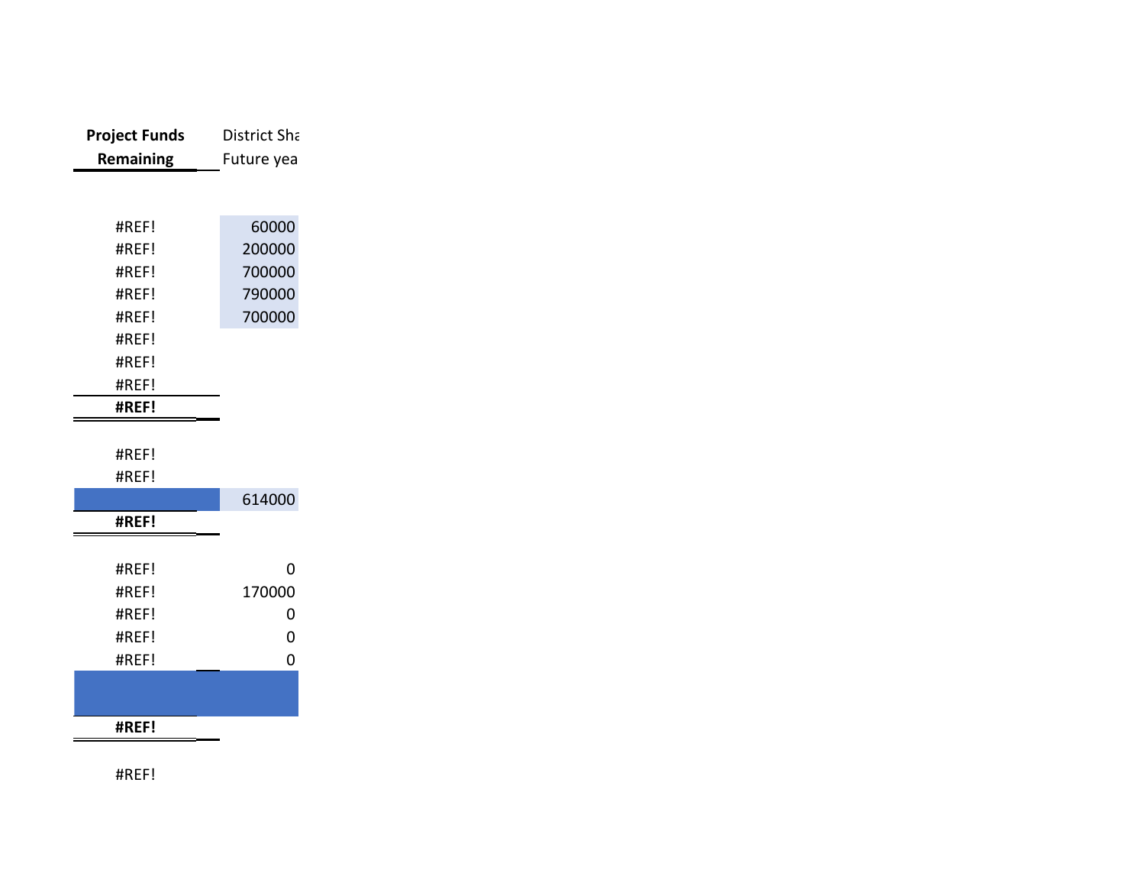| <b>Project Funds</b> | District Sha |
|----------------------|--------------|
| Remaining            | Future yea   |
|                      |              |
|                      |              |
| #REF!                | 60000        |
| #REF!                | 200000       |
| #REF!                | 700000       |
| #REF!                | 790000       |
| #REF!                | 700000       |
| #REF!                |              |
| #REF!                |              |
| #REF!                |              |
| #REF!                |              |
|                      |              |
| #REF!                |              |
| #REF!                |              |
|                      | 614000       |
| #REF!                |              |
|                      |              |
| #REF!                | 0            |
| #REF!                | 170000       |
| #REF!                | 0            |
| #REF!                | 0            |
| #REF!                | 0            |
|                      |              |
|                      |              |
| #REF!                |              |

#REF!